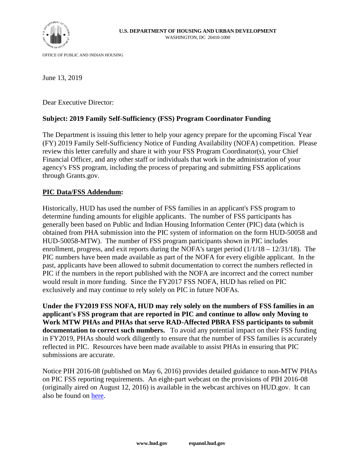

OFFICE OF PUBLIC AND INDIAN HOUSING

June 13, 2019

Dear Executive Director:

# **Subject: 2019 Family Self-Sufficiency (FSS) Program Coordinator Funding**

The Department is issuing this letter to help your agency prepare for the upcoming Fiscal Year (FY) 2019 Family Self-Sufficiency Notice of Funding Availability (NOFA) competition. Please review this letter carefully and share it with your FSS Program Coordinator(s), your Chief Financial Officer, and any other staff or individuals that work in the administration of your agency's FSS program, including the process of preparing and submitting FSS applications through Grants.gov.

# **PIC Data/FSS Addendum:**

Historically, HUD has used the number of FSS families in an applicant's FSS program to determine funding amounts for eligible applicants. The number of FSS participants has generally been based on Public and Indian Housing Information Center (PIC) data (which is obtained from PHA submission into the PIC system of information on the form HUD-50058 and HUD-50058-MTW). The number of FSS program participants shown in PIC includes enrollment, progress, and exit reports during the NOFA's target period (1/1/18 – 12/31/18). The PIC numbers have been made available as part of the NOFA for every eligible applicant. In the past, applicants have been allowed to submit documentation to correct the numbers reflected in PIC if the numbers in the report published with the NOFA are incorrect and the correct number would result in more funding. Since the FY2017 FSS NOFA, HUD has relied on PIC exclusively and may continue to rely solely on PIC in future NOFAs.

**Under the FY2019 FSS NOFA, HUD may rely solely on the numbers of FSS families in an applicant's FSS program that are reported in PIC and continue to allow only Moving to Work MTW PHAs and PHAs that serve RAD-Affected PBRA FSS participants to submit documentation to correct such numbers.** To avoid any potential impact on their FSS funding in FY2019, PHAs should work diligently to ensure that the number of FSS families is accurately reflected in PIC. Resources have been made available to assist PHAs in ensuring that PIC submissions are accurate.

Notice PIH 2016-08 (published on May 6, 2016) provides detailed guidance to non-MTW PHAs on PIC FSS reporting requirements. An eight-part webcast on the provisions of PIH 2016-08 (originally aired on August 12, 2016) is available in the webcast archives on HUD.gov. It can also be found on [here.](https://www.youtube.com/watch?v=uLbAisQGF0o)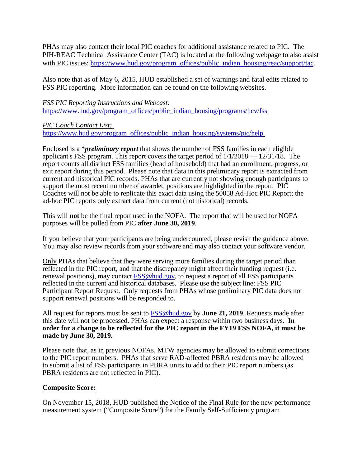PHAs may also contact their local PIC coaches for additional assistance related to PIC. The PIH-REAC Technical Assistance Center (TAC) is located at the following webpage to also assist with PIC issues: [https://www.hud.gov/program\\_offices/public\\_indian\\_housing/reac/support/tac.](https://www.hud.gov/program_offices/public_indian_housing/reac/support/tac)

Also note that as of May 6, 2015, HUD established a set of warnings and fatal edits related to FSS PIC reporting. More information can be found on the following websites.

*FSS PIC Reporting Instructions and Webcast:*  [https://www.hud.gov/program\\_offices/public\\_indian\\_housing/programs/hcv/fss](https://www.hud.gov/program_offices/public_indian_housing/programs/hcv/fss)

*PIC Coach Contact List:* 

[https://www.hud.gov/program\\_offices/public\\_indian\\_housing/systems/pic/help](https://www.hud.gov/program_offices/public_indian_housing/systems/pic/help) 

Enclosed is a \**preliminary report* that shows the number of FSS families in each eligible applicant's FSS program. This report covers the target period of 1/1/2018 — 12/31/18. The report counts all distinct FSS families (head of household) that had an enrollment, progress, or exit report during this period. Please note that data in this preliminary report is extracted from current and historical PIC records. PHAs that are currently not showing enough participants to support the most recent number of awarded positions are highlighted in the report. PIC Coaches will not be able to replicate this exact data using the 50058 Ad-Hoc PIC Report; the ad-hoc PIC reports only extract data from current (not historical) records.

This will **not** be the final report used in the NOFA. The report that will be used for NOFA purposes will be pulled from PIC **after June 30, 2019**.

If you believe that your participants are being undercounted, please revisit the guidance above. You may also review records from your software and may also contact your software vendor.

Only PHAs that believe that they were serving more families during the target period than reflected in the PIC report, and that the discrepancy might affect their funding request (i.e. renewal positions), may contact [FSS@hud.gov,](mailto:REAC_PIC_TECHASSISTANCE@hud.gov) to request a report of all FSS participants reflected in the current and historical databases. Please use the subject line: FSS PIC Participant Report Request. Only requests from PHAs whose preliminary PIC data does not support renewal positions will be responded to.

All request for reports must be sent to [FSS@hud.gov](mailto:REAC_PIC_TECHASSISTANCE@hud.gov) by **June 21, 2019**. Requests made after this date will not be processed. PHAs can expect a response within two business days. **In order for a change to be reflected for the PIC report in the FY19 FSS NOFA, it must be made by June 30, 2019.**

Please note that, as in previous NOFAs, MTW agencies may be allowed to submit corrections to the PIC report numbers. PHAs that serve RAD-affected PBRA residents may be allowed to submit a list of FSS participants in PBRA units to add to their PIC report numbers (as PBRA residents are not reflected in PIC).

# **Composite Score:**

On November 15, 2018, HUD published the Notice of the Final Rule for the new performance measurement system ("Composite Score") for the Family Self-Sufficiency program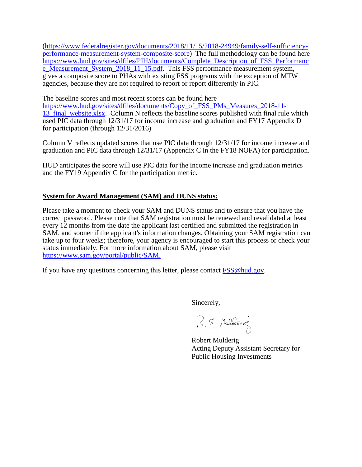[\(https://www.federalregister.gov/documents/2018/11/15/2018-24949/family-self-sufficiency](https://www.federalregister.gov/documents/2018/11/15/2018-24949/family-self-sufficiency-performance-measurement-system-composite-score)[performance-measurement-system-composite-score\)](https://www.federalregister.gov/documents/2018/11/15/2018-24949/family-self-sufficiency-performance-measurement-system-composite-score) The full methodology can be found here [https://www.hud.gov/sites/dfiles/PIH/documents/Complete\\_Description\\_of\\_FSS\\_Performanc](https://www.hud.gov/sites/dfiles/PIH/documents/Complete_Description_of_FSS_Performance_Measurement_System_2018_11_15.pdf) [e\\_Measurement\\_System\\_2018\\_11\\_15.pdf.](https://www.hud.gov/sites/dfiles/PIH/documents/Complete_Description_of_FSS_Performance_Measurement_System_2018_11_15.pdf) This FSS performance measurement system, gives a composite score to PHAs with existing FSS programs with the exception of MTW agencies, because they are not required to report or report differently in PIC.

The baseline scores and most recent scores can be found here

[https://www.hud.gov/sites/dfiles/documents/Copy\\_of\\_FSS\\_PMs\\_Measures\\_2018-11-](https://www.hud.gov/sites/dfiles/documents/Copy_of_FSS_PMs_Measures_2018-11-13_final_website.xlsx) 13<sup>final</sup> website.xlsx. Column N reflects the baseline scores published with final rule which used PIC data through 12/31/17 for income increase and graduation and FY17 Appendix D for participation (through 12/31/2016)

Column V reflects updated scores that use PIC data through 12/31/17 for income increase and graduation and PIC data through 12/31/17 (Appendix C in the FY18 NOFA) for participation.

HUD anticipates the score will use PIC data for the income increase and graduation metrics and the FY19 Appendix C for the participation metric.

# **System for Award Management (SAM) and DUNS status:**

Please take a moment to check your SAM and DUNS status and to ensure that you have the correct password. Please note that SAM registration must be renewed and revalidated at least every 12 months from the date the applicant last certified and submitted the registration in SAM, and sooner if the applicant's information changes. Obtaining your SAM registration can take up to four weeks; therefore, your agency is encouraged to start this process or check your status immediately. For more information about SAM, please visit <https://www.sam.gov/portal/public/SAM.>

If you have any questions concerning this letter, please contact  $FSS@hud.gov$ .

Sincerely,

R.S. Mulderig

Robert Mulderig Acting Deputy Assistant Secretary for Public Housing Investments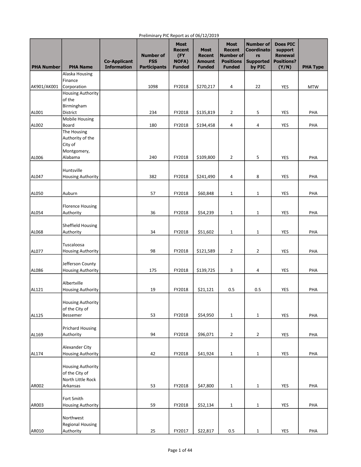| <b>PHA Number</b> | <b>PHA Name</b>                | <b>Co-Applicant</b><br><b>Information</b> | <b>Number of</b><br><b>FSS</b><br><b>Participants</b> | <b>Most</b><br><b>Recent</b><br>(FY<br>NOFA)<br><b>Funded</b> | <b>Most</b><br><b>Recent</b><br><b>Amount</b><br><b>Funded</b> | <b>Most</b><br><b>Recent</b><br>Number of<br><b>Positions</b><br><b>Funded</b> | <b>Number of</b><br><b>Coordinato</b><br>rs<br><b>Supported</b><br>by PIC | <b>Does PIC</b><br>support<br><b>Renewal</b><br><b>Positions?</b><br>(Y/N) | <b>PHA Type</b> |
|-------------------|--------------------------------|-------------------------------------------|-------------------------------------------------------|---------------------------------------------------------------|----------------------------------------------------------------|--------------------------------------------------------------------------------|---------------------------------------------------------------------------|----------------------------------------------------------------------------|-----------------|
|                   | Alaska Housing                 |                                           |                                                       |                                                               |                                                                |                                                                                |                                                                           |                                                                            |                 |
|                   | Finance                        |                                           |                                                       |                                                               |                                                                |                                                                                |                                                                           |                                                                            |                 |
| AK901/AK001       | Corporation                    |                                           | 1098                                                  | FY2018                                                        | \$270,217                                                      | 4                                                                              | 22                                                                        | YES                                                                        | <b>MTW</b>      |
|                   | <b>Housing Authority</b>       |                                           |                                                       |                                                               |                                                                |                                                                                |                                                                           |                                                                            |                 |
|                   | of the                         |                                           |                                                       |                                                               |                                                                |                                                                                |                                                                           |                                                                            |                 |
|                   | Birmingham                     |                                           |                                                       |                                                               |                                                                |                                                                                |                                                                           |                                                                            |                 |
| AL001             | District                       |                                           | 234                                                   | FY2018                                                        | \$135,819                                                      | 2                                                                              | 5                                                                         | YES                                                                        | PHA             |
|                   | <b>Mobile Housing</b>          |                                           |                                                       |                                                               |                                                                |                                                                                |                                                                           |                                                                            |                 |
| AL002             | Board                          |                                           | 180                                                   | FY2018                                                        | \$194,458                                                      | 4                                                                              | 4                                                                         | YES                                                                        | PHA             |
|                   | The Housing                    |                                           |                                                       |                                                               |                                                                |                                                                                |                                                                           |                                                                            |                 |
|                   | Authority of the               |                                           |                                                       |                                                               |                                                                |                                                                                |                                                                           |                                                                            |                 |
|                   | City of                        |                                           |                                                       |                                                               |                                                                |                                                                                |                                                                           |                                                                            |                 |
|                   | Montgomery,                    |                                           |                                                       |                                                               |                                                                |                                                                                |                                                                           |                                                                            |                 |
| <b>AL006</b>      | Alabama                        |                                           | 240                                                   | FY2018                                                        | \$109,800                                                      | $\overline{2}$                                                                 | 5                                                                         | YES                                                                        | PHA             |
|                   | Huntsville                     |                                           |                                                       |                                                               |                                                                |                                                                                |                                                                           |                                                                            |                 |
| AL047             | <b>Housing Authority</b>       |                                           | 382                                                   | FY2018                                                        | \$241,490                                                      | 4                                                                              | 8                                                                         | YES                                                                        | PHA             |
|                   |                                |                                           |                                                       |                                                               |                                                                |                                                                                |                                                                           |                                                                            |                 |
|                   |                                |                                           |                                                       |                                                               |                                                                |                                                                                |                                                                           |                                                                            |                 |
| AL050             | Auburn                         |                                           | 57                                                    | FY2018                                                        | \$60,848                                                       | 1                                                                              | 1                                                                         | YES                                                                        | PHA             |
|                   |                                |                                           |                                                       |                                                               |                                                                |                                                                                |                                                                           |                                                                            |                 |
|                   | <b>Florence Housing</b>        |                                           |                                                       |                                                               |                                                                |                                                                                |                                                                           |                                                                            |                 |
| AL054             | Authority                      |                                           | 36                                                    | FY2018                                                        | \$54,239                                                       | $\mathbf{1}$                                                                   | $\mathbf{1}$                                                              | YES                                                                        | PHA             |
|                   |                                |                                           |                                                       |                                                               |                                                                |                                                                                |                                                                           |                                                                            |                 |
| AL068             | Sheffield Housing<br>Authority |                                           | 34                                                    | FY2018                                                        |                                                                |                                                                                |                                                                           | YES                                                                        | PHA             |
|                   |                                |                                           |                                                       |                                                               | \$51,602                                                       | $\mathbf{1}$                                                                   | $\mathbf{1}$                                                              |                                                                            |                 |
|                   | Tuscaloosa                     |                                           |                                                       |                                                               |                                                                |                                                                                |                                                                           |                                                                            |                 |
| AL077             | <b>Housing Authority</b>       |                                           | 98                                                    | FY2018                                                        | \$121,589                                                      | $\overline{2}$                                                                 | 2                                                                         | YES                                                                        | PHA             |
|                   |                                |                                           |                                                       |                                                               |                                                                |                                                                                |                                                                           |                                                                            |                 |
|                   | Jefferson County               |                                           |                                                       |                                                               |                                                                |                                                                                |                                                                           |                                                                            |                 |
| AL086             | <b>Housing Authority</b>       |                                           | 175                                                   | FY2018                                                        | \$139,725                                                      | 3                                                                              | 4                                                                         | YES                                                                        | PHA             |
|                   |                                |                                           |                                                       |                                                               |                                                                |                                                                                |                                                                           |                                                                            |                 |
|                   | Albertville                    |                                           |                                                       |                                                               |                                                                |                                                                                |                                                                           |                                                                            |                 |
| AL121             | <b>Housing Authority</b>       |                                           | 19                                                    | FY2018                                                        | \$21,121                                                       | 0.5                                                                            | 0.5                                                                       | YES                                                                        | PHA             |
|                   |                                |                                           |                                                       |                                                               |                                                                |                                                                                |                                                                           |                                                                            |                 |
|                   | <b>Housing Authority</b>       |                                           |                                                       |                                                               |                                                                |                                                                                |                                                                           |                                                                            |                 |
|                   | of the City of                 |                                           |                                                       |                                                               |                                                                |                                                                                |                                                                           |                                                                            |                 |
| AL125             | Bessemer                       |                                           | 53                                                    | FY2018                                                        | \$54,950                                                       | $\mathbf{1}$                                                                   | $\mathbf{1}$                                                              | YES                                                                        | PHA             |
|                   | <b>Prichard Housing</b>        |                                           |                                                       |                                                               |                                                                |                                                                                |                                                                           |                                                                            |                 |
| AL169             | Authority                      |                                           | 94                                                    | FY2018                                                        | \$96,071                                                       | $\overline{2}$                                                                 | $\overline{2}$                                                            | YES                                                                        | PHA             |
|                   |                                |                                           |                                                       |                                                               |                                                                |                                                                                |                                                                           |                                                                            |                 |
|                   | Alexander City                 |                                           |                                                       |                                                               |                                                                |                                                                                |                                                                           |                                                                            |                 |
| AL174             | <b>Housing Authority</b>       |                                           | 42                                                    | FY2018                                                        | \$41,924                                                       | $\mathbf{1}$                                                                   | $\mathbf{1}$                                                              | YES                                                                        | PHA             |
|                   |                                |                                           |                                                       |                                                               |                                                                |                                                                                |                                                                           |                                                                            |                 |
|                   | <b>Housing Authority</b>       |                                           |                                                       |                                                               |                                                                |                                                                                |                                                                           |                                                                            |                 |
|                   | of the City of                 |                                           |                                                       |                                                               |                                                                |                                                                                |                                                                           |                                                                            |                 |
|                   | North Little Rock              |                                           |                                                       |                                                               |                                                                |                                                                                |                                                                           |                                                                            |                 |
| AR002             | Arkansas                       |                                           | 53                                                    | FY2018                                                        | \$47,800                                                       | $\mathbf{1}$                                                                   | $\mathbf{1}$                                                              | <b>YES</b>                                                                 | PHA             |
|                   |                                |                                           |                                                       |                                                               |                                                                |                                                                                |                                                                           |                                                                            |                 |
|                   | Fort Smith                     |                                           |                                                       |                                                               |                                                                |                                                                                |                                                                           |                                                                            |                 |
| AR003             | <b>Housing Authority</b>       |                                           | 59                                                    | FY2018                                                        | \$52,134                                                       | $\mathbf{1}$                                                                   | $\mathbf{1}$                                                              | <b>YES</b>                                                                 | PHA             |
|                   | Northwest                      |                                           |                                                       |                                                               |                                                                |                                                                                |                                                                           |                                                                            |                 |
|                   | <b>Regional Housing</b>        |                                           |                                                       |                                                               |                                                                |                                                                                |                                                                           |                                                                            |                 |
| AR010             | Authority                      |                                           | 25                                                    | FY2017                                                        | \$22,817                                                       | 0.5                                                                            | $\mathbf{1}$                                                              | YES                                                                        | PHA             |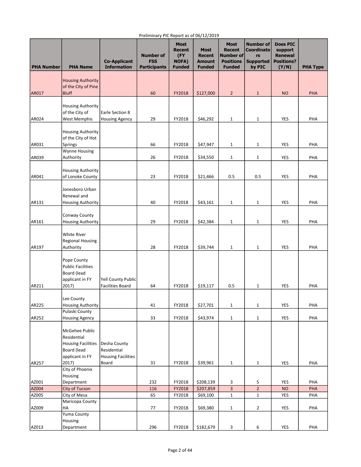| <b>PHA Number</b> | <b>PHA Name</b>                                                                              | <b>Co-Applicant</b><br><b>Information</b>                | <b>Number of</b><br><b>FSS</b><br><b>Participants</b> | <b>Most</b><br><b>Recent</b><br>(FY<br><b>NOFA)</b><br><b>Funded</b> | <b>Most</b><br><b>Recent</b><br><b>Amount</b><br><b>Funded</b> | <b>Most</b><br><b>Recent</b><br>Number of<br><b>Positions</b><br><b>Funded</b> | <b>Number of</b><br><b>Coordinato</b><br>rs<br><b>Supported</b><br>by PIC | <b>Does PIC</b><br>support<br><b>Renewal</b><br><b>Positions?</b><br>(Y/N) | <b>PHA Type</b> |
|-------------------|----------------------------------------------------------------------------------------------|----------------------------------------------------------|-------------------------------------------------------|----------------------------------------------------------------------|----------------------------------------------------------------|--------------------------------------------------------------------------------|---------------------------------------------------------------------------|----------------------------------------------------------------------------|-----------------|
|                   | <b>Housing Authority</b><br>of the City of Pine                                              |                                                          |                                                       |                                                                      |                                                                |                                                                                |                                                                           |                                                                            |                 |
| AR017             | <b>Bluff</b>                                                                                 |                                                          | 60                                                    | FY2018                                                               | \$127,000                                                      | $\overline{2}$                                                                 | $\mathbf{1}$                                                              | <b>NO</b>                                                                  | PHA             |
| AR024             | <b>Housing Authority</b><br>of the City of<br><b>West Memphis</b>                            | Earle Section 8<br><b>Housing Agency</b>                 | 29                                                    | FY2018                                                               | \$46,292                                                       | $\mathbf 1$                                                                    | 1                                                                         | YES                                                                        | PHA             |
| AR031             | <b>Housing Authority</b><br>of the City of Hot<br>Springs                                    |                                                          | 66                                                    | FY2018                                                               | \$47,947                                                       | $\mathbf{1}$                                                                   | 1                                                                         | <b>YES</b>                                                                 | PHA             |
|                   | Wynne Housing                                                                                |                                                          |                                                       |                                                                      |                                                                |                                                                                |                                                                           |                                                                            |                 |
| AR039             | Authority                                                                                    |                                                          | 26                                                    | FY2018                                                               | \$34,550                                                       | $\mathbf{1}$                                                                   | 1                                                                         | YES                                                                        | PHA             |
| AR041             | <b>Housing Authority</b><br>of Lonoke County                                                 |                                                          | 23                                                    | FY2018                                                               | \$21,466                                                       | 0.5                                                                            | 0.5                                                                       | <b>YES</b>                                                                 | PHA             |
| AR131             | Jonesboro Urban<br>Renewal and<br><b>Housing Authority</b>                                   |                                                          | 40                                                    | FY2018                                                               | \$43,161                                                       | 1                                                                              | 1                                                                         | <b>YES</b>                                                                 | PHA             |
|                   | Conway County                                                                                |                                                          |                                                       |                                                                      |                                                                |                                                                                |                                                                           |                                                                            |                 |
| AR161             | <b>Housing Authority</b>                                                                     |                                                          | 29                                                    | FY2018                                                               | \$42,384                                                       | 1                                                                              | 1                                                                         | YES                                                                        | PHA             |
|                   | <b>White River</b><br><b>Regional Housing</b>                                                |                                                          |                                                       |                                                                      |                                                                |                                                                                |                                                                           |                                                                            |                 |
| AR197             | Authority                                                                                    |                                                          | 28                                                    | FY2018                                                               | \$39,744                                                       | $\mathbf{1}$                                                                   | 1                                                                         | YES                                                                        | PHA             |
|                   | Pope County<br><b>Public Facilities</b><br>Board (lead<br>applicant in FY                    | Yell County Public                                       |                                                       |                                                                      |                                                                |                                                                                |                                                                           |                                                                            |                 |
| AR211             | 2017)                                                                                        | <b>Facilities Board</b>                                  | 64                                                    | FY2018                                                               | \$19,117                                                       | 0.5                                                                            | 1                                                                         | YES                                                                        | PHA             |
| AR225             | Lee County<br><b>Housing Authority</b>                                                       |                                                          | 41                                                    | FY2018                                                               | \$27,701                                                       | $\mathbf{1}$                                                                   | $\mathbf{1}$                                                              | YES                                                                        | PHA             |
| AR252             | Pulaski County<br><b>Housing Agency</b>                                                      |                                                          | 33                                                    | FY2018                                                               | \$43,974                                                       | $\mathbf 1$                                                                    | 1                                                                         | YES                                                                        | PHA             |
|                   | McGehee Public<br>Residential<br><b>Housing Facilities</b><br>Board (lead<br>applicant in FY | Desha County<br>Residential<br><b>Housing Facilities</b> |                                                       |                                                                      |                                                                |                                                                                |                                                                           |                                                                            |                 |
| AR257             | 2017)                                                                                        | Board                                                    | 31                                                    | FY2018                                                               | \$39,961                                                       | $\mathbf{1}$                                                                   | $\mathbf{1}$                                                              | YES                                                                        | PHA             |
| AZ001             | City of Phoenix<br>Housing<br>Department                                                     |                                                          | 232                                                   | FY2018                                                               | \$208,139                                                      | 3                                                                              | 5                                                                         | YES                                                                        | PHA             |
| AZ004             | <b>City of Tucson</b>                                                                        |                                                          | 116                                                   | FY2018                                                               | \$207,859                                                      | $\overline{\mathbf{3}}$                                                        | $\overline{2}$                                                            | <b>NO</b>                                                                  | PHA             |
| AZ005             | City of Mesa                                                                                 |                                                          | 65                                                    | FY2018                                                               | \$69,100                                                       | $\mathbf 1$                                                                    | $\mathbf{1}$                                                              | YES                                                                        | PHA             |
| AZ009             | Maricopa County<br>НA<br>Yuma County                                                         |                                                          | 77                                                    | FY2018                                                               | \$69,380                                                       | $\mathbf{1}$                                                                   | $\overline{2}$                                                            | YES                                                                        | PHA             |
| AZ013             | Housing<br>Department                                                                        |                                                          | 296                                                   | FY2018                                                               | \$182,679                                                      | 3                                                                              | 6                                                                         | YES                                                                        | PHA             |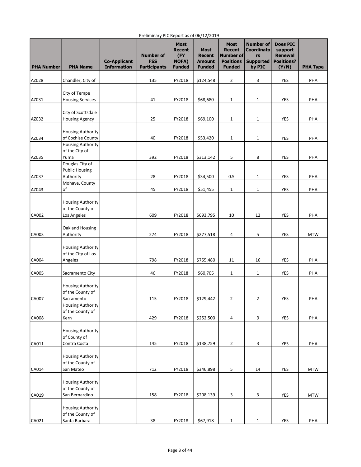| <b>PHA Number</b> | <b>PHA Name</b>                                                | <b>Co-Applicant</b><br><b>Information</b> | <b>Number of</b><br><b>FSS</b><br><b>Participants</b> | <b>Most</b><br><b>Recent</b><br>(FY<br><b>NOFA)</b><br><b>Funded</b> | <b>Most</b><br><b>Recent</b><br><b>Amount</b><br><b>Funded</b> | <b>Most</b><br><b>Recent</b><br>Number of<br><b>Positions</b><br><b>Funded</b> | <b>Number of</b><br><b>Coordinato</b><br>rs<br><b>Supported</b><br>by PIC | <b>Does PIC</b><br>support<br><b>Renewal</b><br><b>Positions?</b><br>(Y/N) | <b>PHA Type</b> |
|-------------------|----------------------------------------------------------------|-------------------------------------------|-------------------------------------------------------|----------------------------------------------------------------------|----------------------------------------------------------------|--------------------------------------------------------------------------------|---------------------------------------------------------------------------|----------------------------------------------------------------------------|-----------------|
| AZ028             | Chandler, City of                                              |                                           | 135                                                   | FY2018                                                               | \$124,548                                                      | $\overline{2}$                                                                 | 3                                                                         | YES                                                                        | PHA             |
|                   |                                                                |                                           |                                                       |                                                                      |                                                                |                                                                                |                                                                           |                                                                            |                 |
| AZ031             | City of Tempe<br><b>Housing Services</b>                       |                                           | 41                                                    | FY2018                                                               | \$68,680                                                       | $\mathbf{1}$                                                                   | 1                                                                         | YES                                                                        | PHA             |
|                   | City of Scottsdale                                             |                                           |                                                       |                                                                      |                                                                |                                                                                |                                                                           |                                                                            |                 |
| AZ032             | <b>Housing Agency</b>                                          |                                           | 25                                                    | FY2018                                                               | \$69,100                                                       | $\mathbf{1}$                                                                   | 1                                                                         | YES                                                                        | PHA             |
|                   | <b>Housing Authority</b>                                       |                                           |                                                       |                                                                      |                                                                |                                                                                |                                                                           |                                                                            |                 |
| AZ034             | of Cochise County<br><b>Housing Authority</b>                  |                                           | 40                                                    | FY2018                                                               | \$53,420                                                       | 1                                                                              | $\mathbf{1}$                                                              | YES                                                                        | PHA             |
| AZ035             | of the City of<br>Yuma                                         |                                           | 392                                                   | FY2018                                                               | \$313,142                                                      | 5                                                                              | 8                                                                         | YES                                                                        | PHA             |
|                   | Douglas City of                                                |                                           |                                                       |                                                                      |                                                                |                                                                                |                                                                           |                                                                            |                 |
|                   | <b>Public Housing</b>                                          |                                           |                                                       |                                                                      |                                                                |                                                                                |                                                                           |                                                                            |                 |
| AZ037             | Authority<br>Mohave, County                                    |                                           | 28                                                    | FY2018                                                               | \$34,500                                                       | 0.5                                                                            | 1                                                                         | YES                                                                        | PHA             |
| AZ043             | 0f                                                             |                                           | 45                                                    | FY2018                                                               | \$51,455                                                       | $\mathbf{1}$                                                                   | $\mathbf{1}$                                                              | YES                                                                        | PHA             |
| <b>CA002</b>      | <b>Housing Authority</b><br>of the County of<br>Los Angeles    |                                           | 609                                                   | FY2018                                                               | \$693,795                                                      | 10                                                                             | 12                                                                        | YES                                                                        | PHA             |
|                   |                                                                |                                           |                                                       |                                                                      |                                                                |                                                                                |                                                                           |                                                                            |                 |
| CA003             | Oakland Housing<br>Authority                                   |                                           | 274                                                   | FY2018                                                               | \$277,518                                                      | 4                                                                              | 5                                                                         | YES                                                                        | <b>MTW</b>      |
|                   | <b>Housing Authority</b><br>of the City of Los                 |                                           |                                                       |                                                                      |                                                                |                                                                                |                                                                           |                                                                            |                 |
| <b>CA004</b>      | Angeles                                                        |                                           | 798                                                   | FY2018                                                               | \$755,480                                                      | 11                                                                             | 16                                                                        | YES                                                                        | PHA             |
| CA005             | Sacramento City                                                |                                           | 46                                                    | FY2018                                                               | \$60,705                                                       | $\mathbf{1}$                                                                   | 1                                                                         | YES                                                                        | PHA             |
| CA007             | <b>Housing Authority</b><br>of the County of                   |                                           | 115                                                   | FY2018                                                               |                                                                |                                                                                |                                                                           | YES                                                                        |                 |
|                   | Sacramento<br><b>Housing Authority</b>                         |                                           |                                                       |                                                                      | \$129,442                                                      | $\overline{2}$                                                                 | $\overline{2}$                                                            |                                                                            | PHA             |
| CA008             | of the County of<br>Kern                                       |                                           | 429                                                   | FY2018                                                               | \$252,500                                                      | 4                                                                              | 9                                                                         | YES                                                                        | PHA             |
| CA011             | <b>Housing Authority</b><br>of County of<br>Contra Costa       |                                           | 145                                                   | FY2018                                                               | \$138,759                                                      | $\overline{2}$                                                                 | 3                                                                         | <b>YES</b>                                                                 | PHA             |
|                   | <b>Housing Authority</b><br>of the County of                   |                                           |                                                       |                                                                      |                                                                |                                                                                |                                                                           |                                                                            |                 |
| CA014             | San Mateo                                                      |                                           | 712                                                   | FY2018                                                               | \$346,898                                                      | 5                                                                              | 14                                                                        | <b>YES</b>                                                                 | <b>MTW</b>      |
| CA019             | <b>Housing Authority</b><br>of the County of<br>San Bernardino |                                           | 158                                                   | FY2018                                                               | \$208,139                                                      | 3                                                                              | 3                                                                         | <b>YES</b>                                                                 | <b>MTW</b>      |
|                   |                                                                |                                           |                                                       |                                                                      |                                                                |                                                                                |                                                                           |                                                                            |                 |
| CA021             | <b>Housing Authority</b><br>of the County of<br>Santa Barbara  |                                           | 38                                                    | FY2018                                                               | \$67,918                                                       | $\mathbf{1}$                                                                   | $\mathbf{1}$                                                              | YES                                                                        | PHA             |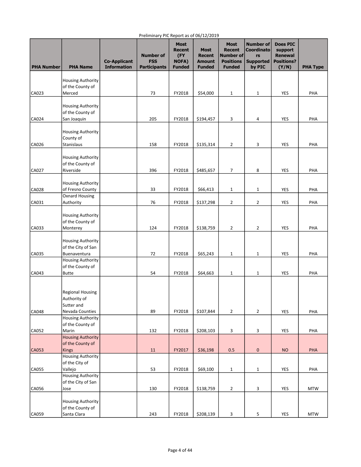| <b>PHA Number</b> | <b>PHA Name</b>                                | <b>Co-Applicant</b><br><b>Information</b> | <b>Number of</b><br><b>FSS</b><br><b>Participants</b> | <b>Most</b><br><b>Recent</b><br>(FY<br><b>NOFA)</b><br><b>Funded</b> | <b>Most</b><br><b>Recent</b><br><b>Amount</b><br><b>Funded</b> | <b>Most</b><br><b>Recent</b><br>Number of<br><b>Positions</b><br><b>Funded</b> | <b>Number of</b><br><b>Coordinato</b><br>rs<br><b>Supported</b><br>by PIC | <b>Does PIC</b><br>support<br><b>Renewal</b><br><b>Positions?</b><br>(Y/N) | <b>PHA Type</b> |
|-------------------|------------------------------------------------|-------------------------------------------|-------------------------------------------------------|----------------------------------------------------------------------|----------------------------------------------------------------|--------------------------------------------------------------------------------|---------------------------------------------------------------------------|----------------------------------------------------------------------------|-----------------|
|                   | <b>Housing Authority</b>                       |                                           |                                                       |                                                                      |                                                                |                                                                                |                                                                           |                                                                            |                 |
|                   | of the County of                               |                                           |                                                       |                                                                      |                                                                |                                                                                |                                                                           |                                                                            |                 |
| CA023             | Merced                                         |                                           | 73                                                    | FY2018                                                               | \$54,000                                                       | $\mathbf{1}$                                                                   | $\mathbf{1}$                                                              | <b>YES</b>                                                                 | PHA             |
|                   |                                                |                                           |                                                       |                                                                      |                                                                |                                                                                |                                                                           |                                                                            |                 |
|                   | <b>Housing Authority</b><br>of the County of   |                                           |                                                       |                                                                      |                                                                |                                                                                |                                                                           |                                                                            |                 |
| CA024             | San Joaquin                                    |                                           | 205                                                   | FY2018                                                               | \$194,457                                                      | 3                                                                              | 4                                                                         | YES                                                                        | PHA             |
|                   |                                                |                                           |                                                       |                                                                      |                                                                |                                                                                |                                                                           |                                                                            |                 |
|                   | <b>Housing Authority</b>                       |                                           |                                                       |                                                                      |                                                                |                                                                                |                                                                           |                                                                            |                 |
|                   | County of                                      |                                           |                                                       |                                                                      |                                                                |                                                                                |                                                                           |                                                                            |                 |
| CA026             | Stanislaus                                     |                                           | 158                                                   | FY2018                                                               | \$135,314                                                      | 2                                                                              | 3                                                                         | <b>YES</b>                                                                 | PHA             |
|                   | <b>Housing Authority</b>                       |                                           |                                                       |                                                                      |                                                                |                                                                                |                                                                           |                                                                            |                 |
|                   | of the County of                               |                                           |                                                       |                                                                      |                                                                |                                                                                |                                                                           |                                                                            |                 |
| CA027             | Riverside                                      |                                           | 396                                                   | FY2018                                                               | \$485,657                                                      | 7                                                                              | 8                                                                         | YES                                                                        | PHA             |
|                   |                                                |                                           |                                                       |                                                                      |                                                                |                                                                                |                                                                           |                                                                            |                 |
|                   | <b>Housing Authority</b>                       |                                           |                                                       |                                                                      |                                                                |                                                                                |                                                                           |                                                                            |                 |
| CA028             | of Fresno County<br><b>Oxnard Housing</b>      |                                           | 33                                                    | FY2018                                                               | \$66,413                                                       | $\mathbf{1}$                                                                   | $\mathbf{1}$                                                              | <b>YES</b>                                                                 | PHA             |
| CA031             | Authority                                      |                                           | 76                                                    | FY2018                                                               | \$137,298                                                      | $\overline{2}$                                                                 | $\overline{2}$                                                            | YES                                                                        | PHA             |
|                   |                                                |                                           |                                                       |                                                                      |                                                                |                                                                                |                                                                           |                                                                            |                 |
|                   | <b>Housing Authority</b>                       |                                           |                                                       |                                                                      |                                                                |                                                                                |                                                                           |                                                                            |                 |
|                   | of the County of                               |                                           |                                                       |                                                                      |                                                                |                                                                                |                                                                           |                                                                            |                 |
| CA033             | Monterey                                       |                                           | 124                                                   | FY2018                                                               | \$138,759                                                      | $\overline{2}$                                                                 | 2                                                                         | YES                                                                        | PHA             |
|                   |                                                |                                           |                                                       |                                                                      |                                                                |                                                                                |                                                                           |                                                                            |                 |
|                   | <b>Housing Authority</b><br>of the City of San |                                           |                                                       |                                                                      |                                                                |                                                                                |                                                                           |                                                                            |                 |
| CA035             | Buenaventura                                   |                                           | 72                                                    | FY2018                                                               | \$65,243                                                       | $\mathbf{1}$                                                                   | 1                                                                         | <b>YES</b>                                                                 | PHA             |
|                   | <b>Housing Authority</b>                       |                                           |                                                       |                                                                      |                                                                |                                                                                |                                                                           |                                                                            |                 |
|                   | of the County of                               |                                           |                                                       |                                                                      |                                                                |                                                                                |                                                                           |                                                                            |                 |
| CA043             | <b>Butte</b>                                   |                                           | 54                                                    | FY2018                                                               | \$64,663                                                       | $\mathbf{1}$                                                                   | $\mathbf{1}$                                                              | YES                                                                        | PHA             |
|                   |                                                |                                           |                                                       |                                                                      |                                                                |                                                                                |                                                                           |                                                                            |                 |
|                   | <b>Regional Housing</b>                        |                                           |                                                       |                                                                      |                                                                |                                                                                |                                                                           |                                                                            |                 |
|                   | Authority of                                   |                                           |                                                       |                                                                      |                                                                |                                                                                |                                                                           |                                                                            |                 |
|                   | Sutter and                                     |                                           |                                                       |                                                                      |                                                                |                                                                                |                                                                           |                                                                            |                 |
| CA048             | Nevada Counties                                |                                           | 89                                                    | FY2018                                                               | \$107,844                                                      | $\overline{2}$                                                                 | 2                                                                         | YES                                                                        | PHA             |
|                   | <b>Housing Authority</b>                       |                                           |                                                       |                                                                      |                                                                |                                                                                |                                                                           |                                                                            |                 |
| CA052             | of the County of<br>Marin                      |                                           | 132                                                   | FY2018                                                               | \$208,103                                                      | 3                                                                              | 3                                                                         | YES                                                                        | PHA             |
|                   | <b>Housing Authority</b>                       |                                           |                                                       |                                                                      |                                                                |                                                                                |                                                                           |                                                                            |                 |
|                   | of the County of                               |                                           |                                                       |                                                                      |                                                                |                                                                                |                                                                           |                                                                            |                 |
| CA053             | <b>Kings</b>                                   |                                           | 11                                                    | FY2017                                                               | \$36,198                                                       | 0.5                                                                            | 0                                                                         | <b>NO</b>                                                                  | PHA             |
|                   | <b>Housing Authority</b>                       |                                           |                                                       |                                                                      |                                                                |                                                                                |                                                                           |                                                                            |                 |
|                   | of the City of                                 |                                           |                                                       |                                                                      |                                                                |                                                                                |                                                                           |                                                                            |                 |
| CA055             | Vallejo<br><b>Housing Authority</b>            |                                           | 53                                                    | FY2018                                                               | \$69,100                                                       | $\mathbf{1}$                                                                   | $\mathbf{1}$                                                              | YES                                                                        | PHA             |
|                   | of the City of San                             |                                           |                                                       |                                                                      |                                                                |                                                                                |                                                                           |                                                                            |                 |
| CA056             | Jose                                           |                                           | 130                                                   | FY2018                                                               | \$138,759                                                      | $\overline{2}$                                                                 | 3                                                                         | YES                                                                        | <b>MTW</b>      |
|                   |                                                |                                           |                                                       |                                                                      |                                                                |                                                                                |                                                                           |                                                                            |                 |
|                   | Housing Authority                              |                                           |                                                       |                                                                      |                                                                |                                                                                |                                                                           |                                                                            |                 |
| CA059             | of the County of<br>Santa Clara                |                                           | 243                                                   | FY2018                                                               | \$208,139                                                      | $\mathsf 3$                                                                    | 5                                                                         | YES                                                                        | <b>MTW</b>      |
|                   |                                                |                                           |                                                       |                                                                      |                                                                |                                                                                |                                                                           |                                                                            |                 |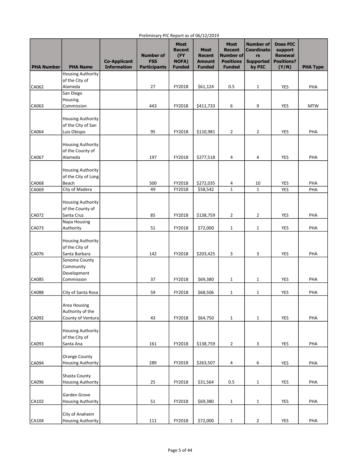| <b>PHA Number</b> | <b>PHA Name</b>                                         | <b>Co-Applicant</b><br><b>Information</b> | <b>Number of</b><br><b>FSS</b><br><b>Participants</b> | <b>Most</b><br><b>Recent</b><br>(FY<br><b>NOFA)</b><br><b>Funded</b> | <b>Most</b><br><b>Recent</b><br><b>Amount</b><br><b>Funded</b> | <b>Most</b><br><b>Recent</b><br>Number of<br><b>Positions</b><br><b>Funded</b> | <b>Number of</b><br><b>Coordinato</b><br>rs<br><b>Supported</b><br>by PIC | <b>Does PIC</b><br>support<br><b>Renewal</b><br><b>Positions?</b><br>(Y/N) | <b>PHA Type</b> |
|-------------------|---------------------------------------------------------|-------------------------------------------|-------------------------------------------------------|----------------------------------------------------------------------|----------------------------------------------------------------|--------------------------------------------------------------------------------|---------------------------------------------------------------------------|----------------------------------------------------------------------------|-----------------|
|                   | <b>Housing Authority</b>                                |                                           |                                                       |                                                                      |                                                                |                                                                                |                                                                           |                                                                            |                 |
|                   | of the City of                                          |                                           |                                                       |                                                                      |                                                                |                                                                                |                                                                           |                                                                            |                 |
| CA062             | Alameda                                                 |                                           | 27                                                    | FY2018                                                               | \$61,124                                                       | 0.5                                                                            | 1                                                                         | YES                                                                        | PHA             |
|                   | San Diego<br>Housing                                    |                                           |                                                       |                                                                      |                                                                |                                                                                |                                                                           |                                                                            |                 |
| CA063             | Commission                                              |                                           | 443                                                   | FY2018                                                               | \$411,733                                                      | 6                                                                              | 9                                                                         | <b>YES</b>                                                                 | <b>MTW</b>      |
|                   |                                                         |                                           |                                                       |                                                                      |                                                                |                                                                                |                                                                           |                                                                            |                 |
|                   | <b>Housing Authority</b>                                |                                           |                                                       |                                                                      |                                                                |                                                                                |                                                                           |                                                                            |                 |
|                   | of the City of San                                      |                                           |                                                       |                                                                      |                                                                |                                                                                |                                                                           |                                                                            |                 |
| CA064             | Luis Obispo                                             |                                           | 95                                                    | FY2018                                                               | \$110,981                                                      | $\overline{2}$                                                                 | $\overline{2}$                                                            | YES                                                                        | PHA             |
|                   | Housing Authority                                       |                                           |                                                       |                                                                      |                                                                |                                                                                |                                                                           |                                                                            |                 |
|                   | of the County of                                        |                                           |                                                       |                                                                      |                                                                |                                                                                |                                                                           |                                                                            |                 |
| CA067             | Alameda                                                 |                                           | 197                                                   | FY2018                                                               | \$277,518                                                      | 4                                                                              | 4                                                                         | YES                                                                        | PHA             |
|                   |                                                         |                                           |                                                       |                                                                      |                                                                |                                                                                |                                                                           |                                                                            |                 |
|                   | <b>Housing Authority</b>                                |                                           |                                                       |                                                                      |                                                                |                                                                                |                                                                           |                                                                            |                 |
| CA068             | of the City of Long<br>Beach                            |                                           | 500                                                   | FY2018                                                               | \$272,035                                                      | 4                                                                              | 10                                                                        | YES                                                                        | PHA             |
| CA069             | City of Madera                                          |                                           | 49                                                    | FY2018                                                               | \$58,542                                                       | $\mathbf{1}$                                                                   | $\mathbf{1}$                                                              | <b>YES</b>                                                                 | PHA             |
|                   |                                                         |                                           |                                                       |                                                                      |                                                                |                                                                                |                                                                           |                                                                            |                 |
|                   | <b>Housing Authority</b>                                |                                           |                                                       |                                                                      |                                                                |                                                                                |                                                                           |                                                                            |                 |
|                   | of the County of                                        |                                           |                                                       |                                                                      |                                                                |                                                                                |                                                                           |                                                                            |                 |
| CA072             | Santa Cruz<br>Napa Housing                              |                                           | 85                                                    | FY2018                                                               | \$138,759                                                      | $\overline{2}$                                                                 | 2                                                                         | YES                                                                        | PHA             |
| CA073             | Authority                                               |                                           | 51                                                    | FY2018                                                               | \$72,000                                                       | $\mathbf{1}$                                                                   | $\mathbf 1$                                                               | <b>YES</b>                                                                 | PHA             |
|                   | <b>Housing Authority</b><br>of the City of              |                                           |                                                       |                                                                      |                                                                |                                                                                |                                                                           |                                                                            |                 |
| CA076             | Santa Barbara                                           |                                           | 142                                                   | FY2018                                                               | \$203,425                                                      | 3                                                                              | 3                                                                         | <b>YES</b>                                                                 | PHA             |
| CA085             | Sonoma County<br>Community<br>Development<br>Commission |                                           | 37                                                    | FY2018                                                               | \$69,380                                                       | $\mathbf{1}$                                                                   | 1                                                                         | YES                                                                        | PHA             |
|                   |                                                         |                                           |                                                       |                                                                      |                                                                |                                                                                |                                                                           |                                                                            |                 |
| <b>CA088</b>      | City of Santa Rosa                                      |                                           | 59                                                    | FY2018                                                               | \$68,506                                                       | 1                                                                              | 1                                                                         | YES                                                                        | PHA             |
| CA092             | Area Housing<br>Authority of the<br>County of Ventura   |                                           | 43                                                    | FY2018                                                               | \$64,750                                                       | $\mathbf{1}$                                                                   | 1                                                                         | YES                                                                        | PHA             |
|                   |                                                         |                                           |                                                       |                                                                      |                                                                |                                                                                |                                                                           |                                                                            |                 |
|                   | <b>Housing Authority</b>                                |                                           |                                                       |                                                                      |                                                                |                                                                                |                                                                           |                                                                            |                 |
|                   | of the City of                                          |                                           |                                                       |                                                                      |                                                                |                                                                                |                                                                           |                                                                            |                 |
| CA093             | Santa Ana                                               |                                           | 161                                                   | FY2018                                                               | \$138,759                                                      | $\overline{2}$                                                                 | 3                                                                         | YES                                                                        | PHA             |
|                   | <b>Orange County</b>                                    |                                           |                                                       |                                                                      |                                                                |                                                                                |                                                                           |                                                                            |                 |
| CA094             | <b>Housing Authority</b>                                |                                           | 289                                                   | FY2018                                                               | \$263,507                                                      | $\overline{4}$                                                                 | 6                                                                         | <b>YES</b>                                                                 | PHA             |
|                   |                                                         |                                           |                                                       |                                                                      |                                                                |                                                                                |                                                                           |                                                                            |                 |
|                   | Shasta County                                           |                                           |                                                       |                                                                      |                                                                |                                                                                |                                                                           |                                                                            |                 |
| CA096             | <b>Housing Authority</b>                                |                                           | 25                                                    | FY2018                                                               | \$31,564                                                       | 0.5                                                                            | $\mathbf{1}$                                                              | YES                                                                        | PHA             |
|                   | Garden Grove                                            |                                           |                                                       |                                                                      |                                                                |                                                                                |                                                                           |                                                                            |                 |
| CA102             | <b>Housing Authority</b>                                |                                           | 51                                                    | FY2018                                                               | \$69,380                                                       | $\mathbf{1}$                                                                   | $\mathbf 1$                                                               | <b>YES</b>                                                                 | PHA             |
|                   |                                                         |                                           |                                                       |                                                                      |                                                                |                                                                                |                                                                           |                                                                            |                 |
| CA104             | City of Anaheim<br><b>Housing Authority</b>             |                                           | 111                                                   | FY2018                                                               | \$72,000                                                       | $\mathbf{1}$                                                                   | $\overline{2}$                                                            | YES                                                                        | PHA             |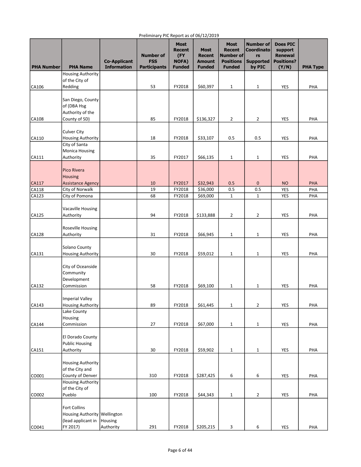| <b>PHA Number</b> | <b>PHA Name</b>                    | <b>Co-Applicant</b><br><b>Information</b> | <b>Number of</b><br><b>FSS</b><br><b>Participants</b> | <b>Most</b><br>Recent<br>(FY<br><b>NOFA)</b><br><b>Funded</b> | <b>Most</b><br><b>Recent</b><br><b>Amount</b><br><b>Funded</b> | <b>Most</b><br><b>Recent</b><br>Number of<br><b>Positions</b><br><b>Funded</b> | <b>Number of</b><br><b>Coordinato</b><br>rs<br><b>Supported</b><br>by PIC | <b>Does PIC</b><br>support<br><b>Renewal</b><br><b>Positions?</b><br>(Y/N) | <b>PHA Type</b> |
|-------------------|------------------------------------|-------------------------------------------|-------------------------------------------------------|---------------------------------------------------------------|----------------------------------------------------------------|--------------------------------------------------------------------------------|---------------------------------------------------------------------------|----------------------------------------------------------------------------|-----------------|
|                   | <b>Housing Authority</b>           |                                           |                                                       |                                                               |                                                                |                                                                                |                                                                           |                                                                            |                 |
|                   | of the City of                     |                                           |                                                       |                                                               |                                                                |                                                                                |                                                                           |                                                                            |                 |
| CA106             | Redding                            |                                           | 53                                                    | FY2018                                                        | \$60,397                                                       | $\mathbf{1}$                                                                   | $\mathbf{1}$                                                              | YES                                                                        | PHA             |
|                   |                                    |                                           |                                                       |                                                               |                                                                |                                                                                |                                                                           |                                                                            |                 |
|                   | San Diego, County                  |                                           |                                                       |                                                               |                                                                |                                                                                |                                                                           |                                                                            |                 |
|                   | of (DBA Hsg                        |                                           |                                                       |                                                               |                                                                |                                                                                |                                                                           |                                                                            |                 |
| CA108             | Authority of the<br>County of SD)  |                                           | 85                                                    | FY2018                                                        | \$136,327                                                      | $\overline{2}$                                                                 | 2                                                                         | YES                                                                        | PHA             |
|                   |                                    |                                           |                                                       |                                                               |                                                                |                                                                                |                                                                           |                                                                            |                 |
|                   | <b>Culver City</b>                 |                                           |                                                       |                                                               |                                                                |                                                                                |                                                                           |                                                                            |                 |
| CA110             | <b>Housing Authority</b>           |                                           | 18                                                    | FY2018                                                        | \$33,107                                                       | 0.5                                                                            | 0.5                                                                       | YES                                                                        | PHA             |
|                   | City of Santa                      |                                           |                                                       |                                                               |                                                                |                                                                                |                                                                           |                                                                            |                 |
|                   | <b>Monica Housing</b>              |                                           |                                                       |                                                               |                                                                |                                                                                |                                                                           |                                                                            |                 |
| CA111             | Authority                          |                                           | 35                                                    | FY2017                                                        | \$66,135                                                       | $\mathbf{1}$                                                                   | 1                                                                         | YES                                                                        | PHA             |
|                   |                                    |                                           |                                                       |                                                               |                                                                |                                                                                |                                                                           |                                                                            |                 |
|                   | Pico Rivera                        |                                           |                                                       |                                                               |                                                                |                                                                                |                                                                           |                                                                            |                 |
|                   | <b>Housing</b>                     |                                           |                                                       |                                                               |                                                                |                                                                                |                                                                           |                                                                            |                 |
| CA117             | <b>Assistance Agency</b>           |                                           | 10                                                    | FY2017                                                        | \$32,943                                                       | 0.5                                                                            | 0                                                                         | <b>NO</b>                                                                  | <b>PHA</b>      |
| CA118<br>CA123    | City of Norwalk<br>City of Pomona  |                                           | 19<br>68                                              | FY2018<br>FY2018                                              | \$36,000<br>\$69,000                                           | 0.5<br>$\mathbf{1}$                                                            | 0.5<br>$\mathbf{1}$                                                       | <b>YES</b><br>YES                                                          | PHA<br>PHA      |
|                   |                                    |                                           |                                                       |                                                               |                                                                |                                                                                |                                                                           |                                                                            |                 |
|                   | <b>Vacaville Housing</b>           |                                           |                                                       |                                                               |                                                                |                                                                                |                                                                           |                                                                            |                 |
| CA125             | Authority                          |                                           | 94                                                    | FY2018                                                        | \$133,888                                                      | 2                                                                              | $\overline{2}$                                                            | YES                                                                        | PHA             |
|                   |                                    |                                           |                                                       |                                                               |                                                                |                                                                                |                                                                           |                                                                            |                 |
|                   | Roseville Housing                  |                                           |                                                       |                                                               |                                                                |                                                                                |                                                                           |                                                                            |                 |
| CA128             | Authority                          |                                           | 31                                                    | FY2018                                                        | \$66,945                                                       | $\mathbf{1}$                                                                   | 1                                                                         | YES                                                                        | PHA             |
|                   |                                    |                                           |                                                       |                                                               |                                                                |                                                                                |                                                                           |                                                                            |                 |
|                   | Solano County                      |                                           |                                                       |                                                               |                                                                |                                                                                |                                                                           |                                                                            |                 |
| CA131             | <b>Housing Authority</b>           |                                           | 30                                                    | FY2018                                                        | \$59,012                                                       | $\mathbf{1}$                                                                   | 1                                                                         | YES                                                                        | PHA             |
|                   |                                    |                                           |                                                       |                                                               |                                                                |                                                                                |                                                                           |                                                                            |                 |
|                   | City of Oceanside<br>Community     |                                           |                                                       |                                                               |                                                                |                                                                                |                                                                           |                                                                            |                 |
|                   | Development                        |                                           |                                                       |                                                               |                                                                |                                                                                |                                                                           |                                                                            |                 |
| CA132             | Commission                         |                                           | 58                                                    | FY2018                                                        | \$69,100                                                       | $\mathbf 1$                                                                    | 1                                                                         | YES                                                                        | PHA             |
|                   |                                    |                                           |                                                       |                                                               |                                                                |                                                                                |                                                                           |                                                                            |                 |
|                   | Imperial Valley                    |                                           |                                                       |                                                               |                                                                |                                                                                |                                                                           |                                                                            |                 |
| CA143             | <b>Housing Authority</b>           |                                           | 89                                                    | FY2018                                                        | \$61,445                                                       | $\mathbf{1}$                                                                   | $\overline{2}$                                                            | YES                                                                        | PHA             |
|                   | Lake County                        |                                           |                                                       |                                                               |                                                                |                                                                                |                                                                           |                                                                            |                 |
|                   | Housing                            |                                           |                                                       |                                                               |                                                                |                                                                                |                                                                           |                                                                            |                 |
| CA144             | Commission                         |                                           | 27                                                    | FY2018                                                        | \$67,000                                                       | $\mathbf{1}$                                                                   | $\mathbf 1$                                                               | YES                                                                        | PHA             |
|                   |                                    |                                           |                                                       |                                                               |                                                                |                                                                                |                                                                           |                                                                            |                 |
|                   | El Dorado County                   |                                           |                                                       |                                                               |                                                                |                                                                                |                                                                           |                                                                            |                 |
| CA151             | <b>Public Housing</b><br>Authority |                                           | 30                                                    | FY2018                                                        | \$59,902                                                       |                                                                                |                                                                           | YES                                                                        | PHA             |
|                   |                                    |                                           |                                                       |                                                               |                                                                | $\mathbf{1}$                                                                   | $\mathbf 1$                                                               |                                                                            |                 |
|                   | Housing Authority                  |                                           |                                                       |                                                               |                                                                |                                                                                |                                                                           |                                                                            |                 |
|                   | of the City and                    |                                           |                                                       |                                                               |                                                                |                                                                                |                                                                           |                                                                            |                 |
| CO001             | County of Denver                   |                                           | 310                                                   | FY2018                                                        | \$287,425                                                      | 6                                                                              | 6                                                                         | YES                                                                        | PHA             |
|                   | Housing Authority                  |                                           |                                                       |                                                               |                                                                |                                                                                |                                                                           |                                                                            |                 |
|                   | of the City of                     |                                           |                                                       |                                                               |                                                                |                                                                                |                                                                           |                                                                            |                 |
| CO002             | Pueblo                             |                                           | 100                                                   | FY2018                                                        | \$44,343                                                       | $\mathbf{1}$                                                                   | $\overline{2}$                                                            | YES                                                                        | PHA             |
|                   |                                    |                                           |                                                       |                                                               |                                                                |                                                                                |                                                                           |                                                                            |                 |
|                   | <b>Fort Collins</b>                |                                           |                                                       |                                                               |                                                                |                                                                                |                                                                           |                                                                            |                 |
|                   | Housing Authority Wellington       | Housing                                   |                                                       |                                                               |                                                                |                                                                                |                                                                           |                                                                            |                 |
| CO041             | (lead applicant in<br>FY 2017)     | Authority                                 | 291                                                   | FY2018                                                        | \$205,215                                                      | 3                                                                              | 6                                                                         | YES                                                                        | PHA             |
|                   |                                    |                                           |                                                       |                                                               |                                                                |                                                                                |                                                                           |                                                                            |                 |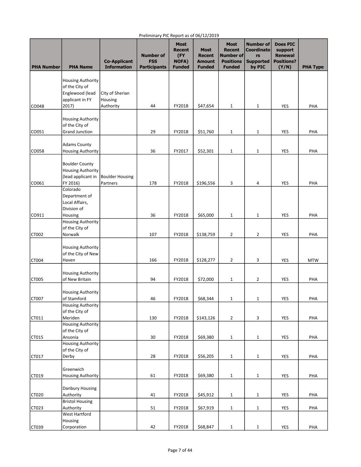| <b>PHA Number</b> | <b>PHA Name</b>                            | <b>Co-Applicant</b><br><b>Information</b> | <b>Number of</b><br><b>FSS</b><br><b>Participants</b> | Most<br>Recent<br>(FY<br><b>NOFA)</b><br><b>Funded</b> | - - - - - - -<br><b>Most</b><br><b>Recent</b><br><b>Amount</b><br><b>Funded</b> | Most<br><b>Recent</b><br>Number of<br><b>Positions</b><br><b>Funded</b> | <b>Number of</b><br><b>Coordinato</b><br>rs<br><b>Supported</b><br>by PIC | <b>Does PIC</b><br>support<br><b>Renewal</b><br><b>Positions?</b><br>(Y/N) | <b>PHA Type</b> |
|-------------------|--------------------------------------------|-------------------------------------------|-------------------------------------------------------|--------------------------------------------------------|---------------------------------------------------------------------------------|-------------------------------------------------------------------------|---------------------------------------------------------------------------|----------------------------------------------------------------------------|-----------------|
|                   |                                            |                                           |                                                       |                                                        |                                                                                 |                                                                         |                                                                           |                                                                            |                 |
|                   | <b>Housing Authority</b><br>of the City of |                                           |                                                       |                                                        |                                                                                 |                                                                         |                                                                           |                                                                            |                 |
|                   | Englewood (lead                            | City of Sherian                           |                                                       |                                                        |                                                                                 |                                                                         |                                                                           |                                                                            |                 |
|                   | applicant in FY                            | Housing                                   |                                                       |                                                        |                                                                                 |                                                                         |                                                                           |                                                                            |                 |
| CO048             | 2017)                                      | Authority                                 | 44                                                    | FY2018                                                 | \$47,654                                                                        | $\mathbf{1}$                                                            | $\mathbf{1}$                                                              | YES                                                                        | PHA             |
|                   |                                            |                                           |                                                       |                                                        |                                                                                 |                                                                         |                                                                           |                                                                            |                 |
|                   | <b>Housing Authority</b>                   |                                           |                                                       |                                                        |                                                                                 |                                                                         |                                                                           |                                                                            |                 |
|                   | of the City of                             |                                           |                                                       |                                                        |                                                                                 |                                                                         |                                                                           |                                                                            |                 |
| CO051             | <b>Grand Junction</b>                      |                                           | 29                                                    | FY2018                                                 | \$51,760                                                                        | $\mathbf{1}$                                                            | 1                                                                         | YES                                                                        | PHA             |
|                   | <b>Adams County</b>                        |                                           |                                                       |                                                        |                                                                                 |                                                                         |                                                                           |                                                                            |                 |
| CO058             | <b>Housing Authority</b>                   |                                           | 36                                                    | FY2017                                                 | \$52,301                                                                        | $\mathbf 1$                                                             | $\mathbf{1}$                                                              | YES                                                                        | PHA             |
|                   |                                            |                                           |                                                       |                                                        |                                                                                 |                                                                         |                                                                           |                                                                            |                 |
|                   | <b>Boulder County</b>                      |                                           |                                                       |                                                        |                                                                                 |                                                                         |                                                                           |                                                                            |                 |
|                   | <b>Housing Authority</b>                   |                                           |                                                       |                                                        |                                                                                 |                                                                         |                                                                           |                                                                            |                 |
|                   | (lead applicant in                         | <b>Boulder Housing</b>                    |                                                       |                                                        |                                                                                 |                                                                         |                                                                           |                                                                            |                 |
| CO061             | FY 2016)                                   | Partners                                  | 178                                                   | FY2018                                                 | \$196,556                                                                       | 3                                                                       | 4                                                                         | YES                                                                        | PHA             |
|                   | Colorado                                   |                                           |                                                       |                                                        |                                                                                 |                                                                         |                                                                           |                                                                            |                 |
|                   | Department of<br>Local Affairs,            |                                           |                                                       |                                                        |                                                                                 |                                                                         |                                                                           |                                                                            |                 |
|                   | Division of                                |                                           |                                                       |                                                        |                                                                                 |                                                                         |                                                                           |                                                                            |                 |
| CO911             | Housing                                    |                                           | 36                                                    | FY2018                                                 | \$65,000                                                                        | $\mathbf{1}$                                                            | $\mathbf{1}$                                                              | <b>YES</b>                                                                 | PHA             |
|                   | <b>Housing Authority</b>                   |                                           |                                                       |                                                        |                                                                                 |                                                                         |                                                                           |                                                                            |                 |
|                   | of the City of                             |                                           |                                                       |                                                        |                                                                                 |                                                                         |                                                                           |                                                                            |                 |
| CT002             | Norwalk                                    |                                           | 107                                                   | FY2018                                                 | \$138,759                                                                       | $\overline{2}$                                                          | $\overline{2}$                                                            | YES                                                                        | PHA             |
|                   |                                            |                                           |                                                       |                                                        |                                                                                 |                                                                         |                                                                           |                                                                            |                 |
|                   | <b>Housing Authority</b>                   |                                           |                                                       |                                                        |                                                                                 |                                                                         |                                                                           |                                                                            |                 |
|                   | of the City of New                         |                                           |                                                       |                                                        |                                                                                 |                                                                         |                                                                           |                                                                            |                 |
| CT004             | Haven                                      |                                           | 166                                                   | FY2018                                                 | \$128,277                                                                       | $\overline{2}$                                                          | 3                                                                         | YES                                                                        | <b>MTW</b>      |
|                   | <b>Housing Authority</b>                   |                                           |                                                       |                                                        |                                                                                 |                                                                         |                                                                           |                                                                            |                 |
| CT005             | of New Britain                             |                                           | 94                                                    | FY2018                                                 | \$72,000                                                                        | $\mathbf{1}$                                                            | $\overline{2}$                                                            | YES                                                                        | PHA             |
|                   |                                            |                                           |                                                       |                                                        |                                                                                 |                                                                         |                                                                           |                                                                            |                 |
|                   | <b>Housing Authority</b>                   |                                           |                                                       |                                                        |                                                                                 |                                                                         |                                                                           |                                                                            |                 |
| CT007             | of Stamford                                |                                           | 46                                                    | FY2018                                                 | \$68,344                                                                        | $\mathbf 1$                                                             | $\mathbf 1$                                                               | YES                                                                        | PHA             |
|                   | <b>Housing Authority</b>                   |                                           |                                                       |                                                        |                                                                                 |                                                                         |                                                                           |                                                                            |                 |
|                   | of the City of                             |                                           |                                                       |                                                        |                                                                                 |                                                                         |                                                                           |                                                                            |                 |
| CT011             | Meriden                                    |                                           | 130                                                   | FY2018                                                 | \$143,126                                                                       | $\overline{2}$                                                          | 3                                                                         | YES                                                                        | PHA             |
|                   | <b>Housing Authority</b><br>of the City of |                                           |                                                       |                                                        |                                                                                 |                                                                         |                                                                           |                                                                            |                 |
| CT015             | Ansonia                                    |                                           | 30                                                    | FY2018                                                 | \$69,380                                                                        | $\mathbf{1}$                                                            | $\mathbf{1}$                                                              | YES                                                                        | PHA             |
|                   | <b>Housing Authority</b>                   |                                           |                                                       |                                                        |                                                                                 |                                                                         |                                                                           |                                                                            |                 |
|                   | of the City of                             |                                           |                                                       |                                                        |                                                                                 |                                                                         |                                                                           |                                                                            |                 |
| CT017             | Derby                                      |                                           | 28                                                    | FY2018                                                 | \$56,205                                                                        | $\mathbf 1$                                                             | $\mathbf{1}$                                                              | YES                                                                        | PHA             |
|                   |                                            |                                           |                                                       |                                                        |                                                                                 |                                                                         |                                                                           |                                                                            |                 |
|                   | Greenwich                                  |                                           |                                                       |                                                        |                                                                                 |                                                                         |                                                                           |                                                                            |                 |
| CT019             | <b>Housing Authority</b>                   |                                           | 61                                                    | FY2018                                                 | \$69,380                                                                        | 1                                                                       | $\mathbf{1}$                                                              | YES                                                                        | PHA             |
|                   |                                            |                                           |                                                       |                                                        |                                                                                 |                                                                         |                                                                           |                                                                            |                 |
|                   | Danbury Housing<br>Authority               |                                           | 41                                                    | FY2018                                                 | \$45,912                                                                        | $\mathbf{1}$                                                            |                                                                           | YES                                                                        | PHA             |
| <b>CT020</b>      | <b>Bristol Housing</b>                     |                                           |                                                       |                                                        |                                                                                 |                                                                         | $\mathbf{1}$                                                              |                                                                            |                 |
| CT023             | Authority                                  |                                           | 51                                                    | FY2018                                                 | \$67,919                                                                        | $\mathbf{1}$                                                            | $\mathbf{1}$                                                              | YES                                                                        | PHA             |
|                   | <b>West Hartford</b>                       |                                           |                                                       |                                                        |                                                                                 |                                                                         |                                                                           |                                                                            |                 |
|                   | Housing                                    |                                           |                                                       |                                                        |                                                                                 |                                                                         |                                                                           |                                                                            |                 |
| CT039             | Corporation                                |                                           | 42                                                    | FY2018                                                 | \$68,847                                                                        | $\mathbf{1}$                                                            | $\mathbf{1}$                                                              | YES                                                                        | PHA             |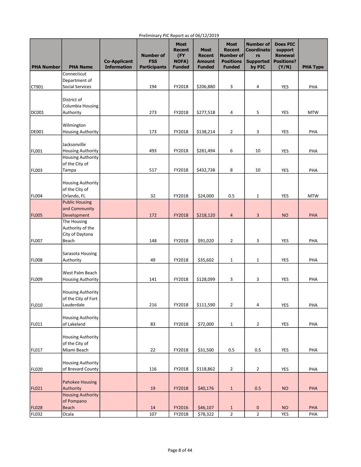| <b>PHA Number</b> | <b>PHA Name</b>                                      | <b>Co-Applicant</b><br><b>Information</b> | <b>Number of</b><br><b>FSS</b><br><b>Participants</b> | <b>Most</b><br><b>Recent</b><br>(FY<br><b>NOFA)</b><br><b>Funded</b> | <b>Most</b><br><b>Recent</b><br><b>Amount</b><br><b>Funded</b> | <b>Most</b><br><b>Recent</b><br>Number of<br><b>Positions</b><br><b>Funded</b> | <b>Number of</b><br><b>Coordinato</b><br>rs<br><b>Supported</b><br>by PIC | <b>Does PIC</b><br>support<br><b>Renewal</b><br><b>Positions?</b><br>(Y/N) | <b>PHA Type</b> |
|-------------------|------------------------------------------------------|-------------------------------------------|-------------------------------------------------------|----------------------------------------------------------------------|----------------------------------------------------------------|--------------------------------------------------------------------------------|---------------------------------------------------------------------------|----------------------------------------------------------------------------|-----------------|
|                   | Connecticut                                          |                                           |                                                       |                                                                      |                                                                |                                                                                |                                                                           |                                                                            |                 |
|                   | Department of                                        |                                           |                                                       |                                                                      |                                                                |                                                                                |                                                                           |                                                                            |                 |
| CT901             | <b>Social Services</b>                               |                                           | 194                                                   | FY2018                                                               | \$206,880                                                      | 3                                                                              | 4                                                                         | <b>YES</b>                                                                 | PHA             |
|                   |                                                      |                                           |                                                       |                                                                      |                                                                |                                                                                |                                                                           |                                                                            |                 |
|                   | District of<br>Columbia Housing                      |                                           |                                                       |                                                                      |                                                                |                                                                                |                                                                           |                                                                            |                 |
| <b>DC001</b>      | Authority                                            |                                           | 273                                                   | FY2018                                                               | \$277,518                                                      | 4                                                                              | 5                                                                         | YES                                                                        | <b>MTW</b>      |
|                   |                                                      |                                           |                                                       |                                                                      |                                                                |                                                                                |                                                                           |                                                                            |                 |
|                   | Wilmington                                           |                                           |                                                       |                                                                      |                                                                |                                                                                |                                                                           |                                                                            |                 |
| DE001             | <b>Housing Authority</b>                             |                                           | 173                                                   | FY2018                                                               | \$138,214                                                      | $\overline{2}$                                                                 | 3                                                                         | <b>YES</b>                                                                 | PHA             |
|                   |                                                      |                                           |                                                       |                                                                      |                                                                |                                                                                |                                                                           |                                                                            |                 |
|                   | Jacksonville                                         |                                           |                                                       |                                                                      |                                                                |                                                                                |                                                                           |                                                                            |                 |
| <b>FL001</b>      | <b>Housing Authority</b><br><b>Housing Authority</b> |                                           | 493                                                   | FY2018                                                               | \$281,494                                                      | 6                                                                              | 10                                                                        | YES                                                                        | PHA             |
|                   | of the City of                                       |                                           |                                                       |                                                                      |                                                                |                                                                                |                                                                           |                                                                            |                 |
| <b>FL003</b>      | Tampa                                                |                                           | 517                                                   | FY2018                                                               | \$432,738                                                      | 8                                                                              | 10                                                                        | YES                                                                        | PHA             |
|                   |                                                      |                                           |                                                       |                                                                      |                                                                |                                                                                |                                                                           |                                                                            |                 |
|                   | <b>Housing Authority</b>                             |                                           |                                                       |                                                                      |                                                                |                                                                                |                                                                           |                                                                            |                 |
|                   | of the City of                                       |                                           |                                                       |                                                                      |                                                                |                                                                                |                                                                           |                                                                            |                 |
| <b>FL004</b>      | Orlando, FL                                          |                                           | 32                                                    | FY2018                                                               | \$24,000                                                       | 0.5                                                                            | 1                                                                         | YES                                                                        | <b>MTW</b>      |
|                   | <b>Public Housing</b><br>and Community               |                                           |                                                       |                                                                      |                                                                |                                                                                |                                                                           |                                                                            |                 |
| <b>FL005</b>      | Development                                          |                                           | 172                                                   | FY2018                                                               | \$218,120                                                      | $\overline{a}$                                                                 | 3                                                                         | <b>NO</b>                                                                  | PHA             |
|                   | The Housing                                          |                                           |                                                       |                                                                      |                                                                |                                                                                |                                                                           |                                                                            |                 |
|                   | Authority of the                                     |                                           |                                                       |                                                                      |                                                                |                                                                                |                                                                           |                                                                            |                 |
|                   | City of Daytona                                      |                                           |                                                       |                                                                      |                                                                |                                                                                |                                                                           |                                                                            |                 |
| FL007             | Beach                                                |                                           | 148                                                   | FY2018                                                               | \$91,020                                                       | $\overline{2}$                                                                 | 3                                                                         | <b>YES</b>                                                                 | PHA             |
|                   |                                                      |                                           |                                                       |                                                                      |                                                                |                                                                                |                                                                           |                                                                            |                 |
|                   | Sarasota Housing                                     |                                           |                                                       |                                                                      |                                                                |                                                                                |                                                                           |                                                                            |                 |
| <b>FL008</b>      | Authority                                            |                                           | 49                                                    | FY2018                                                               | \$35,602                                                       | $\mathbf{1}$                                                                   | 1                                                                         | <b>YES</b>                                                                 | PHA             |
|                   | West Palm Beach                                      |                                           |                                                       |                                                                      |                                                                |                                                                                |                                                                           |                                                                            |                 |
| <b>FL009</b>      | <b>Housing Authority</b>                             |                                           | 141                                                   | FY2018                                                               | \$128,099                                                      | 3                                                                              | 3                                                                         | YES                                                                        | PHA             |
|                   |                                                      |                                           |                                                       |                                                                      |                                                                |                                                                                |                                                                           |                                                                            |                 |
|                   | <b>Housing Authority</b>                             |                                           |                                                       |                                                                      |                                                                |                                                                                |                                                                           |                                                                            |                 |
|                   | of the City of Fort                                  |                                           |                                                       |                                                                      |                                                                |                                                                                |                                                                           |                                                                            |                 |
| FL010             | Lauderdale                                           |                                           | 216                                                   | FY2018                                                               | \$111,590                                                      | $\overline{2}$                                                                 | 4                                                                         | <b>YES</b>                                                                 | PHA             |
|                   | <b>Housing Authority</b>                             |                                           |                                                       |                                                                      |                                                                |                                                                                |                                                                           |                                                                            |                 |
| FL011             | of Lakeland                                          |                                           | 83                                                    | FY2018                                                               | \$72,000                                                       | $1\,$                                                                          | $\overline{2}$                                                            | YES                                                                        | PHA             |
|                   |                                                      |                                           |                                                       |                                                                      |                                                                |                                                                                |                                                                           |                                                                            |                 |
|                   | <b>Housing Authority</b>                             |                                           |                                                       |                                                                      |                                                                |                                                                                |                                                                           |                                                                            |                 |
|                   | of the City of                                       |                                           |                                                       |                                                                      |                                                                |                                                                                |                                                                           |                                                                            |                 |
| FL017             | Miami Beach                                          |                                           | 22                                                    | FY2018                                                               | \$31,500                                                       | 0.5                                                                            | 0.5                                                                       | YES                                                                        | PHA             |
|                   |                                                      |                                           |                                                       |                                                                      |                                                                |                                                                                |                                                                           |                                                                            |                 |
|                   | Housing Authority                                    |                                           |                                                       |                                                                      |                                                                |                                                                                |                                                                           |                                                                            |                 |
| FL020             | of Brevard County                                    |                                           | 116                                                   | FY2018                                                               | \$118,862                                                      | $\overline{2}$                                                                 | 2                                                                         | YES                                                                        | PHA             |
|                   | Pahokee Housing                                      |                                           |                                                       |                                                                      |                                                                |                                                                                |                                                                           |                                                                            |                 |
| FL021             | Authority                                            |                                           | 19                                                    | FY2018                                                               | \$40,176                                                       | $\mathbf{1}$                                                                   | 0.5                                                                       | <b>NO</b>                                                                  | PHA             |
|                   | <b>Housing Authority</b>                             |                                           |                                                       |                                                                      |                                                                |                                                                                |                                                                           |                                                                            |                 |
|                   | of Pompano                                           |                                           |                                                       |                                                                      |                                                                |                                                                                |                                                                           |                                                                            |                 |
| <b>FL028</b>      | <b>Beach</b>                                         |                                           | 14                                                    | FY2016                                                               | \$46,107                                                       | $\mathbf{1}$                                                                   | 0                                                                         | <b>NO</b>                                                                  | PHA             |
| FL032             | Ocala                                                |                                           | 107                                                   | FY2018                                                               | \$78,322                                                       | $\overline{2}$                                                                 | $\overline{2}$                                                            | YES                                                                        | PHA             |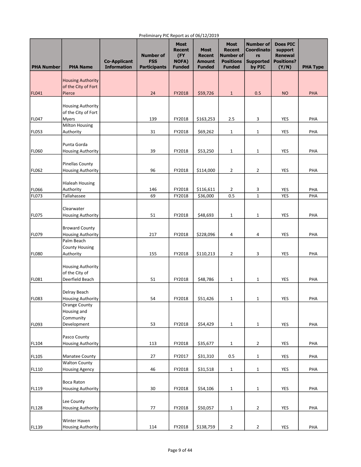| <b>PHA Number</b>     | <b>PHA Name</b>                                    | <b>Co-Applicant</b><br><b>Information</b> | <b>Number of</b><br><b>FSS</b><br><b>Participants</b> | <b>Most</b><br><b>Recent</b><br>(FY<br><b>NOFA)</b><br><b>Funded</b> | <b>Most</b><br><b>Recent</b><br><b>Amount</b><br><b>Funded</b> | <b>Most</b><br><b>Recent</b><br><b>Number of</b><br><b>Positions</b><br><b>Funded</b> | <b>Number of</b><br><b>Coordinato</b><br>rs<br><b>Supported</b><br>by PIC | <b>Does PIC</b><br>support<br><b>Renewal</b><br><b>Positions?</b><br>(Y/N) | <b>PHA Type</b> |
|-----------------------|----------------------------------------------------|-------------------------------------------|-------------------------------------------------------|----------------------------------------------------------------------|----------------------------------------------------------------|---------------------------------------------------------------------------------------|---------------------------------------------------------------------------|----------------------------------------------------------------------------|-----------------|
|                       | <b>Housing Authority</b>                           |                                           |                                                       |                                                                      |                                                                |                                                                                       |                                                                           |                                                                            |                 |
|                       | of the City of Fort                                |                                           |                                                       |                                                                      |                                                                |                                                                                       |                                                                           |                                                                            |                 |
| <b>FL041</b>          | Pierce                                             |                                           | 24                                                    | FY2018                                                               | \$59,726                                                       | $\mathbf{1}$                                                                          | 0.5                                                                       | <b>NO</b>                                                                  | <b>PHA</b>      |
|                       | <b>Housing Authority</b>                           |                                           |                                                       |                                                                      |                                                                |                                                                                       |                                                                           |                                                                            |                 |
|                       | of the City of Fort                                |                                           |                                                       |                                                                      |                                                                |                                                                                       |                                                                           |                                                                            |                 |
| <b>FL047</b>          | Myers<br><b>Milton Housing</b>                     |                                           | 139                                                   | FY2018                                                               | \$163,253                                                      | 2.5                                                                                   | 3                                                                         | YES                                                                        | PHA             |
| <b>FL053</b>          | Authority                                          |                                           | 31                                                    | FY2018                                                               | \$69,262                                                       | 1                                                                                     | 1                                                                         | YES                                                                        | PHA             |
|                       |                                                    |                                           |                                                       |                                                                      |                                                                |                                                                                       |                                                                           |                                                                            |                 |
| <b>FL060</b>          | Punta Gorda<br><b>Housing Authority</b>            |                                           | 39                                                    | FY2018                                                               | \$53,250                                                       | $\mathbf{1}$                                                                          | 1                                                                         | <b>YES</b>                                                                 | PHA             |
|                       |                                                    |                                           |                                                       |                                                                      |                                                                |                                                                                       |                                                                           |                                                                            |                 |
| <b>FL062</b>          | <b>Pinellas County</b><br><b>Housing Authority</b> |                                           | 96                                                    | FY2018                                                               | \$114,000                                                      | 2                                                                                     | 2                                                                         | YES                                                                        |                 |
|                       |                                                    |                                           |                                                       |                                                                      |                                                                |                                                                                       |                                                                           |                                                                            | PHA             |
|                       | <b>Hialeah Housing</b>                             |                                           |                                                       |                                                                      |                                                                |                                                                                       |                                                                           |                                                                            |                 |
| <b>FL066</b><br>FL073 | Authority<br>Tallahassee                           |                                           | 146<br>69                                             | FY2018<br>FY2018                                                     | \$116,611<br>\$36,000                                          | $\overline{2}$<br>0.5                                                                 | 3<br>$\mathbf{1}$                                                         | YES<br>YES                                                                 | PHA<br>PHA      |
|                       |                                                    |                                           |                                                       |                                                                      |                                                                |                                                                                       |                                                                           |                                                                            |                 |
|                       | Clearwater                                         |                                           |                                                       |                                                                      |                                                                |                                                                                       |                                                                           |                                                                            |                 |
| FL075                 | <b>Housing Authority</b>                           |                                           | 51                                                    | FY2018                                                               | \$48,693                                                       | $\mathbf{1}$                                                                          | 1                                                                         | YES                                                                        | PHA             |
|                       | <b>Broward County</b>                              |                                           |                                                       |                                                                      |                                                                |                                                                                       |                                                                           |                                                                            |                 |
| FL079                 | <b>Housing Authority</b>                           |                                           | 217                                                   | FY2018                                                               | \$228,096                                                      | 4                                                                                     | 4                                                                         | YES                                                                        | PHA             |
|                       | Palm Beach                                         |                                           |                                                       |                                                                      |                                                                |                                                                                       |                                                                           |                                                                            |                 |
| FL080                 | <b>County Housing</b><br>Authority                 |                                           | 155                                                   | FY2018                                                               | \$110,213                                                      | 2                                                                                     | 3                                                                         | <b>YES</b>                                                                 | PHA             |
|                       |                                                    |                                           |                                                       |                                                                      |                                                                |                                                                                       |                                                                           |                                                                            |                 |
|                       | <b>Housing Authority</b>                           |                                           |                                                       |                                                                      |                                                                |                                                                                       |                                                                           |                                                                            |                 |
| FL081                 | of the City of<br>Deerfield Beach                  |                                           | 51                                                    | FY2018                                                               | \$48,786                                                       | $\mathbf{1}$                                                                          | 1                                                                         | YES                                                                        | PHA             |
|                       |                                                    |                                           |                                                       |                                                                      |                                                                |                                                                                       |                                                                           |                                                                            |                 |
|                       | Delray Beach                                       |                                           |                                                       |                                                                      |                                                                |                                                                                       |                                                                           |                                                                            |                 |
| FL083                 | <b>Housing Authority</b><br><b>Orange County</b>   |                                           | 54                                                    | FY2018                                                               | \$51,426                                                       | $\mathbf{1}$                                                                          | 1                                                                         | YES                                                                        | PHA             |
|                       | Housing and                                        |                                           |                                                       |                                                                      |                                                                |                                                                                       |                                                                           |                                                                            |                 |
|                       | Community                                          |                                           |                                                       |                                                                      |                                                                |                                                                                       |                                                                           |                                                                            |                 |
| FL093                 | Development                                        |                                           | 53                                                    | FY2018                                                               | \$54,429                                                       | $\mathbf{1}$                                                                          | 1                                                                         | <b>YES</b>                                                                 | PHA             |
|                       | Pasco County                                       |                                           |                                                       |                                                                      |                                                                |                                                                                       |                                                                           |                                                                            |                 |
| FL104                 | <b>Housing Authority</b>                           |                                           | 113                                                   | FY2018                                                               | \$35,677                                                       | $\mathbf{1}$                                                                          | 2                                                                         | YES                                                                        | PHA             |
| FL105                 | Manatee County                                     |                                           | 27                                                    | FY2017                                                               | \$31,310                                                       | 0.5                                                                                   | 1                                                                         | YES                                                                        | PHA             |
|                       | <b>Walton County</b>                               |                                           |                                                       |                                                                      |                                                                |                                                                                       |                                                                           |                                                                            |                 |
| FL110                 | <b>Housing Agency</b>                              |                                           | 46                                                    | FY2018                                                               | \$31,518                                                       | $\mathbf{1}$                                                                          | $\mathbf 1$                                                               | YES                                                                        | PHA             |
|                       | Boca Raton                                         |                                           |                                                       |                                                                      |                                                                |                                                                                       |                                                                           |                                                                            |                 |
| FL119                 | <b>Housing Authority</b>                           |                                           | 30                                                    | FY2018                                                               | \$54,106                                                       | $\mathbf{1}$                                                                          | 1                                                                         | YES                                                                        | PHA             |
|                       |                                                    |                                           |                                                       |                                                                      |                                                                |                                                                                       |                                                                           |                                                                            |                 |
| FL128                 | Lee County<br><b>Housing Authority</b>             |                                           | 77                                                    | FY2018                                                               | \$50,057                                                       | 1                                                                                     | 2                                                                         | YES                                                                        | PHA             |
|                       |                                                    |                                           |                                                       |                                                                      |                                                                |                                                                                       |                                                                           |                                                                            |                 |
|                       | Winter Haven                                       |                                           |                                                       |                                                                      |                                                                |                                                                                       |                                                                           |                                                                            |                 |
| FL139                 | <b>Housing Authority</b>                           |                                           | 114                                                   | FY2018                                                               | \$138,759                                                      | $\overline{2}$                                                                        | $\overline{2}$                                                            | YES                                                                        | PHA             |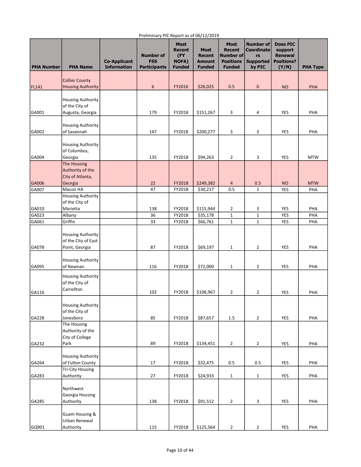| <b>PHA Number</b> | <b>PHA Name</b>                                          | <b>Co-Applicant</b><br><b>Information</b> | <b>Number of</b><br><b>FSS</b><br><b>Participants</b> | <b>Most</b><br><b>Recent</b><br>(FY<br>NOFA)<br><b>Funded</b> | <b>Most</b><br><b>Recent</b><br><b>Amount</b><br><b>Funded</b> | <b>Most</b><br><b>Recent</b><br>Number of<br><b>Positions</b><br><b>Funded</b> | <b>Number of</b><br><b>Coordinato</b><br>rs<br><b>Supported</b><br>by PIC | <b>Does PIC</b><br>support<br><b>Renewal</b><br><b>Positions?</b><br>(Y/N) | <b>PHA Type</b> |
|-------------------|----------------------------------------------------------|-------------------------------------------|-------------------------------------------------------|---------------------------------------------------------------|----------------------------------------------------------------|--------------------------------------------------------------------------------|---------------------------------------------------------------------------|----------------------------------------------------------------------------|-----------------|
|                   | <b>Collier County</b>                                    |                                           |                                                       |                                                               |                                                                |                                                                                |                                                                           |                                                                            |                 |
| FL141             | <b>Housing Authority</b>                                 |                                           | 6                                                     | FY2016                                                        | \$26,025                                                       | 0.5                                                                            | 0                                                                         | <b>NO</b>                                                                  | <b>PHA</b>      |
|                   |                                                          |                                           |                                                       |                                                               |                                                                |                                                                                |                                                                           |                                                                            |                 |
|                   | <b>Housing Authority</b><br>of the City of               |                                           |                                                       |                                                               |                                                                |                                                                                |                                                                           |                                                                            |                 |
| GA001             |                                                          |                                           | 179                                                   | FY2018                                                        | \$151,267                                                      | 3                                                                              | 4                                                                         | YES                                                                        | PHA             |
|                   | Augusta, Georgia                                         |                                           |                                                       |                                                               |                                                                |                                                                                |                                                                           |                                                                            |                 |
|                   | <b>Housing Authority</b>                                 |                                           |                                                       |                                                               |                                                                |                                                                                |                                                                           |                                                                            |                 |
| GA002             | of Savannah                                              |                                           | 147                                                   | FY2018                                                        | \$200,277                                                      | 3                                                                              | 3                                                                         | YES                                                                        | PHA             |
|                   |                                                          |                                           |                                                       |                                                               |                                                                |                                                                                |                                                                           |                                                                            |                 |
|                   | <b>Housing Authority</b>                                 |                                           |                                                       |                                                               |                                                                |                                                                                |                                                                           |                                                                            |                 |
|                   | of Columbus,                                             |                                           |                                                       |                                                               |                                                                |                                                                                |                                                                           |                                                                            |                 |
| GA004             | Georgia                                                  |                                           | 135                                                   | FY2018                                                        | \$94,263                                                       | $\overline{2}$                                                                 | 3                                                                         | YES                                                                        | <b>MTW</b>      |
|                   | The Housing                                              |                                           |                                                       |                                                               |                                                                |                                                                                |                                                                           |                                                                            |                 |
|                   | Authority of the                                         |                                           |                                                       |                                                               |                                                                |                                                                                |                                                                           |                                                                            |                 |
|                   | City of Atlanta,                                         |                                           |                                                       |                                                               |                                                                |                                                                                |                                                                           |                                                                            |                 |
| GA006             | Georgia                                                  |                                           | 22                                                    | FY2018                                                        | \$249,382                                                      | $\overline{4}$                                                                 | 0.5                                                                       | <b>NO</b>                                                                  | <b>MTW</b>      |
| GA007             | Macon HA                                                 |                                           | 47                                                    | FY2018                                                        | \$30,217                                                       | 0.5                                                                            | $\mathbf{1}$                                                              | <b>YES</b>                                                                 | PHA             |
|                   | <b>Housing Authority</b>                                 |                                           |                                                       |                                                               |                                                                |                                                                                |                                                                           |                                                                            |                 |
|                   | of the City of                                           |                                           |                                                       |                                                               |                                                                |                                                                                |                                                                           |                                                                            |                 |
| GA010             | Marietta                                                 |                                           | 138                                                   | FY2018                                                        | \$115,944                                                      | 2                                                                              | 3                                                                         | YES                                                                        | PHA             |
| GA023             | Albany                                                   |                                           | 36                                                    | FY2018                                                        | \$35,178                                                       | $1\,$                                                                          | $\mathbf 1$                                                               | <b>YES</b>                                                                 | PHA             |
| GA061             | Griffin                                                  |                                           | 33                                                    | FY2018                                                        | \$66,761                                                       | $1\,$                                                                          | $\mathbf{1}$                                                              | <b>YES</b>                                                                 | PHA             |
|                   | <b>Housing Authority</b><br>of the City of East          |                                           |                                                       |                                                               |                                                                |                                                                                |                                                                           |                                                                            |                 |
| GA078             | Point, Georgia                                           |                                           | 87                                                    | FY2018                                                        | \$69,197                                                       | $\mathbf{1}$                                                                   | 2                                                                         | YES                                                                        | PHA             |
| GA095             | <b>Housing Authority</b><br>of Newnan                    |                                           | 116                                                   | FY2018                                                        | \$72,000                                                       | $\mathbf{1}$                                                                   | 2                                                                         | YES                                                                        | PHA             |
|                   | <b>Housing Authority</b><br>of the City of<br>Carrollton |                                           |                                                       |                                                               |                                                                |                                                                                |                                                                           |                                                                            |                 |
| GA116             |                                                          |                                           | 102                                                   | FY2018                                                        | \$106,967                                                      | $\overline{2}$                                                                 | 2                                                                         | YES                                                                        | PHA             |
| GA228             | Housing Authority<br>of the City of<br>Jonesboro         |                                           | 85                                                    | FY2018                                                        | \$87,657                                                       | $1.5\,$                                                                        | 2                                                                         | <b>YES</b>                                                                 | PHA             |
|                   | The Housing                                              |                                           |                                                       |                                                               |                                                                |                                                                                |                                                                           |                                                                            |                 |
|                   | Authority of the                                         |                                           |                                                       |                                                               |                                                                |                                                                                |                                                                           |                                                                            |                 |
|                   | City of College                                          |                                           |                                                       |                                                               |                                                                |                                                                                |                                                                           |                                                                            |                 |
| GA232             | Park                                                     |                                           | 89                                                    | FY2018                                                        | \$134,451                                                      | $\overline{2}$                                                                 | $\overline{2}$                                                            | YES                                                                        | PHA             |
|                   |                                                          |                                           |                                                       |                                                               |                                                                |                                                                                |                                                                           |                                                                            |                 |
|                   | <b>Housing Authority</b>                                 |                                           |                                                       |                                                               |                                                                |                                                                                |                                                                           |                                                                            |                 |
| GA264             | of Fulton County                                         |                                           | 17                                                    | FY2018                                                        | \$32,475                                                       | 0.5                                                                            | 0.5                                                                       | YES                                                                        | PHA             |
|                   | <b>Tri-City Housing</b>                                  |                                           |                                                       |                                                               |                                                                |                                                                                |                                                                           |                                                                            |                 |
| GA283             | Authority                                                |                                           | 27                                                    | FY2018                                                        | \$24,933                                                       | $\mathbf{1}$                                                                   | $\mathbf{1}$                                                              | YES                                                                        | PHA             |
|                   | Northwest                                                |                                           |                                                       |                                                               |                                                                |                                                                                |                                                                           |                                                                            |                 |
|                   | Georgia Housing                                          |                                           |                                                       |                                                               |                                                                |                                                                                |                                                                           |                                                                            |                 |
| GA285             | Authority                                                |                                           | 138                                                   | FY2018                                                        | \$91,512                                                       | $\overline{2}$                                                                 | 3                                                                         | YES                                                                        | PHA             |
|                   | Guam Housing &                                           |                                           |                                                       |                                                               |                                                                |                                                                                |                                                                           |                                                                            |                 |
|                   | Urban Renewal                                            |                                           |                                                       |                                                               |                                                                |                                                                                |                                                                           |                                                                            |                 |
| GQ901             | Authority                                                |                                           | 115                                                   | FY2018                                                        | \$125,564                                                      | $\mathbf 2$                                                                    | $\mathbf{2}$                                                              | YES                                                                        | PHA             |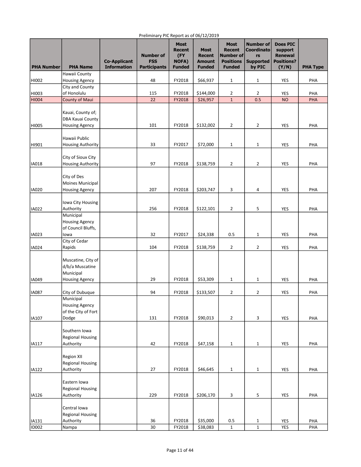| <b>PHA Number</b>     | <b>PHA Name</b>                                                             | <b>Co-Applicant</b><br><b>Information</b> | <b>Number of</b><br><b>FSS</b><br><b>Participants</b> | <b>Most</b><br><b>Recent</b><br>(FY<br><b>NOFA)</b><br><b>Funded</b> | <b>Most</b><br><b>Recent</b><br><b>Amount</b><br><b>Funded</b> | <b>Most</b><br><b>Recent</b><br>Number of<br><b>Positions</b><br><b>Funded</b> | <b>Number of</b><br><b>Coordinato</b><br>rs<br><b>Supported</b><br>by PIC | <b>Does PIC</b><br>support<br><b>Renewal</b><br><b>Positions?</b><br>(Y/N) | <b>PHA Type</b> |
|-----------------------|-----------------------------------------------------------------------------|-------------------------------------------|-------------------------------------------------------|----------------------------------------------------------------------|----------------------------------------------------------------|--------------------------------------------------------------------------------|---------------------------------------------------------------------------|----------------------------------------------------------------------------|-----------------|
|                       | Hawaii County                                                               |                                           |                                                       |                                                                      |                                                                |                                                                                |                                                                           |                                                                            |                 |
| HI002                 | <b>Housing Agency</b>                                                       |                                           | 48                                                    | FY2018                                                               | \$66,937                                                       | 1                                                                              | $\mathbf{1}$                                                              | YES                                                                        | PHA             |
|                       | City and County                                                             |                                           |                                                       |                                                                      |                                                                |                                                                                |                                                                           |                                                                            |                 |
| HI003                 | of Honolulu                                                                 |                                           | 115                                                   | FY2018                                                               | \$144,000                                                      | 2                                                                              | 2                                                                         | YES                                                                        | PHA             |
| <b>HI004</b>          | County of Maui                                                              |                                           | 22                                                    | FY2018                                                               | \$26,957                                                       | $1\,$                                                                          | 0.5                                                                       | <b>NO</b>                                                                  | PHA             |
|                       | Kauai, County of;<br>DBA Kauai County                                       |                                           |                                                       |                                                                      |                                                                |                                                                                |                                                                           |                                                                            |                 |
| HI005                 | <b>Housing Agency</b>                                                       |                                           | 101                                                   | FY2018                                                               | \$132,002                                                      | $\overline{2}$                                                                 | $\overline{2}$                                                            | <b>YES</b>                                                                 | PHA             |
| HI901                 | Hawaii Public<br><b>Housing Authority</b>                                   |                                           | 33                                                    | FY2017                                                               | \$72,000                                                       | $\mathbf{1}$                                                                   | 1                                                                         | YES                                                                        | PHA             |
|                       | City of Sioux City                                                          |                                           |                                                       |                                                                      |                                                                |                                                                                |                                                                           |                                                                            |                 |
| IA018                 | <b>Housing Authority</b>                                                    |                                           | 97                                                    | FY2018                                                               | \$138,759                                                      | $\overline{2}$                                                                 | 2                                                                         | YES                                                                        | PHA             |
|                       |                                                                             |                                           |                                                       |                                                                      |                                                                |                                                                                |                                                                           |                                                                            |                 |
|                       | City of Des                                                                 |                                           |                                                       |                                                                      |                                                                |                                                                                |                                                                           |                                                                            |                 |
|                       | Moines Municipal                                                            |                                           |                                                       |                                                                      |                                                                |                                                                                |                                                                           |                                                                            |                 |
| IA020                 | <b>Housing Agency</b>                                                       |                                           | 207                                                   | FY2018                                                               | \$203,747                                                      | 3                                                                              | 4                                                                         | YES                                                                        | PHA             |
| <b>IA022</b>          | Iowa City Housing<br>Authority                                              |                                           | 256                                                   | FY2018                                                               | \$122,101                                                      | 2                                                                              | 5                                                                         | YES                                                                        | PHA             |
|                       | Municipal                                                                   |                                           |                                                       |                                                                      |                                                                |                                                                                |                                                                           |                                                                            |                 |
|                       | <b>Housing Agency</b><br>of Council Bluffs,                                 |                                           |                                                       |                                                                      |                                                                |                                                                                |                                                                           |                                                                            |                 |
| IA023                 | lowa                                                                        |                                           | 32                                                    | FY2017                                                               | \$24,338                                                       | 0.5                                                                            | 1                                                                         | YES                                                                        | PHA             |
| <b>IA024</b>          | City of Cedar<br>Rapids                                                     |                                           | 104                                                   | FY2018                                                               | \$138,759                                                      | $\overline{2}$                                                                 | $\overline{2}$                                                            | YES                                                                        | PHA             |
| IA049                 | Muscatine, City of<br>d/b/a Muscatine<br>Municipal<br><b>Housing Agency</b> |                                           | 29                                                    | FY2018                                                               | \$53,309                                                       | $\mathbf{1}$                                                                   | 1                                                                         | YES                                                                        | PHA             |
|                       |                                                                             |                                           |                                                       |                                                                      |                                                                |                                                                                |                                                                           |                                                                            |                 |
| <b>IA087</b>          | City of Dubuque                                                             |                                           | 94                                                    | FY2018                                                               | \$133,507                                                      | 2                                                                              | 2                                                                         | <b>YES</b>                                                                 | PHA             |
|                       | Municipal<br><b>Housing Agency</b><br>of the City of Fort                   |                                           |                                                       |                                                                      |                                                                |                                                                                |                                                                           |                                                                            |                 |
| IA107                 | Dodge                                                                       |                                           | 131                                                   | FY2018                                                               | \$90,013                                                       | $\overline{2}$                                                                 | 3                                                                         | <b>YES</b>                                                                 | PHA             |
|                       | Southern Iowa<br><b>Regional Housing</b>                                    |                                           |                                                       |                                                                      |                                                                |                                                                                |                                                                           |                                                                            |                 |
| IA117                 | Authority                                                                   |                                           | 42                                                    | FY2018                                                               | \$47,158                                                       | $1\,$                                                                          | $\mathbf{1}$                                                              | YES                                                                        | PHA             |
|                       | <b>Region XII</b><br><b>Regional Housing</b>                                |                                           |                                                       |                                                                      |                                                                |                                                                                |                                                                           |                                                                            |                 |
| IA122                 | Authority                                                                   |                                           | 27                                                    | FY2018                                                               | \$46,645                                                       | $\mathbf{1}$                                                                   | 1                                                                         | YES                                                                        | PHA             |
|                       | Eastern Iowa<br><b>Regional Housing</b>                                     |                                           |                                                       |                                                                      |                                                                |                                                                                |                                                                           |                                                                            |                 |
| IA126                 | Authority                                                                   |                                           | 229                                                   | FY2018                                                               | \$206,170                                                      | 3                                                                              | 5                                                                         | YES                                                                        | PHA             |
|                       | Central Iowa<br><b>Regional Housing</b>                                     |                                           |                                                       |                                                                      |                                                                |                                                                                |                                                                           |                                                                            |                 |
| IA131<br><b>ID002</b> | Authority<br>Nampa                                                          |                                           | 36<br>30                                              | FY2018<br>FY2018                                                     | \$35,000<br>\$38,083                                           | $0.5\,$<br>$\mathbf{1}$                                                        | 1<br>$\mathbf{1}$                                                         | YES<br>YES                                                                 | PHA<br>PHA      |
|                       |                                                                             |                                           |                                                       |                                                                      |                                                                |                                                                                |                                                                           |                                                                            |                 |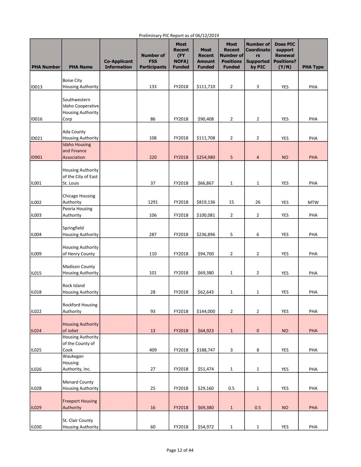| <b>PHA Number</b> | <b>PHA Name</b>                                                       | <b>Co-Applicant</b><br><b>Information</b> | <b>Number of</b><br><b>FSS</b><br><b>Participants</b> | <b>Most</b><br><b>Recent</b><br>(FY<br><b>NOFA)</b><br><b>Funded</b> | <b>Most</b><br><b>Recent</b><br><b>Amount</b><br><b>Funded</b> | <b>Most</b><br><b>Recent</b><br>Number of<br><b>Positions</b><br><b>Funded</b> | <b>Number of</b><br><b>Coordinato</b><br>rs<br><b>Supported</b><br>by PIC | <b>Does PIC</b><br>support<br><b>Renewal</b><br><b>Positions?</b><br>(Y/N) | <b>PHA Type</b> |
|-------------------|-----------------------------------------------------------------------|-------------------------------------------|-------------------------------------------------------|----------------------------------------------------------------------|----------------------------------------------------------------|--------------------------------------------------------------------------------|---------------------------------------------------------------------------|----------------------------------------------------------------------------|-----------------|
|                   | <b>Boise City</b>                                                     |                                           |                                                       |                                                                      |                                                                |                                                                                |                                                                           |                                                                            |                 |
| <b>ID013</b>      | <b>Housing Authority</b>                                              |                                           | 133                                                   | FY2018                                                               | \$111,710                                                      | 2                                                                              | 3                                                                         | YES                                                                        | PHA             |
| ID016             | Southwestern<br>Idaho Cooperative<br><b>Housing Authority</b><br>Corp |                                           | 86                                                    | FY2018                                                               | \$90,408                                                       | $\overline{2}$                                                                 | $\overline{2}$                                                            | YES                                                                        | PHA             |
|                   |                                                                       |                                           |                                                       |                                                                      |                                                                |                                                                                |                                                                           |                                                                            |                 |
| ID021             | Ada County<br><b>Housing Authority</b>                                |                                           | 108                                                   | FY2018                                                               | \$111,708                                                      | $\overline{2}$                                                                 | 2                                                                         | YES                                                                        | PHA             |
|                   | Idaho Housing                                                         |                                           |                                                       |                                                                      |                                                                |                                                                                |                                                                           |                                                                            |                 |
| <b>ID901</b>      | and Finance<br>Association                                            |                                           | 220                                                   | FY2018                                                               | \$254,980                                                      | 5                                                                              | 4                                                                         | <b>NO</b>                                                                  | PHA             |
|                   |                                                                       |                                           |                                                       |                                                                      |                                                                |                                                                                |                                                                           |                                                                            |                 |
| <b>ILO01</b>      | <b>Housing Authority</b><br>of the City of East<br>St. Louis          |                                           | 37                                                    | FY2018                                                               | \$66,867                                                       | $\mathbf 1$                                                                    | 1                                                                         | YES                                                                        | PHA             |
|                   |                                                                       |                                           |                                                       |                                                                      |                                                                |                                                                                |                                                                           |                                                                            |                 |
| <b>IL002</b>      | Chicago Housing<br>Authority<br>Peoria Housing                        |                                           | 1291                                                  | FY2018                                                               | \$819,136                                                      | 15                                                                             | 26                                                                        | YES                                                                        | <b>MTW</b>      |
| <b>ILO03</b>      | Authority                                                             |                                           | 106                                                   | FY2018                                                               | \$100,081                                                      | 2                                                                              | $\overline{2}$                                                            | YES                                                                        | PHA             |
| IL004             | Springfield<br><b>Housing Authority</b>                               |                                           | 287                                                   | FY2018                                                               | \$236,896                                                      | 5                                                                              | 6                                                                         | YES                                                                        | PHA             |
| IL009             | <b>Housing Authority</b><br>of Henry County                           |                                           | 110                                                   | FY2018                                                               | \$94,700                                                       | 2                                                                              | 2                                                                         | YES                                                                        | PHA             |
|                   |                                                                       |                                           |                                                       |                                                                      |                                                                |                                                                                |                                                                           |                                                                            |                 |
| IL015             | <b>Madison County</b><br><b>Housing Authority</b>                     |                                           | 101                                                   | FY2018                                                               | \$69,380                                                       | $\mathbf{1}$                                                                   | 2                                                                         | YES                                                                        | PHA             |
| IL018             | Rock Island<br><b>Housing Authority</b>                               |                                           | 28                                                    | FY2018                                                               | \$62,643                                                       | $\mathbf{1}$                                                                   | 1                                                                         | YES                                                                        | PHA             |
|                   |                                                                       |                                           |                                                       |                                                                      |                                                                |                                                                                |                                                                           |                                                                            |                 |
| IL022             | Rockford Housing<br>Authority                                         |                                           | 93                                                    | FY2018                                                               | \$144,000                                                      | $\overline{2}$                                                                 | 2                                                                         | <b>YES</b>                                                                 | PHA             |
| <b>ILO24</b>      | <b>Housing Authority</b><br>of Joliet                                 |                                           | 13                                                    | FY2018                                                               | \$64,923                                                       | $\mathbf 1$                                                                    | 0                                                                         | <b>NO</b>                                                                  | PHA             |
|                   | <b>Housing Authority</b><br>of the County of                          |                                           |                                                       |                                                                      |                                                                |                                                                                |                                                                           |                                                                            |                 |
| IL025             | Cook<br>Waukegan                                                      |                                           | 409                                                   | FY2018                                                               | \$188,747                                                      | 3                                                                              | 8                                                                         | <b>YES</b>                                                                 | PHA             |
| IL026             | Housing<br>Authority, Inc.                                            |                                           | 27                                                    | FY2018                                                               | \$51,474                                                       | $\mathbf 1$                                                                    | 1                                                                         | YES                                                                        | PHA             |
| <b>ILO28</b>      | Menard County<br><b>Housing Authority</b>                             |                                           | 25                                                    | FY2018                                                               | \$29,160                                                       | 0.5                                                                            | 1                                                                         | <b>YES</b>                                                                 | PHA             |
|                   | <b>Freeport Housing</b>                                               |                                           |                                                       |                                                                      |                                                                |                                                                                |                                                                           |                                                                            |                 |
| IL029             | Authority                                                             |                                           | 16                                                    | FY2018                                                               | \$69,380                                                       | $\mathbf{1}$                                                                   | 0.5                                                                       | <b>NO</b>                                                                  | PHA             |
| IL030             | St. Clair County<br><b>Housing Authority</b>                          |                                           | 60                                                    | FY2018                                                               | \$54,972                                                       | $\mathbf 1$                                                                    | $\mathbf{1}$                                                              | YES                                                                        | PHA             |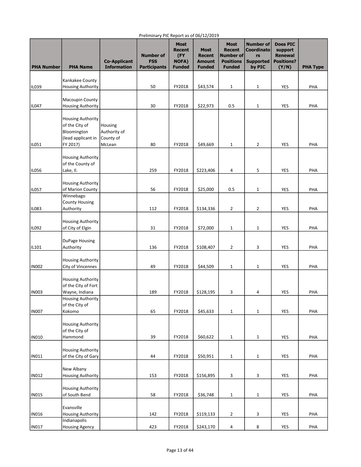| <b>PHA Number</b> | <b>PHA Name</b>                                                                             | <b>Co-Applicant</b><br><b>Information</b>      | <b>Number of</b><br><b>FSS</b><br><b>Participants</b> | <b>Most</b><br><b>Recent</b><br>(FY)<br><b>NOFA)</b><br><b>Funded</b> | <b>Most</b><br><b>Recent</b><br><b>Amount</b><br><b>Funded</b> | <b>Most</b><br><b>Recent</b><br><b>Number of</b><br><b>Positions</b><br><b>Funded</b> | <b>Number of</b><br><b>Coordinato</b><br>rs<br><b>Supported</b><br>by PIC | <b>Does PIC</b><br>support<br><b>Renewal</b><br><b>Positions?</b><br>(Y/N) | <b>PHA Type</b> |
|-------------------|---------------------------------------------------------------------------------------------|------------------------------------------------|-------------------------------------------------------|-----------------------------------------------------------------------|----------------------------------------------------------------|---------------------------------------------------------------------------------------|---------------------------------------------------------------------------|----------------------------------------------------------------------------|-----------------|
|                   |                                                                                             |                                                |                                                       |                                                                       |                                                                |                                                                                       |                                                                           |                                                                            |                 |
| ILO39             | Kankakee County<br><b>Housing Authority</b>                                                 |                                                | 50                                                    | FY2018                                                                | \$43,574                                                       | 1                                                                                     | 1                                                                         | YES                                                                        | PHA             |
|                   |                                                                                             |                                                |                                                       |                                                                       |                                                                |                                                                                       |                                                                           |                                                                            |                 |
| IL047             | Macoupin County                                                                             |                                                |                                                       |                                                                       |                                                                |                                                                                       |                                                                           | YES                                                                        |                 |
|                   | <b>Housing Authority</b>                                                                    |                                                | 30                                                    | FY2018                                                                | \$22,973                                                       | 0.5                                                                                   | 1                                                                         |                                                                            | PHA             |
| IL051             | <b>Housing Authority</b><br>of the City of<br>Bloomington<br>(lead applicant in<br>FY 2017) | Housing<br>Authority of<br>County of<br>McLean | 80                                                    | FY2018                                                                | \$49,669                                                       | $\mathbf{1}$                                                                          | 2                                                                         | YES                                                                        | PHA             |
|                   |                                                                                             |                                                |                                                       |                                                                       |                                                                |                                                                                       |                                                                           |                                                                            |                 |
| IL056             | <b>Housing Authority</b><br>of the County of<br>Lake, II.                                   |                                                | 259                                                   | FY2018                                                                | \$223,406                                                      | 4                                                                                     | 5                                                                         | YES                                                                        | PHA             |
|                   |                                                                                             |                                                |                                                       |                                                                       |                                                                |                                                                                       |                                                                           |                                                                            |                 |
| IL057             | <b>Housing Authority</b><br>of Marion County                                                |                                                | 56                                                    | FY2018                                                                | \$25,000                                                       | 0.5                                                                                   | 1                                                                         | YES                                                                        | PHA             |
|                   | Winnebago                                                                                   |                                                |                                                       |                                                                       |                                                                |                                                                                       |                                                                           |                                                                            |                 |
|                   | <b>County Housing</b>                                                                       |                                                |                                                       |                                                                       |                                                                |                                                                                       |                                                                           |                                                                            |                 |
| <b>IL083</b>      | Authority                                                                                   |                                                | 112                                                   | FY2018                                                                | \$134,336                                                      | $\overline{2}$                                                                        | 2                                                                         | YES                                                                        | PHA             |
|                   | <b>Housing Authority</b>                                                                    |                                                |                                                       |                                                                       |                                                                |                                                                                       |                                                                           |                                                                            |                 |
| IL092             | of City of Elgin                                                                            |                                                | 31                                                    | FY2018                                                                | \$72,000                                                       | $\mathbf{1}$                                                                          | 1                                                                         | YES                                                                        | PHA             |
| IL101             | DuPage Housing<br>Authority                                                                 |                                                | 136                                                   | FY2018                                                                | \$108,407                                                      | $\overline{2}$                                                                        | 3                                                                         | <b>YES</b>                                                                 | PHA             |
| IN002             | <b>Housing Authority</b><br>City of Vincennes                                               |                                                | 49                                                    | FY2018                                                                | \$44,509                                                       | $\mathbf{1}$                                                                          | 1                                                                         | <b>YES</b>                                                                 | PHA             |
| <b>IN003</b>      | <b>Housing Authority</b><br>of the City of Fort<br>Wayne, Indiana                           |                                                | 189                                                   | FY2018                                                                | \$128,195                                                      | 3                                                                                     | 4                                                                         | YES                                                                        | PHA             |
|                   | <b>Housing Authority</b>                                                                    |                                                |                                                       |                                                                       |                                                                |                                                                                       |                                                                           |                                                                            |                 |
| <b>IN007</b>      | of the City of<br>Kokomo                                                                    |                                                | 65                                                    | FY2018                                                                | \$45,633                                                       | $\mathbf{1}$                                                                          | 1                                                                         | <b>YES</b>                                                                 | PHA             |
|                   | <b>Housing Authority</b>                                                                    |                                                |                                                       |                                                                       |                                                                |                                                                                       |                                                                           |                                                                            |                 |
| IN010             | of the City of<br>Hammond                                                                   |                                                | 39                                                    | FY2018                                                                | \$60,622                                                       | $\mathbf{1}$                                                                          | $\mathbf 1$                                                               | YES                                                                        | PHA             |
|                   |                                                                                             |                                                |                                                       |                                                                       |                                                                |                                                                                       |                                                                           |                                                                            |                 |
| IN011             | <b>Housing Authority</b><br>of the City of Gary                                             |                                                | 44                                                    | FY2018                                                                | \$50,951                                                       | $\mathbf{1}$                                                                          | $\mathbf 1$                                                               | <b>YES</b>                                                                 | PHA             |
|                   | New Albany                                                                                  |                                                |                                                       |                                                                       |                                                                |                                                                                       |                                                                           |                                                                            |                 |
| <b>IN012</b>      | <b>Housing Authority</b>                                                                    |                                                | 153                                                   | FY2018                                                                | \$156,895                                                      | 3                                                                                     | 3                                                                         | YES                                                                        | PHA             |
| <b>IN015</b>      | <b>Housing Authority</b><br>of South Bend                                                   |                                                | 58                                                    | FY2018                                                                | \$36,748                                                       | $\mathbf{1}$                                                                          | $\mathbf 1$                                                               | YES                                                                        | PHA             |
| IN016             | Evansville<br><b>Housing Authority</b>                                                      |                                                | 142                                                   | FY2018                                                                | \$119,133                                                      | $\overline{2}$                                                                        | 3                                                                         | YES                                                                        | PHA             |
|                   | Indianapolis                                                                                |                                                |                                                       |                                                                       |                                                                |                                                                                       |                                                                           |                                                                            |                 |
| IN017             | <b>Housing Agency</b>                                                                       |                                                | 423                                                   | FY2018                                                                | \$243,170                                                      | 4                                                                                     | 8                                                                         | YES                                                                        | PHA             |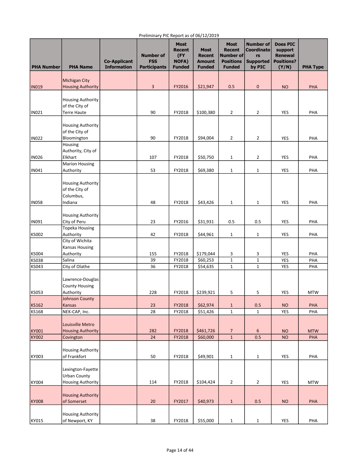| <b>PHA Number</b> | <b>PHA Name</b>                                                      | <b>Co-Applicant</b><br><b>Information</b> | <b>Number of</b><br><b>FSS</b><br><b>Participants</b> | <b>Most</b><br>Recent<br>(FY<br><b>NOFA)</b><br><b>Funded</b> | <b>Most</b><br><b>Recent</b><br><b>Amount</b><br><b>Funded</b> | <b>Most</b><br><b>Recent</b><br>Number of<br><b>Positions</b><br><b>Funded</b> | <b>Number of</b><br><b>Coordinato</b><br>rs<br><b>Supported</b><br>by PIC | <b>Does PIC</b><br>support<br><b>Renewal</b><br><b>Positions?</b><br>(Y/N) | <b>PHA Type</b> |
|-------------------|----------------------------------------------------------------------|-------------------------------------------|-------------------------------------------------------|---------------------------------------------------------------|----------------------------------------------------------------|--------------------------------------------------------------------------------|---------------------------------------------------------------------------|----------------------------------------------------------------------------|-----------------|
|                   | <b>Michigan City</b>                                                 |                                           |                                                       |                                                               |                                                                |                                                                                |                                                                           |                                                                            |                 |
| <b>IN019</b>      | <b>Housing Authority</b>                                             |                                           | 3                                                     | FY2016                                                        | \$21,947                                                       | 0.5                                                                            | 0                                                                         | <b>NO</b>                                                                  | PHA             |
|                   |                                                                      |                                           |                                                       |                                                               |                                                                |                                                                                |                                                                           |                                                                            |                 |
|                   | <b>Housing Authority</b>                                             |                                           |                                                       |                                                               |                                                                |                                                                                |                                                                           |                                                                            |                 |
| <b>IN021</b>      | of the City of<br><b>Terre Haute</b>                                 |                                           | 90                                                    | FY2018                                                        | \$100,380                                                      | $\overline{2}$                                                                 | 2                                                                         | YES                                                                        | PHA             |
|                   |                                                                      |                                           |                                                       |                                                               |                                                                |                                                                                |                                                                           |                                                                            |                 |
|                   | <b>Housing Authority</b>                                             |                                           |                                                       |                                                               |                                                                |                                                                                |                                                                           |                                                                            |                 |
|                   | of the City of                                                       |                                           |                                                       |                                                               |                                                                |                                                                                |                                                                           |                                                                            |                 |
| <b>IN022</b>      | Bloomington                                                          |                                           | 90                                                    | FY2018                                                        | \$94,004                                                       | $\overline{2}$                                                                 | 2                                                                         | YES                                                                        | PHA             |
|                   | Housing<br>Authority, City of                                        |                                           |                                                       |                                                               |                                                                |                                                                                |                                                                           |                                                                            |                 |
| <b>IN026</b>      | Elkhart                                                              |                                           | 107                                                   | FY2018                                                        | \$50,750                                                       | $\mathbf{1}$                                                                   | 2                                                                         | YES                                                                        | PHA             |
|                   | <b>Marion Housing</b>                                                |                                           |                                                       |                                                               |                                                                |                                                                                |                                                                           |                                                                            |                 |
| <b>IN041</b>      | Authority                                                            |                                           | 53                                                    | FY2018                                                        | \$69,380                                                       | $\mathbf{1}$                                                                   | $\mathbf{1}$                                                              | YES                                                                        | PHA             |
|                   | <b>Housing Authority</b><br>of the City of<br>Columbus,              |                                           |                                                       |                                                               |                                                                |                                                                                |                                                                           |                                                                            |                 |
| <b>IN058</b>      | Indiana                                                              |                                           | 48                                                    | FY2018                                                        | \$43,426                                                       | $\mathbf{1}$                                                                   | 1                                                                         | YES                                                                        | PHA             |
|                   | <b>Housing Authority</b>                                             |                                           |                                                       |                                                               |                                                                |                                                                                |                                                                           |                                                                            |                 |
| <b>IN091</b>      | City of Peru                                                         |                                           | 23                                                    | FY2016                                                        | \$31,931                                                       | 0.5                                                                            | 0.5                                                                       | YES                                                                        | PHA             |
|                   | <b>Topeka Housing</b>                                                |                                           |                                                       |                                                               |                                                                |                                                                                |                                                                           |                                                                            |                 |
| <b>KS002</b>      | Authority                                                            |                                           | 42                                                    | FY2018                                                        | \$44,961                                                       | $\mathbf{1}$                                                                   | 1                                                                         | YES                                                                        | PHA             |
|                   | City of Wichita                                                      |                                           |                                                       |                                                               |                                                                |                                                                                |                                                                           |                                                                            |                 |
| KS004             | <b>Kansas Housing</b><br>Authority                                   |                                           | 155                                                   | FY2018                                                        | \$179,044                                                      | 3                                                                              | 3                                                                         | YES                                                                        | PHA             |
| <b>KS038</b>      | Salina                                                               |                                           | 39                                                    | FY2018                                                        | \$60,253                                                       | $1\,$                                                                          | $\mathbf{1}$                                                              | YES                                                                        | PHA             |
| KS043             | City of Olathe                                                       |                                           | 36                                                    | FY2018                                                        | \$54,635                                                       | $1\,$                                                                          | $\mathbf{1}$                                                              | YES                                                                        | PHA             |
|                   | Lawrence-Douglas<br><b>County Housing</b>                            |                                           |                                                       |                                                               |                                                                |                                                                                |                                                                           |                                                                            |                 |
| <b>KS053</b>      | Authority<br>Johnson County                                          |                                           | 228                                                   | FY2018                                                        | \$239,921                                                      | 5                                                                              | 5                                                                         | YES                                                                        | <b>MTW</b>      |
| <b>KS162</b>      | Kansas                                                               |                                           | 23                                                    | FY2018                                                        | \$62,974                                                       | $\mathbf{1}$                                                                   | 0.5                                                                       | <b>NO</b>                                                                  | PHA             |
| KS168             | NEK-CAP, Inc.                                                        |                                           | 28                                                    | FY2018                                                        | \$51,426                                                       | $\mathbf 1$                                                                    | $\mathbf{1}$                                                              | <b>YES</b>                                                                 | PHA             |
| KY001             | Louisville Metro<br><b>Housing Authority</b>                         |                                           | 282                                                   | FY2018                                                        | \$461,726                                                      |                                                                                | 6                                                                         | <b>NO</b>                                                                  | <b>MTW</b>      |
| KY002             | Covington                                                            |                                           | 24                                                    | FY2018                                                        | \$60,000                                                       | 7<br>$\mathbf 1$                                                               | 0.5                                                                       | <b>NO</b>                                                                  | PHA             |
|                   |                                                                      |                                           |                                                       |                                                               |                                                                |                                                                                |                                                                           |                                                                            |                 |
|                   | <b>Housing Authority</b>                                             |                                           |                                                       |                                                               |                                                                |                                                                                |                                                                           |                                                                            |                 |
| KY003             | of Frankfort                                                         |                                           | 50                                                    | FY2018                                                        | \$49,901                                                       | $\mathbf{1}$                                                                   | 1                                                                         | YES                                                                        | PHA             |
| KY004             | Lexington-Fayette<br><b>Urban County</b><br><b>Housing Authority</b> |                                           | 114                                                   | FY2018                                                        | \$104,424                                                      | $\overline{2}$                                                                 | 2                                                                         | YES                                                                        | <b>MTW</b>      |
|                   |                                                                      |                                           |                                                       |                                                               |                                                                |                                                                                |                                                                           |                                                                            |                 |
| KY008             | <b>Housing Authority</b><br>of Somerset                              |                                           | 20                                                    | FY2017                                                        | \$40,973                                                       | $\mathbf{1}$                                                                   | 0.5                                                                       | <b>NO</b>                                                                  | PHA             |
|                   |                                                                      |                                           |                                                       |                                                               |                                                                |                                                                                |                                                                           |                                                                            |                 |
| KY015             | Housing Authority<br>of Newport, KY                                  |                                           | 38                                                    | FY2018                                                        | \$55,000                                                       | $\mathbf{1}$                                                                   | $\mathbf 1$                                                               | YES                                                                        | PHA             |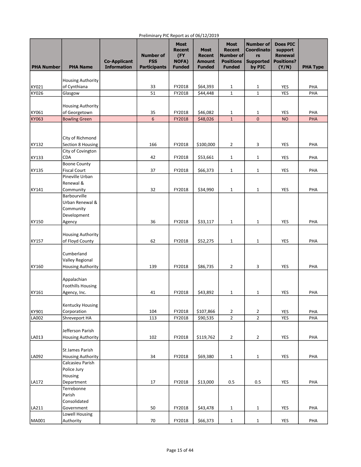#### PHA Number PHA Name Co-Applicant Information Number of FSS **Participants** Most Recent (FY NOFA) Funded Most Recent Amount Funded Most Recent Number of Positions Funded Number of **Coordinato** rs Supported by PIC Does PIC support Renewal Positions?  $(Y/N)$  PHA Type KY021 Housing Authority of Cynthiana | | 33 | FY2018 | \$64,393 | 1 | 1 | YES | PHA KY026 |Glasgow | | 51 | FY2018 | \$44,448 | 1 | 1 | YES | PHA KY061 Housing Authority of Georgetown 35 FY2018 \$46,082 1 1 YES PHA KY063 Bowling Green 6 FY2018 \$48,026 1 0 NO PHA KY132 City of Richmond Section 8 Housing | 166 | FY2018 | \$100,000 | 2 | 3 | YES | PHA KY133 City of Covington CDA 42 FY2018 \$53,661 1 1 YES PHA KY135 Boone County Fiscal Court | | 37 | FY2018 | \$66,373 | 1 | 1 | YES | PHA KY141 Pineville Urban Renewal & Community 32 FY2018 \$34,990 1 1 YES PHA KY150 Barbourville Urban Renewal & Community Development Agency | | 36 |FY2018 |\$33,117 | 1 | 1 | YES | PHA KY157 Housing Authority of Floyd County | 62 | FY2018 | \$52,275 | 1 | 1 | YES | PHA KY160 Cumberland Valley Regional Housing Authority | 139 | FY2018 | \$86,735 | 2 | 3 | YES | PHA KY161 Appalachian Foothills Housing Agency, Inc. | | 41 | FY2018 | \$43,892 | 1 | 1 | YES | PHA KY901 Kentucky Housing Corporation | | 104 |FY2018 |\$107,866 | 2 | 2 | YES | PHA LA002 Shreveport HA 113 FY2018 \$90,535 2 2 YES PHA LA013 Jefferson Parish Housing Authority **102** | FY2018 | \$119,762 | 2 | 2 | YES | PHA LA092 St James Parish Housing Authority | 34 | FY2018 | \$69,380 | 1 | 1 | YES | PHA LA172 Calcasieu Parish Police Jury Housing Department 17 FY2018 \$13,000 0.5 0.5 YES PHA LA211 Terrebonne Parish Consolidated Government | | 50 | FY2018 | \$43,478 | 1 | 1 | YES | PHA MA001 Lowell Housing Authority 70 FY2018 \$66,373 1 1 YES PHA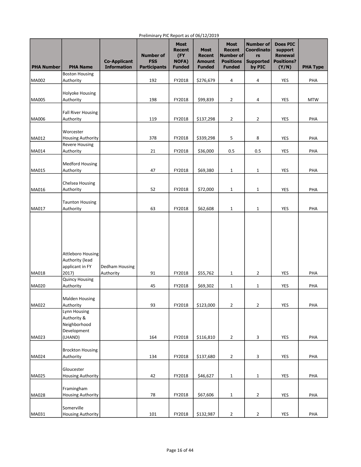| <b>PHA Number</b> | <b>PHA Name</b>                                                         | <b>Co-Applicant</b><br><b>Information</b> | <b>Number of</b><br><b>FSS</b><br><b>Participants</b> | <b>Most</b><br>Recent<br>(FY<br><b>NOFA)</b><br><b>Funded</b> | <b>Most</b><br><b>Recent</b><br><b>Amount</b><br><b>Funded</b> | <b>Most</b><br><b>Recent</b><br>Number of<br><b>Positions</b><br><b>Funded</b> | <b>Number of</b><br><b>Coordinato</b><br>rs<br><b>Supported</b><br>by PIC | <b>Does PIC</b><br>support<br><b>Renewal</b><br><b>Positions?</b><br>(Y/N) | <b>PHA Type</b> |
|-------------------|-------------------------------------------------------------------------|-------------------------------------------|-------------------------------------------------------|---------------------------------------------------------------|----------------------------------------------------------------|--------------------------------------------------------------------------------|---------------------------------------------------------------------------|----------------------------------------------------------------------------|-----------------|
|                   | <b>Boston Housing</b>                                                   |                                           |                                                       |                                                               |                                                                |                                                                                |                                                                           |                                                                            |                 |
| MA002             | Authority                                                               |                                           | 192                                                   | FY2018                                                        | \$276,679                                                      | 4                                                                              | 4                                                                         | <b>YES</b>                                                                 | PHA             |
|                   |                                                                         |                                           |                                                       |                                                               |                                                                |                                                                                |                                                                           |                                                                            |                 |
| <b>MA005</b>      | Holyoke Housing<br>Authority                                            |                                           | 198                                                   | FY2018                                                        | \$99,839                                                       | $\overline{2}$                                                                 | 4                                                                         | YES                                                                        | <b>MTW</b>      |
|                   |                                                                         |                                           |                                                       |                                                               |                                                                |                                                                                |                                                                           |                                                                            |                 |
|                   | <b>Fall River Housing</b>                                               |                                           |                                                       |                                                               |                                                                |                                                                                |                                                                           |                                                                            |                 |
| MA006             | Authority                                                               |                                           | 119                                                   | FY2018                                                        | \$137,298                                                      | $\overline{2}$                                                                 | $\overline{2}$                                                            | YES                                                                        | PHA             |
|                   |                                                                         |                                           |                                                       |                                                               |                                                                |                                                                                |                                                                           |                                                                            |                 |
| MA012             | Worcester<br><b>Housing Authority</b>                                   |                                           | 378                                                   | FY2018                                                        | \$339,298                                                      | 5                                                                              | 8                                                                         | YES                                                                        | PHA             |
|                   | <b>Revere Housing</b>                                                   |                                           |                                                       |                                                               |                                                                |                                                                                |                                                                           |                                                                            |                 |
| MA014             | Authority                                                               |                                           | 21                                                    | FY2018                                                        | \$36,000                                                       | 0.5                                                                            | 0.5                                                                       | YES                                                                        | PHA             |
|                   |                                                                         |                                           |                                                       |                                                               |                                                                |                                                                                |                                                                           |                                                                            |                 |
|                   | <b>Medford Housing</b>                                                  |                                           |                                                       |                                                               |                                                                |                                                                                |                                                                           |                                                                            |                 |
| MA015             | Authority                                                               |                                           | 47                                                    | FY2018                                                        | \$69,380                                                       | $\mathbf{1}$                                                                   | 1                                                                         | YES                                                                        | PHA             |
|                   | Chelsea Housing                                                         |                                           |                                                       |                                                               |                                                                |                                                                                |                                                                           |                                                                            |                 |
| MA016             | Authority                                                               |                                           | 52                                                    | FY2018                                                        | \$72,000                                                       | $1\,$                                                                          | $\mathbf{1}$                                                              | YES                                                                        | PHA             |
|                   |                                                                         |                                           |                                                       |                                                               |                                                                |                                                                                |                                                                           |                                                                            |                 |
|                   | <b>Taunton Housing</b>                                                  |                                           |                                                       |                                                               |                                                                |                                                                                |                                                                           |                                                                            |                 |
| MA017             | Authority                                                               |                                           | 63                                                    | FY2018                                                        | \$62,608                                                       | 1                                                                              | $\mathbf{1}$                                                              | <b>YES</b>                                                                 | PHA             |
| MA018             | <b>Attleboro Housing</b><br>Authority (lead<br>applicant in FY<br>2017) | Dedham Housing<br>Authority               | 91                                                    | FY2018                                                        | \$55,762                                                       | $\mathbf{1}$                                                                   | $\overline{2}$                                                            | YES                                                                        | PHA             |
| <b>MA020</b>      | <b>Quincy Housing</b><br>Authority                                      |                                           | 45                                                    | FY2018                                                        | \$69,302                                                       | $\mathbf{1}$                                                                   | $\mathbf{1}$                                                              | <b>YES</b>                                                                 | PHA             |
|                   |                                                                         |                                           |                                                       |                                                               |                                                                |                                                                                |                                                                           |                                                                            |                 |
|                   | <b>Malden Housing</b>                                                   |                                           |                                                       |                                                               |                                                                |                                                                                |                                                                           |                                                                            |                 |
| MA022             | Authority                                                               |                                           | 93                                                    | FY2018                                                        | \$123,000                                                      | $\overline{2}$                                                                 | $\overline{2}$                                                            | YES                                                                        | PHA             |
| MA023             | Lynn Housing<br>Authority &<br>Neighborhood<br>Development<br>(LHAND)   |                                           | 164                                                   | FY2018                                                        | \$116,810                                                      | $\overline{2}$                                                                 | 3                                                                         | YES                                                                        | PHA             |
|                   |                                                                         |                                           |                                                       |                                                               |                                                                |                                                                                |                                                                           |                                                                            |                 |
|                   | <b>Brockton Housing</b>                                                 |                                           |                                                       |                                                               |                                                                |                                                                                |                                                                           |                                                                            |                 |
| MA024             | Authority                                                               |                                           | 134                                                   | FY2018                                                        | \$137,680                                                      | $\mathbf 2$                                                                    | 3                                                                         | YES                                                                        | PHA             |
|                   | Gloucester                                                              |                                           |                                                       |                                                               |                                                                |                                                                                |                                                                           |                                                                            |                 |
| <b>MA025</b>      | <b>Housing Authority</b>                                                |                                           | 42                                                    | FY2018                                                        | \$46,627                                                       | $\mathbf 1$                                                                    | $\mathbf{1}$                                                              | YES                                                                        | PHA             |
|                   |                                                                         |                                           |                                                       |                                                               |                                                                |                                                                                |                                                                           |                                                                            |                 |
|                   | Framingham                                                              |                                           |                                                       |                                                               |                                                                |                                                                                |                                                                           |                                                                            |                 |
| <b>MA028</b>      | <b>Housing Authority</b>                                                |                                           | 78                                                    | FY2018                                                        | \$67,606                                                       | 1                                                                              | $\overline{2}$                                                            | YES                                                                        | PHA             |
| MA031             | Somerville<br>Housing Authority                                         |                                           | 101                                                   | FY2018                                                        | \$132,987                                                      | $\mathbf 2$                                                                    | $\overline{2}$                                                            | YES                                                                        | PHA             |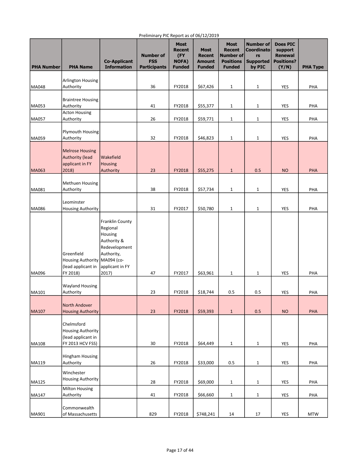| <b>PHA Number</b> | <b>PHA Name</b>                                                                  | <b>Co-Applicant</b><br><b>Information</b>                                                                                      | <b>Number of</b><br><b>FSS</b><br><b>Participants</b> | <b>Most</b><br><b>Recent</b><br>(FY)<br><b>NOFA)</b><br><b>Funded</b> | - - , -- , -<br><b>Most</b><br><b>Recent</b><br>Amount<br><b>Funded</b> | <b>Most</b><br><b>Recent</b><br>Number of<br><b>Positions</b><br><b>Funded</b> | <b>Number of</b><br><b>Coordinato</b><br>rs<br><b>Supported</b><br>by PIC | <b>Does PIC</b><br>support<br><b>Renewal</b><br><b>Positions?</b><br>(Y/N) | <b>PHA Type</b> |
|-------------------|----------------------------------------------------------------------------------|--------------------------------------------------------------------------------------------------------------------------------|-------------------------------------------------------|-----------------------------------------------------------------------|-------------------------------------------------------------------------|--------------------------------------------------------------------------------|---------------------------------------------------------------------------|----------------------------------------------------------------------------|-----------------|
|                   | <b>Arlington Housing</b>                                                         |                                                                                                                                |                                                       |                                                                       |                                                                         |                                                                                |                                                                           |                                                                            |                 |
| <b>MA048</b>      | Authority                                                                        |                                                                                                                                | 36                                                    | FY2018                                                                | \$67,426                                                                | $\mathbf{1}$                                                                   | $\mathbf{1}$                                                              | <b>YES</b>                                                                 | PHA             |
| MA053             | <b>Braintree Housing</b><br>Authority                                            |                                                                                                                                | 41                                                    | FY2018                                                                | \$55,377                                                                | $\mathbf{1}$                                                                   | 1                                                                         | YES                                                                        | PHA             |
| <b>MA057</b>      | <b>Acton Housing</b><br>Authority                                                |                                                                                                                                | 26                                                    | FY2018                                                                | \$59,771                                                                | $\mathbf{1}$                                                                   | $\mathbf{1}$                                                              | <b>YES</b>                                                                 | PHA             |
| MA059             | <b>Plymouth Housing</b><br>Authority                                             |                                                                                                                                | 32                                                    | FY2018                                                                | \$46,823                                                                | 1                                                                              | $\mathbf{1}$                                                              | YES                                                                        | PHA             |
| <b>MA063</b>      | <b>Melrose Housing</b><br><b>Authority (lead</b><br>applicant in FY<br>2018)     | Wakefield<br><b>Housing</b><br>Authority                                                                                       | 23                                                    | FY2018                                                                | \$55,275                                                                | $\mathbf{1}$                                                                   | 0.5                                                                       | <b>NO</b>                                                                  | <b>PHA</b>      |
| MA081             | <b>Methuen Housing</b><br>Authority                                              |                                                                                                                                | 38                                                    | FY2018                                                                | \$57,734                                                                | 1                                                                              | $\mathbf{1}$                                                              | YES                                                                        | PHA             |
| MA086             | Leominster<br><b>Housing Authority</b>                                           |                                                                                                                                | 31                                                    | FY2017                                                                | \$50,780                                                                | $\mathbf{1}$                                                                   | $\mathbf{1}$                                                              | YES                                                                        | PHA             |
| MA096             | Greenfield<br><b>Housing Authority</b><br>(lead applicant in<br>FY 2018)         | Franklin County<br>Regional<br>Housing<br>Authority &<br>Redevelopment<br>Authority,<br>MA094 (co-<br>applicant in FY<br>2017) | 47                                                    | FY2017                                                                | \$63,961                                                                | $\mathbf{1}$                                                                   | $\mathbf{1}$                                                              | <b>YES</b>                                                                 | PHA             |
| MA101             | <b>Wayland Housing</b><br>Authority                                              |                                                                                                                                | 23                                                    | FY2018                                                                | \$18,744                                                                | 0.5                                                                            | 0.5                                                                       | YES                                                                        | PHA             |
| MA107             | North Andover<br><b>Housing Authority</b>                                        |                                                                                                                                | 23                                                    | FY2018                                                                | \$59,393                                                                | $\mathbf{1}$                                                                   | 0.5                                                                       | <b>NO</b>                                                                  | PHA             |
| MA108             | Chelmsford<br><b>Housing Authority</b><br>(lead applicant in<br>FY 2013 HCV FSS) |                                                                                                                                | 30                                                    | FY2018                                                                | \$64,449                                                                | $\mathbf{1}$                                                                   | $\mathbf{1}$                                                              | YES                                                                        | PHA             |
| MA119             | Hingham Housing<br>Authority                                                     |                                                                                                                                | 26                                                    | FY2018                                                                | \$33,000                                                                | 0.5                                                                            | $\mathbf{1}$                                                              | YES                                                                        | PHA             |
| MA125             | Winchester<br><b>Housing Authority</b>                                           |                                                                                                                                | 28                                                    | FY2018                                                                | \$69,000                                                                | $\mathbf{1}$                                                                   | $\mathbf{1}$                                                              | YES                                                                        | PHA             |
| <b>MA147</b>      | <b>Milton Housing</b><br>Authority                                               |                                                                                                                                | 41                                                    | FY2018                                                                | \$66,660                                                                | 1                                                                              | $\mathbf{1}$                                                              | YES                                                                        | PHA             |
| MA901             | Commonwealth<br>of Massachusetts                                                 |                                                                                                                                | 829                                                   | FY2018                                                                | \$748,241                                                               | 14                                                                             | $17\,$                                                                    | YES                                                                        | <b>MTW</b>      |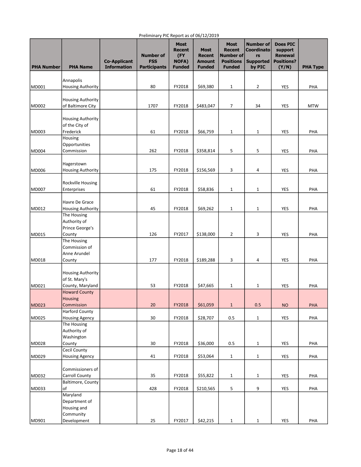| <b>PHA Number</b> | <b>PHA Name</b>                            | <b>Co-Applicant</b><br><b>Information</b> | <b>Number of</b><br><b>FSS</b><br><b>Participants</b> | <b>Most</b><br><b>Recent</b><br>(FY)<br><b>NOFA)</b><br><b>Funded</b> | - - - -<br><b>Most</b><br><b>Recent</b><br>Amount<br><b>Funded</b> | <b>Most</b><br><b>Recent</b><br>Number of<br><b>Positions</b><br><b>Funded</b> | <b>Number of</b><br><b>Coordinato</b><br>rs<br><b>Supported</b><br>by PIC | <b>Does PIC</b><br>support<br><b>Renewal</b><br><b>Positions?</b><br>(Y/N) | <b>PHA Type</b> |
|-------------------|--------------------------------------------|-------------------------------------------|-------------------------------------------------------|-----------------------------------------------------------------------|--------------------------------------------------------------------|--------------------------------------------------------------------------------|---------------------------------------------------------------------------|----------------------------------------------------------------------------|-----------------|
|                   | Annapolis                                  |                                           |                                                       |                                                                       |                                                                    |                                                                                |                                                                           |                                                                            |                 |
| MD001             | <b>Housing Authority</b>                   |                                           | 80                                                    | FY2018                                                                | \$69,380                                                           | $\mathbf{1}$                                                                   | $\overline{2}$                                                            | <b>YES</b>                                                                 | PHA             |
|                   | <b>Housing Authority</b>                   |                                           |                                                       |                                                                       |                                                                    |                                                                                |                                                                           |                                                                            |                 |
| MD002             | of Baltimore City                          |                                           | 1707                                                  | FY2018                                                                | \$483,047                                                          | 7                                                                              | 34                                                                        | YES                                                                        | <b>MTW</b>      |
|                   |                                            |                                           |                                                       |                                                                       |                                                                    |                                                                                |                                                                           |                                                                            |                 |
|                   | <b>Housing Authority</b><br>of the City of |                                           |                                                       |                                                                       |                                                                    |                                                                                |                                                                           |                                                                            |                 |
| MD003             | Frederick                                  |                                           | 61                                                    | FY2018                                                                | \$66,759                                                           | $\mathbf{1}$                                                                   | $\mathbf{1}$                                                              | YES                                                                        | PHA             |
|                   | Housing                                    |                                           |                                                       |                                                                       |                                                                    |                                                                                |                                                                           |                                                                            |                 |
| <b>MD004</b>      | Opportunities<br>Commission                |                                           | 262                                                   | FY2018                                                                | \$358,814                                                          | 5                                                                              | 5                                                                         | YES                                                                        | PHA             |
|                   |                                            |                                           |                                                       |                                                                       |                                                                    |                                                                                |                                                                           |                                                                            |                 |
|                   | Hagerstown                                 |                                           |                                                       |                                                                       |                                                                    |                                                                                |                                                                           |                                                                            |                 |
| <b>MD006</b>      | <b>Housing Authority</b>                   |                                           | 175                                                   | FY2018                                                                | \$156,569                                                          | 3                                                                              | 4                                                                         | YES                                                                        | PHA             |
|                   | Rockville Housing                          |                                           |                                                       |                                                                       |                                                                    |                                                                                |                                                                           |                                                                            |                 |
| MD007             | Enterprises                                |                                           | 61                                                    | FY2018                                                                | \$58,836                                                           | $\mathbf{1}$                                                                   | $\mathbf{1}$                                                              | YES                                                                        | PHA             |
|                   | Havre De Grace                             |                                           |                                                       |                                                                       |                                                                    |                                                                                |                                                                           |                                                                            |                 |
| MD012             | <b>Housing Authority</b>                   |                                           | 45                                                    | FY2018                                                                | \$69,262                                                           | $\mathbf{1}$                                                                   | $\mathbf{1}$                                                              | YES                                                                        | PHA             |
|                   | The Housing                                |                                           |                                                       |                                                                       |                                                                    |                                                                                |                                                                           |                                                                            |                 |
|                   | Authority of<br>Prince George's            |                                           |                                                       |                                                                       |                                                                    |                                                                                |                                                                           |                                                                            |                 |
| MD015             | County                                     |                                           | 126                                                   | FY2017                                                                | \$138,000                                                          | $\overline{2}$                                                                 | 3                                                                         | YES                                                                        | PHA             |
|                   | The Housing<br>Commission of               |                                           |                                                       |                                                                       |                                                                    |                                                                                |                                                                           |                                                                            |                 |
|                   | Anne Arundel                               |                                           |                                                       |                                                                       |                                                                    |                                                                                |                                                                           |                                                                            |                 |
| MD018             | County                                     |                                           | 177                                                   | FY2018                                                                | \$189,288                                                          | 3                                                                              | 4                                                                         | <b>YES</b>                                                                 | PHA             |
|                   | <b>Housing Authority</b>                   |                                           |                                                       |                                                                       |                                                                    |                                                                                |                                                                           |                                                                            |                 |
|                   | of St. Mary's                              |                                           |                                                       |                                                                       |                                                                    |                                                                                |                                                                           |                                                                            |                 |
| MD021             | County, Maryland                           |                                           | 53                                                    | FY2018                                                                | \$47,665                                                           | 1                                                                              | 1                                                                         | YES                                                                        | PHA             |
|                   | <b>Howard County</b><br>Housing            |                                           |                                                       |                                                                       |                                                                    |                                                                                |                                                                           |                                                                            |                 |
| MD023             | Commission                                 |                                           | 20                                                    | FY2018                                                                | \$61,059                                                           | $\mathbf{1}$                                                                   | 0.5                                                                       | <b>NO</b>                                                                  | PHA             |
|                   | <b>Harford County</b>                      |                                           |                                                       |                                                                       |                                                                    |                                                                                |                                                                           |                                                                            |                 |
| MD025             | <b>Housing Agency</b><br>The Housing       |                                           | 30                                                    | FY2018                                                                | \$28,707                                                           | 0.5                                                                            | $\mathbf{1}$                                                              | YES                                                                        | PHA             |
|                   | Authority of                               |                                           |                                                       |                                                                       |                                                                    |                                                                                |                                                                           |                                                                            |                 |
|                   | Washington                                 |                                           |                                                       |                                                                       |                                                                    |                                                                                |                                                                           |                                                                            |                 |
| MD028             | County<br>Cecil County                     |                                           | 30                                                    | FY2018                                                                | \$36,000                                                           | 0.5                                                                            | $\mathbf{1}$                                                              | YES                                                                        | PHA             |
| MD029             | <b>Housing Agency</b>                      |                                           | 41                                                    | FY2018                                                                | \$53,064                                                           | $\mathbf{1}$                                                                   | $\mathbf{1}$                                                              | YES                                                                        | PHA             |
|                   | Commissioners of                           |                                           |                                                       |                                                                       |                                                                    |                                                                                |                                                                           |                                                                            |                 |
| MD032             | Carroll County                             |                                           | 35                                                    | FY2018                                                                | \$55,822                                                           | $\mathbf{1}$                                                                   | $\mathbf{1}$                                                              | YES                                                                        | PHA             |
|                   | Baltimore, County                          |                                           |                                                       |                                                                       |                                                                    |                                                                                |                                                                           |                                                                            |                 |
| MD033             | of<br>Maryland                             |                                           | 428                                                   | FY2018                                                                | \$210,565                                                          | 5                                                                              | 9                                                                         | YES                                                                        | PHA             |
|                   | Department of                              |                                           |                                                       |                                                                       |                                                                    |                                                                                |                                                                           |                                                                            |                 |
|                   | Housing and                                |                                           |                                                       |                                                                       |                                                                    |                                                                                |                                                                           |                                                                            |                 |
| MD901             | Community<br>Development                   |                                           | 25                                                    | FY2017                                                                | \$42,215                                                           | $\mathbf{1}$                                                                   | $\mathbf{1}$                                                              | YES                                                                        | PHA             |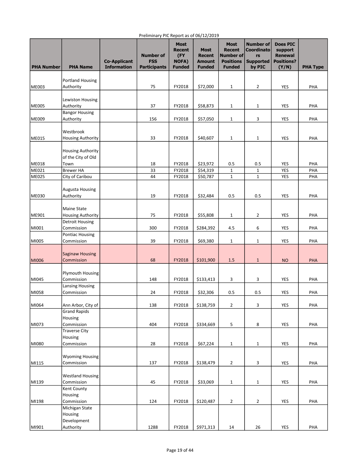| <b>PHA Number</b> | <b>PHA Name</b>                       | <b>Co-Applicant</b><br><b>Information</b> | <b>Number of</b><br><b>FSS</b><br><b>Participants</b> | <b>Most</b><br><b>Recent</b><br>(FY<br><b>NOFA)</b><br><b>Funded</b> | $-0, -1, -0.5$<br><b>Most</b><br><b>Recent</b><br><b>Amount</b><br><b>Funded</b> | <b>Most</b><br><b>Recent</b><br>Number of<br><b>Positions</b><br><b>Funded</b> | <b>Number of</b><br>Coordinato<br>rs<br><b>Supported</b><br>by PIC | <b>Does PIC</b><br>support<br><b>Renewal</b><br><b>Positions?</b><br>(Y/N) | <b>PHA Type</b> |
|-------------------|---------------------------------------|-------------------------------------------|-------------------------------------------------------|----------------------------------------------------------------------|----------------------------------------------------------------------------------|--------------------------------------------------------------------------------|--------------------------------------------------------------------|----------------------------------------------------------------------------|-----------------|
|                   |                                       |                                           |                                                       |                                                                      |                                                                                  |                                                                                |                                                                    |                                                                            |                 |
|                   | <b>Portland Housing</b>               |                                           |                                                       |                                                                      |                                                                                  |                                                                                |                                                                    |                                                                            |                 |
| <b>ME003</b>      | Authority                             |                                           | 75                                                    | FY2018                                                               | \$72,000                                                                         | $\mathbf{1}$                                                                   | $\overline{2}$                                                     | YES                                                                        | PHA             |
|                   |                                       |                                           |                                                       |                                                                      |                                                                                  |                                                                                |                                                                    |                                                                            |                 |
| <b>ME005</b>      | Lewiston Housing<br>Authority         |                                           | 37                                                    | FY2018                                                               | \$58,873                                                                         | $\mathbf{1}$                                                                   | $\mathbf{1}$                                                       | YES                                                                        | PHA             |
|                   | <b>Bangor Housing</b>                 |                                           |                                                       |                                                                      |                                                                                  |                                                                                |                                                                    |                                                                            |                 |
| <b>ME009</b>      | Authority                             |                                           | 156                                                   | FY2018                                                               | \$57,050                                                                         | $\mathbf{1}$                                                                   | 3                                                                  | <b>YES</b>                                                                 | PHA             |
|                   |                                       |                                           |                                                       |                                                                      |                                                                                  |                                                                                |                                                                    |                                                                            |                 |
|                   | Westbrook                             |                                           |                                                       |                                                                      |                                                                                  |                                                                                |                                                                    |                                                                            |                 |
| <b>ME015</b>      | <b>Housing Authority</b>              |                                           | 33                                                    | FY2018                                                               | \$40,607                                                                         | $\mathbf{1}$                                                                   | $\mathbf{1}$                                                       | YES                                                                        | PHA             |
|                   |                                       |                                           |                                                       |                                                                      |                                                                                  |                                                                                |                                                                    |                                                                            |                 |
|                   | <b>Housing Authority</b>              |                                           |                                                       |                                                                      |                                                                                  |                                                                                |                                                                    |                                                                            |                 |
| <b>ME018</b>      | of the City of Old<br>Town            |                                           | 18                                                    | FY2018                                                               | \$23,972                                                                         | 0.5                                                                            | 0.5                                                                | YES                                                                        | PHA             |
| ME021             | <b>Brewer HA</b>                      |                                           | 33                                                    | FY2018                                                               | \$54,319                                                                         | $\mathbf{1}$                                                                   | $\mathbf{1}$                                                       | <b>YES</b>                                                                 | PHA             |
| <b>ME025</b>      | City of Caribou                       |                                           | 44                                                    | FY2018                                                               | \$50,787                                                                         | $\mathbf{1}$                                                                   | $\mathbf 1$                                                        | <b>YES</b>                                                                 | PHA             |
|                   |                                       |                                           |                                                       |                                                                      |                                                                                  |                                                                                |                                                                    |                                                                            |                 |
|                   | <b>Augusta Housing</b>                |                                           |                                                       |                                                                      |                                                                                  |                                                                                |                                                                    |                                                                            |                 |
| <b>ME030</b>      | Authority                             |                                           | 19                                                    | FY2018                                                               | \$32,484                                                                         | 0.5                                                                            | 0.5                                                                | YES                                                                        | PHA             |
|                   |                                       |                                           |                                                       |                                                                      |                                                                                  |                                                                                |                                                                    |                                                                            |                 |
|                   | Maine State                           |                                           |                                                       |                                                                      |                                                                                  |                                                                                |                                                                    |                                                                            |                 |
| ME901             | <b>Housing Authority</b>              |                                           | 75                                                    | FY2018                                                               | \$55,808                                                                         | $\mathbf{1}$                                                                   | $\overline{2}$                                                     | YES                                                                        | PHA             |
| MI001             | <b>Detroit Housing</b><br>Commission  |                                           | 300                                                   | FY2018                                                               | \$284,392                                                                        | 4.5                                                                            | 6                                                                  | YES                                                                        | PHA             |
|                   | <b>Pontiac Housing</b>                |                                           |                                                       |                                                                      |                                                                                  |                                                                                |                                                                    |                                                                            |                 |
| MI005             | Commission                            |                                           | 39                                                    | FY2018                                                               | \$69,380                                                                         | $\mathbf{1}$                                                                   | $\mathbf{1}$                                                       | YES                                                                        | PHA             |
|                   |                                       |                                           |                                                       |                                                                      |                                                                                  |                                                                                |                                                                    |                                                                            |                 |
|                   | <b>Saginaw Housing</b>                |                                           |                                                       |                                                                      |                                                                                  |                                                                                |                                                                    |                                                                            |                 |
| MI006             | Commission                            |                                           | 68                                                    | FY2018                                                               | \$101,900                                                                        | 1.5                                                                            | $\mathbf{1}$                                                       | <b>NO</b>                                                                  | PHA             |
|                   |                                       |                                           |                                                       |                                                                      |                                                                                  |                                                                                |                                                                    |                                                                            |                 |
| MI045             | <b>Plymouth Housing</b><br>Commission |                                           | 148                                                   |                                                                      |                                                                                  |                                                                                |                                                                    |                                                                            |                 |
|                   | Lansing Housing                       |                                           |                                                       | FY2018                                                               | \$133,413                                                                        | 3                                                                              | 3                                                                  | YES                                                                        | PHA             |
| MI058             | Commission                            |                                           | 24                                                    | FY2018                                                               | \$32,306                                                                         | 0.5                                                                            | 0.5                                                                | YES                                                                        | PHA             |
|                   |                                       |                                           |                                                       |                                                                      |                                                                                  |                                                                                |                                                                    |                                                                            |                 |
| MI064             | Ann Arbor, City of                    |                                           | 138                                                   | FY2018                                                               | \$138,759                                                                        | $\overline{2}$                                                                 | 3                                                                  | YES                                                                        | PHA             |
|                   | <b>Grand Rapids</b>                   |                                           |                                                       |                                                                      |                                                                                  |                                                                                |                                                                    |                                                                            |                 |
|                   | Housing                               |                                           |                                                       |                                                                      |                                                                                  |                                                                                |                                                                    |                                                                            |                 |
| MI073             | Commission                            |                                           | 404                                                   | FY2018                                                               | \$334,669                                                                        | 5                                                                              | 8                                                                  | YES                                                                        | PHA             |
|                   | <b>Traverse City</b><br>Housing       |                                           |                                                       |                                                                      |                                                                                  |                                                                                |                                                                    |                                                                            |                 |
| MI080             | Commission                            |                                           | 28                                                    | FY2018                                                               | \$67,224                                                                         | $\mathbf{1}$                                                                   | $\mathbf{1}$                                                       | YES                                                                        | PHA             |
|                   |                                       |                                           |                                                       |                                                                      |                                                                                  |                                                                                |                                                                    |                                                                            |                 |
|                   | <b>Wyoming Housing</b>                |                                           |                                                       |                                                                      |                                                                                  |                                                                                |                                                                    |                                                                            |                 |
| MI115             | Commission                            |                                           | 137                                                   | FY2018                                                               | \$138,479                                                                        | $\overline{2}$                                                                 | 3                                                                  | YES                                                                        | PHA             |
|                   |                                       |                                           |                                                       |                                                                      |                                                                                  |                                                                                |                                                                    |                                                                            |                 |
|                   | <b>Westland Housing</b>               |                                           |                                                       |                                                                      |                                                                                  |                                                                                |                                                                    |                                                                            |                 |
| MI139             | Commission                            |                                           | 45                                                    | FY2018                                                               | \$33,069                                                                         | $\mathbf 1$                                                                    | $\mathbf{1}$                                                       | YES                                                                        | PHA             |
|                   | Kent County                           |                                           |                                                       |                                                                      |                                                                                  |                                                                                |                                                                    |                                                                            |                 |
| MI198             | Housing<br>Commission                 |                                           | 124                                                   | FY2018                                                               | \$120,487                                                                        | $\overline{2}$                                                                 | $\overline{2}$                                                     | YES                                                                        | PHA             |
|                   | Michigan State                        |                                           |                                                       |                                                                      |                                                                                  |                                                                                |                                                                    |                                                                            |                 |
|                   | Housing                               |                                           |                                                       |                                                                      |                                                                                  |                                                                                |                                                                    |                                                                            |                 |
|                   | Development                           |                                           |                                                       |                                                                      |                                                                                  |                                                                                |                                                                    |                                                                            |                 |
| MI901             | Authority                             |                                           | 1288                                                  | FY2018                                                               | \$971,313                                                                        | 14                                                                             | 26                                                                 | YES                                                                        | PHA             |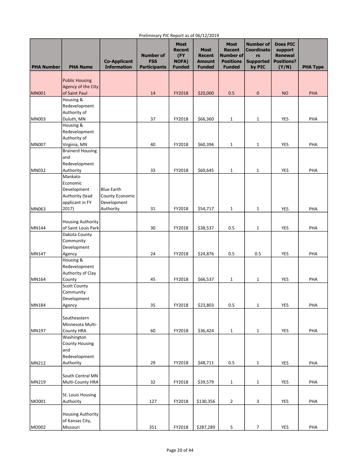| <b>PHA Number</b> | <b>PHA Name</b>                             | <b>Co-Applicant</b><br><b>Information</b> | <b>Number of</b><br><b>FSS</b><br><b>Participants</b> | <b>Most</b><br><b>Recent</b><br>(FY<br><b>NOFA)</b><br><b>Funded</b> | <b>Most</b><br><b>Recent</b><br><b>Amount</b><br><b>Funded</b> | <b>Most</b><br><b>Recent</b><br>Number of<br><b>Positions</b><br><b>Funded</b> | <b>Number of</b><br><b>Coordinato</b><br>rs<br><b>Supported</b><br>by PIC | <b>Does PIC</b><br>support<br><b>Renewal</b><br><b>Positions?</b><br>(Y/N) | <b>PHA Type</b> |
|-------------------|---------------------------------------------|-------------------------------------------|-------------------------------------------------------|----------------------------------------------------------------------|----------------------------------------------------------------|--------------------------------------------------------------------------------|---------------------------------------------------------------------------|----------------------------------------------------------------------------|-----------------|
|                   |                                             |                                           |                                                       |                                                                      |                                                                |                                                                                |                                                                           |                                                                            |                 |
|                   | <b>Public Housing</b><br>Agency of the City |                                           |                                                       |                                                                      |                                                                |                                                                                |                                                                           |                                                                            |                 |
| <b>MN001</b>      | of Saint Paul                               |                                           | 14                                                    | FY2018                                                               | \$20,000                                                       | 0.5                                                                            | $\pmb{0}$                                                                 | <b>NO</b>                                                                  | <b>PHA</b>      |
|                   | Housing &                                   |                                           |                                                       |                                                                      |                                                                |                                                                                |                                                                           |                                                                            |                 |
|                   | Redevelopment<br>Authority of               |                                           |                                                       |                                                                      |                                                                |                                                                                |                                                                           |                                                                            |                 |
| lMN003            | Duluth, MN                                  |                                           | 37                                                    | FY2018                                                               | \$66,360                                                       | $\mathbf{1}$                                                                   | $\mathbf{1}$                                                              | YES                                                                        | PHA             |
|                   | Housing &                                   |                                           |                                                       |                                                                      |                                                                |                                                                                |                                                                           |                                                                            |                 |
|                   | Redevelopment                               |                                           |                                                       |                                                                      |                                                                |                                                                                |                                                                           |                                                                            |                 |
| MN007             | Authority of                                |                                           | 40                                                    |                                                                      |                                                                |                                                                                |                                                                           | <b>YES</b>                                                                 | PHA             |
|                   | Virginia, MN<br><b>Brainerd Housing</b>     |                                           |                                                       | FY2018                                                               | \$60,394                                                       | $\mathbf{1}$                                                                   | $\mathbf{1}$                                                              |                                                                            |                 |
|                   | and                                         |                                           |                                                       |                                                                      |                                                                |                                                                                |                                                                           |                                                                            |                 |
|                   | Redevelopment                               |                                           |                                                       |                                                                      |                                                                |                                                                                |                                                                           |                                                                            |                 |
| <b>MN032</b>      | Authority<br>Mankato                        |                                           | 33                                                    | FY2018                                                               | \$60,645                                                       | $\mathbf{1}$                                                                   | $\mathbf{1}$                                                              | YES                                                                        | PHA             |
|                   | Economic                                    |                                           |                                                       |                                                                      |                                                                |                                                                                |                                                                           |                                                                            |                 |
|                   | Development                                 | <b>Blue Earth</b>                         |                                                       |                                                                      |                                                                |                                                                                |                                                                           |                                                                            |                 |
|                   | Authority (lead                             | County Economic                           |                                                       |                                                                      |                                                                |                                                                                |                                                                           |                                                                            |                 |
|                   | applicant in FY                             | Development                               |                                                       |                                                                      |                                                                |                                                                                |                                                                           |                                                                            |                 |
| MN063             | 2017)                                       | Authority                                 | 31                                                    | FY2018                                                               | \$54,717                                                       | $\mathbf{1}$                                                                   | $\mathbf{1}$                                                              | YES                                                                        | PHA             |
|                   | <b>Housing Authority</b>                    |                                           |                                                       |                                                                      |                                                                |                                                                                |                                                                           |                                                                            |                 |
| <b>MN144</b>      | of Saint Louis Park                         |                                           | 30                                                    | FY2018                                                               | \$38,537                                                       | 0.5                                                                            | $\mathbf{1}$                                                              | YES                                                                        | PHA             |
|                   | Dakota County                               |                                           |                                                       |                                                                      |                                                                |                                                                                |                                                                           |                                                                            |                 |
|                   | Community<br>Development                    |                                           |                                                       |                                                                      |                                                                |                                                                                |                                                                           |                                                                            |                 |
| MN147             | Agency                                      |                                           | 24                                                    | FY2018                                                               | \$24,876                                                       | 0.5                                                                            | 0.5                                                                       | YES                                                                        | PHA             |
|                   | Housing &                                   |                                           |                                                       |                                                                      |                                                                |                                                                                |                                                                           |                                                                            |                 |
|                   | Redevelopment                               |                                           |                                                       |                                                                      |                                                                |                                                                                |                                                                           |                                                                            |                 |
| <b>MN164</b>      | Authority of Clay<br>County                 |                                           | 45                                                    | FY2018                                                               | \$66,537                                                       | $\mathbf{1}$                                                                   | $\mathbf{1}$                                                              | YES                                                                        | PHA             |
|                   | <b>Scott County</b>                         |                                           |                                                       |                                                                      |                                                                |                                                                                |                                                                           |                                                                            |                 |
|                   | Community                                   |                                           |                                                       |                                                                      |                                                                |                                                                                |                                                                           |                                                                            |                 |
|                   | Development                                 |                                           |                                                       |                                                                      |                                                                |                                                                                |                                                                           |                                                                            |                 |
| MN184             | Agency                                      |                                           | 35                                                    | FY2018                                                               | \$23,803                                                       | 0.5                                                                            | $\mathbf{1}$                                                              | YES                                                                        | PHA             |
|                   | Southeastern                                |                                           |                                                       |                                                                      |                                                                |                                                                                |                                                                           |                                                                            |                 |
|                   | Minnesota Multi-                            |                                           |                                                       |                                                                      |                                                                |                                                                                |                                                                           |                                                                            |                 |
| MN197             | <b>County HRA</b>                           |                                           | 60                                                    | FY2018                                                               | \$36,424                                                       | $\mathbf{1}$                                                                   | $\mathbf{1}$                                                              | <b>YES</b>                                                                 | PHA             |
|                   | Washington<br><b>County Housing</b>         |                                           |                                                       |                                                                      |                                                                |                                                                                |                                                                           |                                                                            |                 |
|                   | and                                         |                                           |                                                       |                                                                      |                                                                |                                                                                |                                                                           |                                                                            |                 |
|                   | Redevelopment                               |                                           |                                                       |                                                                      |                                                                |                                                                                |                                                                           |                                                                            |                 |
| MN212             | Authority                                   |                                           | 29                                                    | FY2018                                                               | \$48,711                                                       | 0.5                                                                            | $\mathbf{1}$                                                              | YES                                                                        | PHA             |
|                   | South Central MN                            |                                           |                                                       |                                                                      |                                                                |                                                                                |                                                                           |                                                                            |                 |
| MN219             | Multi-County HRA                            |                                           | 32                                                    | FY2018                                                               | \$39,579                                                       | $\mathbf{1}$                                                                   | $\mathbf{1}$                                                              | YES                                                                        | PHA             |
|                   |                                             |                                           |                                                       |                                                                      |                                                                |                                                                                |                                                                           |                                                                            |                 |
|                   | St. Louis Housing                           |                                           |                                                       |                                                                      |                                                                |                                                                                |                                                                           |                                                                            |                 |
| M0001             | Authority                                   |                                           | 127                                                   | FY2018                                                               | \$130,356                                                      | $\overline{2}$                                                                 | 3                                                                         | <b>YES</b>                                                                 | PHA             |
|                   | <b>Housing Authority</b>                    |                                           |                                                       |                                                                      |                                                                |                                                                                |                                                                           |                                                                            |                 |
|                   | of Kansas City,                             |                                           |                                                       |                                                                      |                                                                |                                                                                |                                                                           |                                                                            |                 |
| MO002             | Missouri                                    |                                           | 351                                                   | FY2018                                                               | \$287,289                                                      | 5                                                                              | $\overline{7}$                                                            | <b>YES</b>                                                                 | PHA             |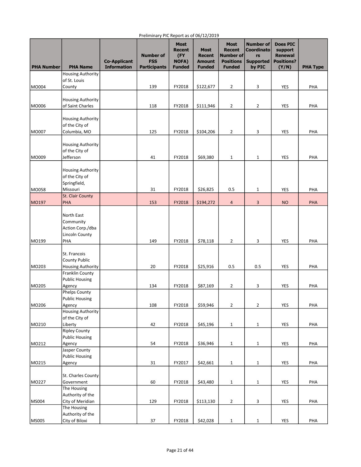| <b>PHA Number</b> | <b>PHA Name</b>                            | <b>Co-Applicant</b><br><b>Information</b> | <b>Number of</b><br><b>FSS</b><br><b>Participants</b> | <b>Most</b><br><b>Recent</b><br>(FY<br><b>NOFA)</b><br><b>Funded</b> | <b>Most</b><br><b>Recent</b><br><b>Amount</b><br><b>Funded</b> | <b>Most</b><br><b>Recent</b><br>Number of<br><b>Positions</b><br><b>Funded</b> | <b>Number of</b><br><b>Coordinato</b><br>rs<br><b>Supported</b><br>by PIC | <b>Does PIC</b><br>support<br><b>Renewal</b><br><b>Positions?</b><br>(Y/N) | <b>PHA Type</b> |
|-------------------|--------------------------------------------|-------------------------------------------|-------------------------------------------------------|----------------------------------------------------------------------|----------------------------------------------------------------|--------------------------------------------------------------------------------|---------------------------------------------------------------------------|----------------------------------------------------------------------------|-----------------|
|                   | <b>Housing Authority</b>                   |                                           |                                                       |                                                                      |                                                                |                                                                                |                                                                           |                                                                            |                 |
|                   | of St. Louis                               |                                           |                                                       |                                                                      |                                                                |                                                                                |                                                                           |                                                                            |                 |
| MO004             | County                                     |                                           | 139                                                   | FY2018                                                               | \$122,677                                                      | $\overline{2}$                                                                 | 3                                                                         | <b>YES</b>                                                                 | PHA             |
|                   | <b>Housing Authority</b>                   |                                           |                                                       |                                                                      |                                                                |                                                                                |                                                                           |                                                                            |                 |
| MO006             | of Saint Charles                           |                                           | 118                                                   | FY2018                                                               | \$111,946                                                      | $\overline{2}$                                                                 | $\overline{2}$                                                            | YES                                                                        | PHA             |
|                   |                                            |                                           |                                                       |                                                                      |                                                                |                                                                                |                                                                           |                                                                            |                 |
|                   | <b>Housing Authority</b>                   |                                           |                                                       |                                                                      |                                                                |                                                                                |                                                                           |                                                                            |                 |
| MO007             | of the City of<br>Columbia, MO             |                                           |                                                       |                                                                      |                                                                | $\overline{2}$                                                                 |                                                                           |                                                                            | PHA             |
|                   |                                            |                                           | 125                                                   | FY2018                                                               | \$104,206                                                      |                                                                                | 3                                                                         | YES                                                                        |                 |
|                   | <b>Housing Authority</b>                   |                                           |                                                       |                                                                      |                                                                |                                                                                |                                                                           |                                                                            |                 |
|                   | of the City of                             |                                           |                                                       |                                                                      |                                                                |                                                                                |                                                                           |                                                                            |                 |
| MO009             | Jefferson                                  |                                           | 41                                                    | FY2018                                                               | \$69,380                                                       | $\mathbf{1}$                                                                   | $\mathbf{1}$                                                              | YES                                                                        | PHA             |
|                   | <b>Housing Authority</b>                   |                                           |                                                       |                                                                      |                                                                |                                                                                |                                                                           |                                                                            |                 |
|                   | of the City of                             |                                           |                                                       |                                                                      |                                                                |                                                                                |                                                                           |                                                                            |                 |
|                   | Springfield,                               |                                           |                                                       |                                                                      |                                                                |                                                                                |                                                                           |                                                                            |                 |
| MO058             | Missouri                                   |                                           | 31                                                    | FY2018                                                               | \$26,825                                                       | 0.5                                                                            | $\mathbf{1}$                                                              | YES                                                                        | PHA             |
|                   | St. Clair County                           |                                           |                                                       |                                                                      |                                                                |                                                                                |                                                                           |                                                                            | PHA             |
| MO197             | PHA                                        |                                           | 153                                                   | FY2018                                                               | \$194,272                                                      | $\overline{4}$                                                                 | 3                                                                         | <b>NO</b>                                                                  |                 |
|                   | North East                                 |                                           |                                                       |                                                                      |                                                                |                                                                                |                                                                           |                                                                            |                 |
|                   | Community                                  |                                           |                                                       |                                                                      |                                                                |                                                                                |                                                                           |                                                                            |                 |
|                   | Action Corp./dba                           |                                           |                                                       |                                                                      |                                                                |                                                                                |                                                                           |                                                                            |                 |
| MO199             | <b>Lincoln County</b><br>PHA               |                                           | 149                                                   | FY2018                                                               |                                                                | $\overline{2}$                                                                 | 3                                                                         | YES                                                                        | PHA             |
|                   |                                            |                                           |                                                       |                                                                      | \$78,118                                                       |                                                                                |                                                                           |                                                                            |                 |
|                   | St. Francois                               |                                           |                                                       |                                                                      |                                                                |                                                                                |                                                                           |                                                                            |                 |
|                   | <b>County Public</b>                       |                                           |                                                       |                                                                      |                                                                |                                                                                |                                                                           |                                                                            |                 |
| MO203             | <b>Housing Authority</b>                   |                                           | 20                                                    | FY2018                                                               | \$25,916                                                       | 0.5                                                                            | 0.5                                                                       | YES                                                                        | PHA             |
|                   | Franklin County<br><b>Public Housing</b>   |                                           |                                                       |                                                                      |                                                                |                                                                                |                                                                           |                                                                            |                 |
| MO205             | Agency                                     |                                           | 134                                                   | FY2018                                                               | \$87,169                                                       | 2                                                                              | 3                                                                         | <b>YES</b>                                                                 | PHA             |
|                   | <b>Phelps County</b>                       |                                           |                                                       |                                                                      |                                                                |                                                                                |                                                                           |                                                                            |                 |
|                   | <b>Public Housing</b>                      |                                           |                                                       |                                                                      |                                                                |                                                                                |                                                                           |                                                                            |                 |
| MO206             | Agency                                     |                                           | 108                                                   | FY2018                                                               | \$59,946                                                       | $\mathbf 2$                                                                    | $\overline{2}$                                                            | <b>YES</b>                                                                 | PHA             |
|                   | <b>Housing Authority</b><br>of the City of |                                           |                                                       |                                                                      |                                                                |                                                                                |                                                                           |                                                                            |                 |
| MO210             | Liberty                                    |                                           | 42                                                    | FY2018                                                               | \$45,196                                                       | $\mathbf{1}$                                                                   | $\mathbf{1}$                                                              | <b>YES</b>                                                                 | PHA             |
|                   | <b>Ripley County</b>                       |                                           |                                                       |                                                                      |                                                                |                                                                                |                                                                           |                                                                            |                 |
|                   | <b>Public Housing</b>                      |                                           |                                                       |                                                                      |                                                                |                                                                                |                                                                           |                                                                            |                 |
| MO212             | Agency                                     |                                           | 54                                                    | FY2018                                                               | \$36,946                                                       | $\mathbf 1$                                                                    | $\mathbf{1}$                                                              | YES                                                                        | PHA             |
|                   | Jasper County<br><b>Public Housing</b>     |                                           |                                                       |                                                                      |                                                                |                                                                                |                                                                           |                                                                            |                 |
| MO215             | Agency                                     |                                           | 31                                                    | FY2017                                                               | \$42,661                                                       | $\mathbf 1$                                                                    | $\mathbf{1}$                                                              | YES                                                                        | PHA             |
|                   |                                            |                                           |                                                       |                                                                      |                                                                |                                                                                |                                                                           |                                                                            |                 |
|                   | St. Charles County                         |                                           |                                                       |                                                                      |                                                                |                                                                                |                                                                           |                                                                            |                 |
| MO227             | Government                                 |                                           | 60                                                    | FY2018                                                               | \$43,480                                                       | 1                                                                              | $\mathbf{1}$                                                              | YES                                                                        | PHA             |
|                   | The Housing<br>Authority of the            |                                           |                                                       |                                                                      |                                                                |                                                                                |                                                                           |                                                                            |                 |
| MS004             | City of Meridian                           |                                           | 129                                                   | FY2018                                                               | \$113,130                                                      | $\overline{2}$                                                                 | 3                                                                         | YES                                                                        | PHA             |
|                   | The Housing                                |                                           |                                                       |                                                                      |                                                                |                                                                                |                                                                           |                                                                            |                 |
|                   | Authority of the                           |                                           |                                                       |                                                                      |                                                                |                                                                                |                                                                           |                                                                            |                 |
| MS005             | City of Biloxi                             |                                           | 37                                                    | FY2018                                                               | \$42,028                                                       | $\mathbf{1}$                                                                   | $\mathbf{1}$                                                              | YES                                                                        | PHA             |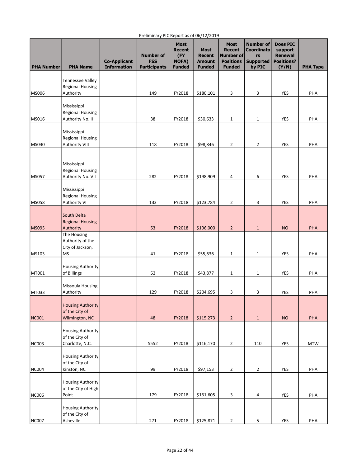| <b>PHA Number</b> | <b>PHA Name</b>                                  | <b>Co-Applicant</b><br><b>Information</b> | <b>Number of</b><br><b>FSS</b><br><b>Participants</b> | <b>Most</b><br><b>Recent</b><br>(FY<br><b>NOFA)</b><br><b>Funded</b> | <b>Most</b><br><b>Recent</b><br><b>Amount</b><br><b>Funded</b> | <b>Most</b><br><b>Recent</b><br>Number of<br><b>Positions</b><br><b>Funded</b> | <b>Number of</b><br><b>Coordinato</b><br>rs<br><b>Supported</b><br>by PIC | <b>Does PIC</b><br>support<br><b>Renewal</b><br><b>Positions?</b><br>(Y/N) | <b>PHA Type</b> |
|-------------------|--------------------------------------------------|-------------------------------------------|-------------------------------------------------------|----------------------------------------------------------------------|----------------------------------------------------------------|--------------------------------------------------------------------------------|---------------------------------------------------------------------------|----------------------------------------------------------------------------|-----------------|
|                   |                                                  |                                           |                                                       |                                                                      |                                                                |                                                                                |                                                                           |                                                                            |                 |
|                   | Tennessee Valley<br><b>Regional Housing</b>      |                                           |                                                       |                                                                      |                                                                |                                                                                |                                                                           |                                                                            |                 |
| MS006             | Authority                                        |                                           | 149                                                   | FY2018                                                               | \$180,101                                                      | 3                                                                              | 3                                                                         | YES                                                                        | PHA             |
|                   | Mississippi                                      |                                           |                                                       |                                                                      |                                                                |                                                                                |                                                                           |                                                                            |                 |
|                   | <b>Regional Housing</b>                          |                                           |                                                       |                                                                      |                                                                |                                                                                |                                                                           |                                                                            |                 |
| MS016             | Authority No. II                                 |                                           | 38                                                    | FY2018                                                               | \$30,633                                                       | $\mathbf 1$                                                                    | $\mathbf{1}$                                                              | YES                                                                        | PHA             |
|                   | Mississippi                                      |                                           |                                                       |                                                                      |                                                                |                                                                                |                                                                           |                                                                            |                 |
| <b>MS040</b>      | <b>Regional Housing</b><br><b>Authority VIII</b> |                                           | 118                                                   | FY2018                                                               | \$98,846                                                       | $\overline{2}$                                                                 | $\overline{2}$                                                            | YES                                                                        | PHA             |
|                   |                                                  |                                           |                                                       |                                                                      |                                                                |                                                                                |                                                                           |                                                                            |                 |
|                   | Mississippi                                      |                                           |                                                       |                                                                      |                                                                |                                                                                |                                                                           |                                                                            |                 |
|                   | <b>Regional Housing</b>                          |                                           |                                                       |                                                                      |                                                                |                                                                                |                                                                           |                                                                            |                 |
| MS057             | Authority No. VII                                |                                           | 282                                                   | FY2018                                                               | \$198,909                                                      | 4                                                                              | 6                                                                         | YES                                                                        | PHA             |
|                   | Mississippi                                      |                                           |                                                       |                                                                      |                                                                |                                                                                |                                                                           |                                                                            |                 |
|                   | <b>Regional Housing</b>                          |                                           |                                                       |                                                                      |                                                                |                                                                                |                                                                           |                                                                            |                 |
| <b>MS058</b>      | <b>Authority VI</b>                              |                                           | 133                                                   | FY2018                                                               | \$123,784                                                      | $\overline{2}$                                                                 | 3                                                                         | YES                                                                        | PHA             |
|                   | South Delta                                      |                                           |                                                       |                                                                      |                                                                |                                                                                |                                                                           |                                                                            |                 |
| MS095             | <b>Regional Housing</b><br>Authority             |                                           | 53                                                    | FY2018                                                               | \$106,000                                                      | $\overline{2}$                                                                 | $\mathbf{1}$                                                              | <b>NO</b>                                                                  | PHA             |
|                   | The Housing                                      |                                           |                                                       |                                                                      |                                                                |                                                                                |                                                                           |                                                                            |                 |
|                   | Authority of the                                 |                                           |                                                       |                                                                      |                                                                |                                                                                |                                                                           |                                                                            |                 |
| MS103             | City of Jackson,<br><b>MS</b>                    |                                           | 41                                                    | FY2018                                                               | \$55,636                                                       | $\mathbf{1}$                                                                   | 1                                                                         | <b>YES</b>                                                                 | PHA             |
|                   |                                                  |                                           |                                                       |                                                                      |                                                                |                                                                                |                                                                           |                                                                            |                 |
| <b>MT001</b>      | <b>Housing Authority</b><br>of Billings          |                                           | 52                                                    | FY2018                                                               | \$43,877                                                       | $\mathbf{1}$                                                                   | 1                                                                         | YES                                                                        | PHA             |
|                   |                                                  |                                           |                                                       |                                                                      |                                                                |                                                                                |                                                                           |                                                                            |                 |
| MT033             | <b>Missoula Housing</b><br>Authority             |                                           | 129                                                   | FY2018                                                               | \$204,695                                                      | 3                                                                              | 3                                                                         | YES                                                                        | PHA             |
|                   |                                                  |                                           |                                                       |                                                                      |                                                                |                                                                                |                                                                           |                                                                            |                 |
|                   | <b>Housing Authority</b><br>of the City of       |                                           |                                                       |                                                                      |                                                                |                                                                                |                                                                           |                                                                            |                 |
| NC001             | Wilmington, NC                                   |                                           | 48                                                    | FY2018                                                               | \$115,273                                                      | $\overline{2}$                                                                 | $\mathbf{1}$                                                              | <b>NO</b>                                                                  | PHA             |
|                   |                                                  |                                           |                                                       |                                                                      |                                                                |                                                                                |                                                                           |                                                                            |                 |
|                   | <b>Housing Authority</b><br>of the City of       |                                           |                                                       |                                                                      |                                                                |                                                                                |                                                                           |                                                                            |                 |
| NC003             | Charlotte, N.C.                                  |                                           | 5552                                                  | FY2018                                                               | \$116,170                                                      | $\mathbf 2$                                                                    | 110                                                                       | YES                                                                        | <b>MTW</b>      |
|                   | <b>Housing Authority</b>                         |                                           |                                                       |                                                                      |                                                                |                                                                                |                                                                           |                                                                            |                 |
|                   | of the City of                                   |                                           |                                                       |                                                                      |                                                                |                                                                                |                                                                           |                                                                            |                 |
| NC004             | Kinston, NC                                      |                                           | 99                                                    | FY2018                                                               | \$97,153                                                       | $\overline{2}$                                                                 | $\overline{2}$                                                            | YES                                                                        | PHA             |
|                   | <b>Housing Authority</b>                         |                                           |                                                       |                                                                      |                                                                |                                                                                |                                                                           |                                                                            |                 |
|                   | of the City of High                              |                                           |                                                       |                                                                      |                                                                |                                                                                |                                                                           |                                                                            |                 |
| NC006             | Point                                            |                                           | 179                                                   | FY2018                                                               | \$161,605                                                      | 3                                                                              | 4                                                                         | YES                                                                        | PHA             |
|                   | <b>Housing Authority</b>                         |                                           |                                                       |                                                                      |                                                                |                                                                                |                                                                           |                                                                            |                 |
| NC007             | of the City of<br>Asheville                      |                                           | 271                                                   | FY2018                                                               | \$125,871                                                      | $\overline{2}$                                                                 | $\overline{\mathbf{5}}$                                                   | YES                                                                        | PHA             |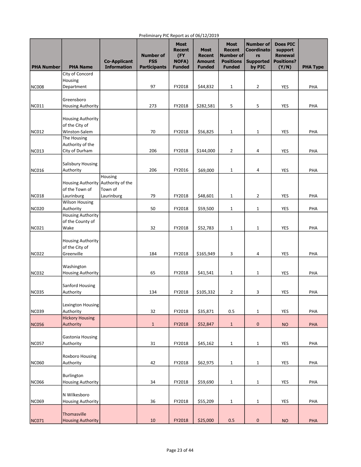| <b>PHA Number</b> | <b>PHA Name</b>                                      | <b>Co-Applicant</b><br><b>Information</b> | <b>Number of</b><br><b>FSS</b><br><b>Participants</b> | <b>Most</b><br><b>Recent</b><br>(FY<br><b>NOFA)</b><br><b>Funded</b> | - - - - - - -<br><b>Most</b><br><b>Recent</b><br><b>Amount</b><br><b>Funded</b> | <b>Most</b><br><b>Recent</b><br>Number of<br><b>Positions</b><br><b>Funded</b> | <b>Number of</b><br><b>Coordinato</b><br>rs<br><b>Supported</b><br>by PIC | <b>Does PIC</b><br>support<br><b>Renewal</b><br><b>Positions?</b><br>(Y/N) | <b>PHA Type</b> |
|-------------------|------------------------------------------------------|-------------------------------------------|-------------------------------------------------------|----------------------------------------------------------------------|---------------------------------------------------------------------------------|--------------------------------------------------------------------------------|---------------------------------------------------------------------------|----------------------------------------------------------------------------|-----------------|
|                   | City of Concord                                      |                                           |                                                       |                                                                      |                                                                                 |                                                                                |                                                                           |                                                                            |                 |
|                   | Housing                                              |                                           |                                                       |                                                                      |                                                                                 |                                                                                |                                                                           |                                                                            |                 |
| <b>NC008</b>      | Department                                           |                                           | 97                                                    | FY2018                                                               | \$44,832                                                                        | $\mathbf{1}$                                                                   | $\overline{2}$                                                            | <b>YES</b>                                                                 | PHA             |
|                   | Greensboro                                           |                                           |                                                       |                                                                      |                                                                                 |                                                                                |                                                                           |                                                                            |                 |
| <b>NC011</b>      | <b>Housing Authority</b>                             |                                           | 273                                                   | FY2018                                                               | \$282,581                                                                       | 5                                                                              | 5                                                                         | YES                                                                        | PHA             |
|                   | <b>Housing Authority</b><br>of the City of           |                                           |                                                       |                                                                      |                                                                                 |                                                                                |                                                                           |                                                                            |                 |
| NC012             | Winston-Salem                                        |                                           | 70                                                    | FY2018                                                               | \$56,825                                                                        | $\mathbf{1}$                                                                   | $\mathbf{1}$                                                              | YES                                                                        | PHA             |
|                   | The Housing<br>Authority of the                      |                                           |                                                       |                                                                      |                                                                                 |                                                                                |                                                                           |                                                                            |                 |
| NC013             | City of Durham                                       |                                           | 206                                                   | FY2018                                                               | \$144,000                                                                       | $\overline{2}$                                                                 | 4                                                                         | YES                                                                        | PHA             |
|                   | Salisbury Housing                                    |                                           |                                                       |                                                                      |                                                                                 |                                                                                |                                                                           |                                                                            |                 |
| <b>NC016</b>      | Authority                                            |                                           | 206                                                   | FY2016                                                               | \$69,000                                                                        | $\mathbf{1}$                                                                   | 4                                                                         | YES                                                                        | PHA             |
|                   | Housing Authority Authority of the<br>of the Town of | Housing<br>Town of                        |                                                       |                                                                      |                                                                                 |                                                                                |                                                                           |                                                                            |                 |
| NC018             | Laurinburg                                           | Laurinburg                                | 79                                                    | FY2018                                                               | \$48,601                                                                        | $\mathbf{1}$                                                                   | $\overline{2}$                                                            | YES                                                                        | PHA             |
|                   | Wilson Housing                                       |                                           |                                                       |                                                                      |                                                                                 |                                                                                |                                                                           |                                                                            |                 |
| <b>NC020</b>      | Authority<br><b>Housing Authority</b>                |                                           | 50                                                    | FY2018                                                               | \$59,500                                                                        | $\mathbf{1}$                                                                   | $\mathbf{1}$                                                              | YES                                                                        | PHA             |
|                   | of the County of                                     |                                           |                                                       |                                                                      |                                                                                 |                                                                                |                                                                           |                                                                            |                 |
| <b>NC021</b>      | Wake                                                 |                                           | 32                                                    | FY2018                                                               | \$52,783                                                                        | $\mathbf{1}$                                                                   | $\mathbf 1$                                                               | YES                                                                        | PHA             |
|                   | <b>Housing Authority</b><br>of the City of           |                                           |                                                       |                                                                      |                                                                                 |                                                                                |                                                                           |                                                                            |                 |
| NC022             | Greenville                                           |                                           | 184                                                   | FY2018                                                               | \$165,949                                                                       | 3                                                                              | 4                                                                         | YES                                                                        | PHA             |
| NC032             | Washington<br><b>Housing Authority</b>               |                                           | 65                                                    | FY2018                                                               | \$41,541                                                                        | 1                                                                              | $\mathbf{1}$                                                              | YES                                                                        | PHA             |
|                   |                                                      |                                           |                                                       |                                                                      |                                                                                 |                                                                                |                                                                           |                                                                            |                 |
|                   | Sanford Housing                                      |                                           |                                                       |                                                                      |                                                                                 |                                                                                |                                                                           |                                                                            |                 |
| <b>NC035</b>      | Authority                                            |                                           | 134                                                   | FY2018                                                               | \$105,332                                                                       | $\overline{2}$                                                                 | 3                                                                         | YES                                                                        | PHA             |
| <b>NC039</b>      | Lexington Housing<br>Authority                       |                                           | 32                                                    | FY2018                                                               | \$35,871                                                                        | 0.5                                                                            | $\mathbf{1}$                                                              | <b>YES</b>                                                                 | PHA             |
|                   | <b>Hickory Housing</b>                               |                                           |                                                       |                                                                      |                                                                                 |                                                                                |                                                                           |                                                                            |                 |
| <b>NC056</b>      | Authority                                            |                                           | $\mathbf{1}$                                          | FY2018                                                               | \$52,847                                                                        | $\mathbf{1}$                                                                   | $\pmb{0}$                                                                 | <b>NO</b>                                                                  | <b>PHA</b>      |
| NC057             | Gastonia Housing<br>Authority                        |                                           | 31                                                    | FY2018                                                               | \$45,162                                                                        | $\mathbf{1}$                                                                   | $\mathbf{1}$                                                              | <b>YES</b>                                                                 | PHA             |
|                   | Roxboro Housing                                      |                                           |                                                       |                                                                      |                                                                                 |                                                                                |                                                                           |                                                                            |                 |
| <b>NC060</b>      | Authority                                            |                                           | 42                                                    | FY2018                                                               | \$62,975                                                                        | $\mathbf{1}$                                                                   | $\mathbf{1}$                                                              | <b>YES</b>                                                                 | PHA             |
|                   |                                                      |                                           |                                                       |                                                                      |                                                                                 |                                                                                |                                                                           |                                                                            |                 |
| <b>NC066</b>      | Burlington<br><b>Housing Authority</b>               |                                           | 34                                                    | FY2018                                                               | \$59,690                                                                        | $\mathbf 1$                                                                    | $\mathbf{1}$                                                              | YES                                                                        | PHA             |
|                   | N Wilkesboro                                         |                                           |                                                       |                                                                      |                                                                                 |                                                                                |                                                                           |                                                                            |                 |
| <b>NC069</b>      | <b>Housing Authority</b>                             |                                           | 36                                                    | FY2018                                                               | \$55,209                                                                        | $\mathbf 1$                                                                    | $\mathbf{1}$                                                              | <b>YES</b>                                                                 | PHA             |
|                   | Thomasville                                          |                                           |                                                       |                                                                      |                                                                                 |                                                                                |                                                                           |                                                                            |                 |
| <b>NC071</b>      | <b>Housing Authority</b>                             |                                           | 10                                                    | FY2018                                                               | \$25,000                                                                        | 0.5                                                                            | $\pmb{0}$                                                                 | <b>NO</b>                                                                  | PHA             |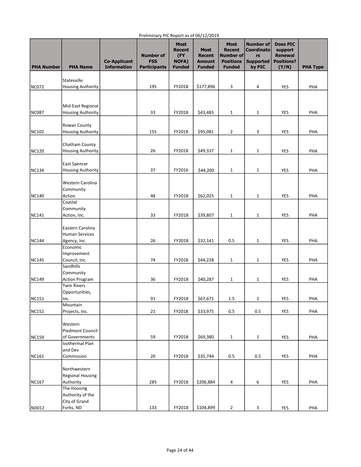| <b>PHA Number</b> | <b>PHA Name</b>                               | <b>Co-Applicant</b><br><b>Information</b> | <b>Number of</b><br><b>FSS</b><br><b>Participants</b> | <b>Most</b><br>Recent<br>(FY<br><b>NOFA)</b><br><b>Funded</b> | <b>Most</b><br><b>Recent</b><br><b>Amount</b><br><b>Funded</b> | <b>Most</b><br><b>Recent</b><br>Number of<br><b>Positions</b><br><b>Funded</b> | <b>Number of</b><br><b>Coordinato</b><br>rs<br><b>Supported</b><br>by PIC | <b>Does PIC</b><br>support<br><b>Renewal</b><br><b>Positions?</b><br>(Y/N) | <b>PHA Type</b> |
|-------------------|-----------------------------------------------|-------------------------------------------|-------------------------------------------------------|---------------------------------------------------------------|----------------------------------------------------------------|--------------------------------------------------------------------------------|---------------------------------------------------------------------------|----------------------------------------------------------------------------|-----------------|
|                   | Statesville                                   |                                           |                                                       |                                                               |                                                                |                                                                                |                                                                           |                                                                            |                 |
| <b>NC072</b>      | <b>Housing Authority</b>                      |                                           | 195                                                   | FY2018                                                        | \$177,896                                                      | 3                                                                              | 4                                                                         | YES                                                                        | PHA             |
|                   |                                               |                                           |                                                       |                                                               |                                                                |                                                                                |                                                                           |                                                                            |                 |
|                   |                                               |                                           |                                                       |                                                               |                                                                |                                                                                |                                                                           |                                                                            |                 |
| NC087             | Mid-East Regional<br><b>Housing Authority</b> |                                           | 33                                                    | FY2018                                                        | \$43,483                                                       | $\mathbf 1$                                                                    | 1                                                                         | YES                                                                        | PHA             |
|                   |                                               |                                           |                                                       |                                                               |                                                                |                                                                                |                                                                           |                                                                            |                 |
|                   | Rowan County                                  |                                           |                                                       |                                                               |                                                                |                                                                                |                                                                           |                                                                            |                 |
| NC102             | <b>Housing Authority</b>                      |                                           | 155                                                   | FY2018                                                        | \$95,081                                                       | $\overline{2}$                                                                 | 3                                                                         | YES                                                                        | PHA             |
|                   | Chatham County                                |                                           |                                                       |                                                               |                                                                |                                                                                |                                                                           |                                                                            |                 |
| <b>NC120</b>      | <b>Housing Authority</b>                      |                                           | 26                                                    | FY2018                                                        | \$49,337                                                       | $\mathbf{1}$                                                                   | 1                                                                         | YES                                                                        | PHA             |
|                   |                                               |                                           |                                                       |                                                               |                                                                |                                                                                |                                                                           |                                                                            |                 |
|                   | East Spencer                                  |                                           |                                                       |                                                               |                                                                |                                                                                |                                                                           |                                                                            |                 |
| <b>NC134</b>      | <b>Housing Authority</b>                      |                                           | 37                                                    | FY2016                                                        | \$44,200                                                       | $\mathbf{1}$                                                                   | $\mathbf{1}$                                                              | YES                                                                        | PHA             |
|                   | Western Carolina                              |                                           |                                                       |                                                               |                                                                |                                                                                |                                                                           |                                                                            |                 |
|                   | Community                                     |                                           |                                                       |                                                               |                                                                |                                                                                |                                                                           |                                                                            |                 |
| NC140             | Action                                        |                                           | 48                                                    | FY2018                                                        | \$62,025                                                       | $\mathbf 1$                                                                    | 1                                                                         | <b>YES</b>                                                                 | PHA             |
|                   | Coastal<br>Community                          |                                           |                                                       |                                                               |                                                                |                                                                                |                                                                           |                                                                            |                 |
| <b>NC141</b>      | Action, Inc.                                  |                                           | 33                                                    | FY2018                                                        | \$39,807                                                       | $\mathbf 1$                                                                    | 1                                                                         | YES                                                                        | PHA             |
|                   |                                               |                                           |                                                       |                                                               |                                                                |                                                                                |                                                                           |                                                                            |                 |
|                   | Eastern Carolina                              |                                           |                                                       |                                                               |                                                                |                                                                                |                                                                           |                                                                            |                 |
|                   | <b>Human Services</b>                         |                                           |                                                       |                                                               |                                                                |                                                                                |                                                                           |                                                                            |                 |
| <b>NC144</b>      | Agency, Inc.<br>Economic                      |                                           | 26                                                    | FY2018                                                        | \$32,141                                                       | 0.5                                                                            | 1                                                                         | YES                                                                        | PHA             |
|                   | Improvement                                   |                                           |                                                       |                                                               |                                                                |                                                                                |                                                                           |                                                                            |                 |
| <b>NC145</b>      | Council, Inc.                                 |                                           | 74                                                    | FY2018                                                        | \$44,228                                                       | $\mathbf{1}$                                                                   | 1                                                                         | <b>YES</b>                                                                 | PHA             |
|                   | Sandhills                                     |                                           |                                                       |                                                               |                                                                |                                                                                |                                                                           |                                                                            |                 |
|                   | Community                                     |                                           |                                                       |                                                               |                                                                |                                                                                |                                                                           |                                                                            |                 |
| <b>NC149</b>      | <b>Action Program</b><br><b>Twin Rivers</b>   |                                           | 36                                                    | FY2018                                                        | \$40,287                                                       | $\mathbf{1}$                                                                   | 1                                                                         | YES                                                                        | PHA             |
|                   | Opportunities,                                |                                           |                                                       |                                                               |                                                                |                                                                                |                                                                           |                                                                            |                 |
| NC151             | Inc.                                          |                                           | 91                                                    | FY2018                                                        | \$67,671                                                       | 1.5                                                                            | 2                                                                         | YES                                                                        | PHA             |
|                   | Mountain                                      |                                           |                                                       |                                                               |                                                                |                                                                                |                                                                           |                                                                            |                 |
| <b>NC152</b>      | Projects, Inc.                                |                                           | 21                                                    | FY2018                                                        | \$33,975                                                       | 0.5                                                                            | 0.5                                                                       | <b>YES</b>                                                                 | PHA             |
|                   | Western                                       |                                           |                                                       |                                                               |                                                                |                                                                                |                                                                           |                                                                            |                 |
|                   | Piedmont Council                              |                                           |                                                       |                                                               |                                                                |                                                                                |                                                                           |                                                                            |                 |
| NC159             | of Governments                                |                                           | 59                                                    | FY2018                                                        | \$69,380                                                       | $\mathbf{1}$                                                                   | 1                                                                         | YES                                                                        | PHA             |
|                   | Isothermal Plan<br>and Dev                    |                                           |                                                       |                                                               |                                                                |                                                                                |                                                                           |                                                                            |                 |
| NC161             | Commission                                    |                                           | 20                                                    | FY2018                                                        | \$35,744                                                       | 0.5                                                                            | 0.5                                                                       | YES                                                                        | PHA             |
|                   |                                               |                                           |                                                       |                                                               |                                                                |                                                                                |                                                                           |                                                                            |                 |
|                   | Northwestern                                  |                                           |                                                       |                                                               |                                                                |                                                                                |                                                                           |                                                                            |                 |
|                   | <b>Regional Housing</b>                       |                                           |                                                       |                                                               |                                                                |                                                                                |                                                                           |                                                                            |                 |
| NC167             | Authority<br>The Housing                      |                                           | 285                                                   | FY2018                                                        | \$206,884                                                      | 4                                                                              | 6                                                                         | YES                                                                        | PHA             |
|                   | Authority of the                              |                                           |                                                       |                                                               |                                                                |                                                                                |                                                                           |                                                                            |                 |
|                   | City of Grand                                 |                                           |                                                       |                                                               |                                                                |                                                                                |                                                                           |                                                                            |                 |
| ND012             | Forks, ND                                     |                                           | 133                                                   | FY2018                                                        | \$104,899                                                      | $\mathbf{2}$                                                                   | 3                                                                         | YES                                                                        | PHA             |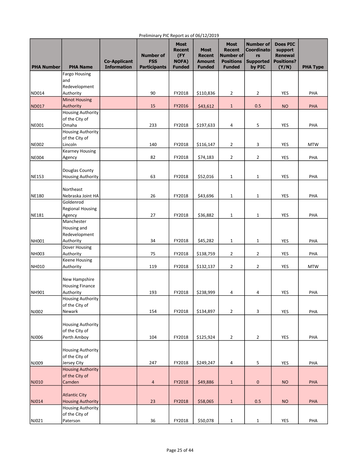| <b>PHA Number</b> | <b>PHA Name</b>                   | <b>Co-Applicant</b><br><b>Information</b> | <b>Number of</b><br><b>FSS</b><br><b>Participants</b> | <b>Most</b><br>Recent<br>(FY<br><b>NOFA)</b><br><b>Funded</b> | <b>Most</b><br><b>Recent</b><br><b>Amount</b><br><b>Funded</b> | <b>Most</b><br><b>Recent</b><br>Number of<br><b>Positions</b><br><b>Funded</b> | <b>Number of</b><br><b>Coordinato</b><br>rs<br><b>Supported</b><br>by PIC | <b>Does PIC</b><br>support<br><b>Renewal</b><br><b>Positions?</b><br>(Y/N) | <b>PHA Type</b> |
|-------------------|-----------------------------------|-------------------------------------------|-------------------------------------------------------|---------------------------------------------------------------|----------------------------------------------------------------|--------------------------------------------------------------------------------|---------------------------------------------------------------------------|----------------------------------------------------------------------------|-----------------|
|                   | <b>Fargo Housing</b>              |                                           |                                                       |                                                               |                                                                |                                                                                |                                                                           |                                                                            |                 |
|                   | and                               |                                           |                                                       |                                                               |                                                                |                                                                                |                                                                           |                                                                            |                 |
|                   | Redevelopment                     |                                           |                                                       |                                                               |                                                                |                                                                                |                                                                           |                                                                            |                 |
| ND014             | Authority                         |                                           | 90                                                    | FY2018                                                        | \$110,836                                                      | $\overline{2}$                                                                 | $\overline{2}$                                                            | YES                                                                        | PHA             |
| ND017             | <b>Minot Housing</b><br>Authority |                                           | 15                                                    | FY2016                                                        | \$43,612                                                       | $\mathbf{1}$                                                                   | 0.5                                                                       | <b>NO</b>                                                                  | <b>PHA</b>      |
|                   | <b>Housing Authority</b>          |                                           |                                                       |                                                               |                                                                |                                                                                |                                                                           |                                                                            |                 |
|                   | of the City of                    |                                           |                                                       |                                                               |                                                                |                                                                                |                                                                           |                                                                            |                 |
| NE001             | Omaha                             |                                           | 233                                                   | FY2018                                                        | \$197,633                                                      | 4                                                                              | 5                                                                         | <b>YES</b>                                                                 | PHA             |
|                   | <b>Housing Authority</b>          |                                           |                                                       |                                                               |                                                                |                                                                                |                                                                           |                                                                            |                 |
|                   | of the City of                    |                                           |                                                       |                                                               |                                                                |                                                                                |                                                                           |                                                                            |                 |
| <b>NE002</b>      | Lincoln                           |                                           | 140                                                   | FY2018                                                        | \$116,147                                                      | $\overline{2}$                                                                 | 3                                                                         | YES                                                                        | <b>MTW</b>      |
| <b>NE004</b>      | <b>Kearney Housing</b>            |                                           | 82                                                    | FY2018                                                        | \$74,183                                                       | $\overline{2}$                                                                 | $\overline{2}$                                                            | <b>YES</b>                                                                 | PHA             |
|                   | Agency                            |                                           |                                                       |                                                               |                                                                |                                                                                |                                                                           |                                                                            |                 |
|                   | Douglas County                    |                                           |                                                       |                                                               |                                                                |                                                                                |                                                                           |                                                                            |                 |
| <b>NE153</b>      | <b>Housing Authority</b>          |                                           | 63                                                    | FY2018                                                        | \$52,016                                                       | $\mathbf{1}$                                                                   | 1                                                                         | <b>YES</b>                                                                 | PHA             |
|                   |                                   |                                           |                                                       |                                                               |                                                                |                                                                                |                                                                           |                                                                            |                 |
|                   | Northeast                         |                                           |                                                       |                                                               |                                                                |                                                                                |                                                                           |                                                                            |                 |
| NE180             | Nebraska Joint HA                 |                                           | 26                                                    | FY2018                                                        | \$43,696                                                       | $\mathbf{1}$                                                                   | 1                                                                         | <b>YES</b>                                                                 | PHA             |
|                   | Goldenrod                         |                                           |                                                       |                                                               |                                                                |                                                                                |                                                                           |                                                                            |                 |
| <b>NE181</b>      | <b>Regional Housing</b><br>Agency |                                           | 27                                                    | FY2018                                                        | \$36,882                                                       | $1\,$                                                                          | $\mathbf 1$                                                               | <b>YES</b>                                                                 | PHA             |
|                   | Manchester                        |                                           |                                                       |                                                               |                                                                |                                                                                |                                                                           |                                                                            |                 |
|                   | Housing and                       |                                           |                                                       |                                                               |                                                                |                                                                                |                                                                           |                                                                            |                 |
|                   | Redevelopment                     |                                           |                                                       |                                                               |                                                                |                                                                                |                                                                           |                                                                            |                 |
| <b>NH001</b>      | Authority                         |                                           | 34                                                    | FY2018                                                        | \$45,282                                                       | 1                                                                              | $\mathbf{1}$                                                              | YES                                                                        | PHA             |
|                   | Dover Housing                     |                                           |                                                       |                                                               |                                                                |                                                                                |                                                                           |                                                                            |                 |
| NH003             | Authority                         |                                           | 75                                                    | FY2018                                                        | \$138,759                                                      | $\overline{2}$                                                                 | $\overline{2}$                                                            | YES                                                                        | PHA             |
| NH010             | Keene Housing                     |                                           | 119                                                   | FY2018                                                        |                                                                | $\overline{2}$                                                                 | $\overline{2}$                                                            | <b>YES</b>                                                                 | <b>MTW</b>      |
|                   | Authority                         |                                           |                                                       |                                                               | \$132,137                                                      |                                                                                |                                                                           |                                                                            |                 |
|                   | New Hampshire                     |                                           |                                                       |                                                               |                                                                |                                                                                |                                                                           |                                                                            |                 |
|                   | <b>Housing Finance</b>            |                                           |                                                       |                                                               |                                                                |                                                                                |                                                                           |                                                                            |                 |
| <b>NH901</b>      | Authority                         |                                           | 193                                                   | FY2018                                                        | \$238,999                                                      | 4                                                                              | 4                                                                         | YES                                                                        | PHA             |
|                   | <b>Housing Authority</b>          |                                           |                                                       |                                                               |                                                                |                                                                                |                                                                           |                                                                            |                 |
|                   | of the City of                    |                                           |                                                       |                                                               |                                                                |                                                                                |                                                                           |                                                                            |                 |
| NJ002             | Newark                            |                                           | 154                                                   | FY2018                                                        | \$134,897                                                      | $\overline{2}$                                                                 | 3                                                                         | <b>YES</b>                                                                 | PHA             |
|                   | <b>Housing Authority</b>          |                                           |                                                       |                                                               |                                                                |                                                                                |                                                                           |                                                                            |                 |
|                   | of the City of                    |                                           |                                                       |                                                               |                                                                |                                                                                |                                                                           |                                                                            |                 |
| NJ006             | Perth Amboy                       |                                           | 104                                                   | FY2018                                                        | \$125,924                                                      | $\overline{2}$                                                                 | $\overline{2}$                                                            | YES                                                                        | PHA             |
|                   |                                   |                                           |                                                       |                                                               |                                                                |                                                                                |                                                                           |                                                                            |                 |
|                   | <b>Housing Authority</b>          |                                           |                                                       |                                                               |                                                                |                                                                                |                                                                           |                                                                            |                 |
|                   | of the City of                    |                                           |                                                       |                                                               |                                                                |                                                                                |                                                                           |                                                                            |                 |
| NJ009             | Jersey City                       |                                           | 247                                                   | FY2018                                                        | \$249,247                                                      | $\overline{a}$                                                                 | 5                                                                         | <b>YES</b>                                                                 | PHA             |
|                   | <b>Housing Authority</b>          |                                           |                                                       |                                                               |                                                                |                                                                                |                                                                           |                                                                            |                 |
| NJ010             | of the City of<br>Camden          |                                           | $\overline{a}$                                        | FY2018                                                        | \$49,886                                                       |                                                                                | $\pmb{0}$                                                                 | <b>NO</b>                                                                  | <b>PHA</b>      |
|                   |                                   |                                           |                                                       |                                                               |                                                                | $\mathbf{1}$                                                                   |                                                                           |                                                                            |                 |
|                   | <b>Atlantic City</b>              |                                           |                                                       |                                                               |                                                                |                                                                                |                                                                           |                                                                            |                 |
| NJ014             | <b>Housing Authority</b>          |                                           | 23                                                    | FY2018                                                        | \$58,065                                                       | $1\,$                                                                          | 0.5                                                                       | <b>NO</b>                                                                  | <b>PHA</b>      |
|                   | <b>Housing Authority</b>          |                                           |                                                       |                                                               |                                                                |                                                                                |                                                                           |                                                                            |                 |
|                   | of the City of                    |                                           |                                                       |                                                               |                                                                |                                                                                |                                                                           |                                                                            |                 |
| NJ021             | Paterson                          |                                           | 36                                                    | FY2018                                                        | \$50,078                                                       | $\mathbf 1$                                                                    | $\mathbf{1}$                                                              | YES                                                                        | PHA             |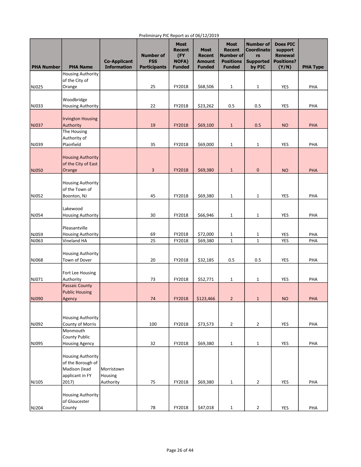| <b>PHA Number</b> | <b>PHA Name</b>                                                                            | <b>Co-Applicant</b><br><b>Information</b> | <b>Number of</b><br><b>FSS</b><br><b>Participants</b> | <b>Most</b><br><b>Recent</b><br>(FY<br><b>NOFA)</b><br><b>Funded</b> | <b>Most</b><br><b>Recent</b><br><b>Amount</b><br><b>Funded</b> | <b>Most</b><br><b>Recent</b><br>Number of<br><b>Positions</b><br><b>Funded</b> | <b>Number of</b><br><b>Coordinato</b><br>rs<br><b>Supported</b><br>by PIC | <b>Does PIC</b><br>support<br><b>Renewal</b><br><b>Positions?</b><br>(Y/N) | <b>PHA Type</b> |
|-------------------|--------------------------------------------------------------------------------------------|-------------------------------------------|-------------------------------------------------------|----------------------------------------------------------------------|----------------------------------------------------------------|--------------------------------------------------------------------------------|---------------------------------------------------------------------------|----------------------------------------------------------------------------|-----------------|
|                   | <b>Housing Authority</b>                                                                   |                                           |                                                       |                                                                      |                                                                |                                                                                |                                                                           |                                                                            |                 |
| NJ025             | of the City of<br>Orange                                                                   |                                           | 25                                                    | FY2018                                                               | \$68,506                                                       | $\mathbf{1}$                                                                   | $\mathbf{1}$                                                              | YES                                                                        | PHA             |
|                   |                                                                                            |                                           |                                                       |                                                                      |                                                                |                                                                                |                                                                           |                                                                            |                 |
| NJ033             | Woodbridge<br><b>Housing Authority</b>                                                     |                                           | 22                                                    | FY2018                                                               | \$23,262                                                       | 0.5                                                                            | 0.5                                                                       | <b>YES</b>                                                                 | PHA             |
| <b>NJ037</b>      | <b>Irvington Housing</b><br>Authority                                                      |                                           | 19                                                    | FY2018                                                               | \$69,100                                                       | $1\,$                                                                          | 0.5                                                                       | <b>NO</b>                                                                  | PHA             |
|                   | The Housing                                                                                |                                           |                                                       |                                                                      |                                                                |                                                                                |                                                                           |                                                                            |                 |
|                   | Authority of                                                                               |                                           |                                                       |                                                                      |                                                                |                                                                                |                                                                           |                                                                            |                 |
| NJ039             | Plainfield                                                                                 |                                           | 35                                                    | FY2018                                                               | \$69,000                                                       | 1                                                                              | 1                                                                         | YES                                                                        | PHA             |
| NJ050             | <b>Housing Authority</b><br>of the City of East<br>Orange                                  |                                           | 3                                                     | FY2018                                                               | \$69,380                                                       | $\mathbf{1}$                                                                   | $\pmb{0}$                                                                 | <b>NO</b>                                                                  | <b>PHA</b>      |
|                   | <b>Housing Authority</b><br>of the Town of                                                 |                                           |                                                       |                                                                      |                                                                |                                                                                |                                                                           |                                                                            |                 |
| NJ052             | Boonton, NJ                                                                                |                                           | 45                                                    | FY2018                                                               | \$69,380                                                       | $\mathbf{1}$                                                                   | $\mathbf{1}$                                                              | <b>YES</b>                                                                 | PHA             |
| NJ054             | Lakewood<br><b>Housing Authority</b>                                                       |                                           | 30                                                    | FY2018                                                               | \$66,946                                                       | $\mathbf{1}$                                                                   | 1                                                                         | YES                                                                        | PHA             |
|                   | Pleasantville                                                                              |                                           |                                                       |                                                                      |                                                                |                                                                                |                                                                           |                                                                            |                 |
| NJ059<br>NJ063    | <b>Housing Authority</b><br>Vineland HA                                                    |                                           | 69<br>25                                              | FY2018<br>FY2018                                                     | \$72,000<br>\$69,380                                           | $\mathbf{1}$<br>$\mathbf 1$                                                    | 1<br>$\mathbf 1$                                                          | YES<br><b>YES</b>                                                          | PHA<br>PHA      |
|                   |                                                                                            |                                           |                                                       |                                                                      |                                                                |                                                                                |                                                                           |                                                                            |                 |
| NJ068             | <b>Housing Authority</b><br>Town of Dover                                                  |                                           | 20                                                    | FY2018                                                               | \$32,185                                                       | 0.5                                                                            | 0.5                                                                       | YES                                                                        | PHA             |
| NJ071             | Fort Lee Housing<br>Authority                                                              |                                           | 73                                                    | FY2018                                                               | \$52,771                                                       | $\mathbf{1}$                                                                   | $\mathbf{1}$                                                              | <b>YES</b>                                                                 | PHA             |
|                   | <b>Passaic County</b>                                                                      |                                           |                                                       |                                                                      |                                                                |                                                                                |                                                                           |                                                                            |                 |
|                   | <b>Public Housing</b>                                                                      |                                           |                                                       |                                                                      |                                                                |                                                                                |                                                                           |                                                                            |                 |
| NJ090             | Agency                                                                                     |                                           | 74                                                    | FY2018                                                               | \$123,466                                                      | $\overline{2}$                                                                 | $\mathbf{1}$                                                              | <b>NO</b>                                                                  | <b>PHA</b>      |
|                   | <b>Housing Authority</b>                                                                   |                                           |                                                       |                                                                      |                                                                |                                                                                |                                                                           |                                                                            |                 |
| NJ092             | County of Morris<br>Monmouth                                                               |                                           | 100                                                   | FY2018                                                               | \$73,573                                                       | $\overline{2}$                                                                 | $\overline{2}$                                                            | <b>YES</b>                                                                 | PHA             |
|                   | County Public                                                                              |                                           |                                                       |                                                                      |                                                                |                                                                                |                                                                           |                                                                            |                 |
| NJ095             | <b>Housing Agency</b>                                                                      |                                           | 32                                                    | FY2018                                                               | \$69,380                                                       | $\mathbf{1}$                                                                   | $\mathbf{1}$                                                              | <b>YES</b>                                                                 | PHA             |
| NJ105             | <b>Housing Authority</b><br>of the Borough of<br>Madison (lead<br>applicant in FY<br>2017) | Morristown<br>Housing<br>Authority        | 75                                                    | FY2018                                                               | \$69,380                                                       | $\mathbf{1}$                                                                   | 2                                                                         | <b>YES</b>                                                                 | PHA             |
|                   | <b>Housing Authority</b><br>of Gloucester                                                  |                                           |                                                       |                                                                      |                                                                |                                                                                |                                                                           |                                                                            |                 |
| NJ204             | County                                                                                     |                                           | 78                                                    | FY2018                                                               | \$47,018                                                       | $\mathbf{1}$                                                                   | $\overline{2}$                                                            | YES                                                                        | PHA             |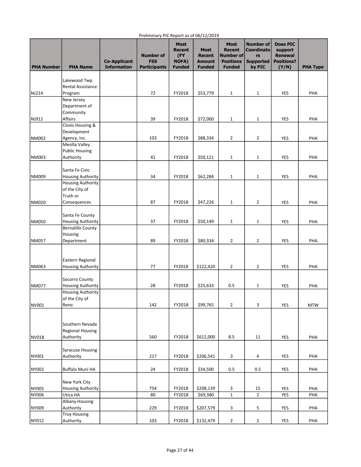| <b>PHA Number</b> | <b>PHA Name</b>                   | <b>Co-Applicant</b><br><b>Information</b> | <b>Number of</b><br><b>FSS</b><br><b>Participants</b> | <b>Most</b><br><b>Recent</b><br>(FY<br><b>NOFA)</b><br><b>Funded</b> | <b>Most</b><br><b>Recent</b><br><b>Amount</b><br><b>Funded</b> | <b>Most</b><br><b>Recent</b><br>Number of<br><b>Positions</b><br><b>Funded</b> | <b>Number of</b><br><b>Coordinato</b><br>rs<br><b>Supported</b><br>by PIC | <b>Does PIC</b><br>support<br><b>Renewal</b><br><b>Positions?</b><br>(Y/N) | <b>PHA Type</b> |
|-------------------|-----------------------------------|-------------------------------------------|-------------------------------------------------------|----------------------------------------------------------------------|----------------------------------------------------------------|--------------------------------------------------------------------------------|---------------------------------------------------------------------------|----------------------------------------------------------------------------|-----------------|
|                   |                                   |                                           |                                                       |                                                                      |                                                                |                                                                                |                                                                           |                                                                            |                 |
|                   | Lakewood Twp<br>Rental Assistance |                                           |                                                       |                                                                      |                                                                |                                                                                |                                                                           |                                                                            |                 |
| NJ214             | Program                           |                                           | 72                                                    | FY2018                                                               | \$53,779                                                       | $1\,$                                                                          | 1                                                                         | YES                                                                        | PHA             |
|                   | New Jersey                        |                                           |                                                       |                                                                      |                                                                |                                                                                |                                                                           |                                                                            |                 |
|                   | Department of                     |                                           |                                                       |                                                                      |                                                                |                                                                                |                                                                           |                                                                            |                 |
|                   | Community<br>Affairs              |                                           | 39                                                    | FY2018                                                               | \$72,000                                                       |                                                                                |                                                                           | YES                                                                        | PHA             |
| NJ912             | Clovis Housing &                  |                                           |                                                       |                                                                      |                                                                | $1\,$                                                                          | $\mathbf{1}$                                                              |                                                                            |                 |
|                   | Development                       |                                           |                                                       |                                                                      |                                                                |                                                                                |                                                                           |                                                                            |                 |
| <b>NM002</b>      | Agency, Inc.                      |                                           | 103                                                   | FY2018                                                               | \$88,334                                                       | $\overline{2}$                                                                 | 2                                                                         | <b>YES</b>                                                                 | PHA             |
|                   | Mesilla Valley                    |                                           |                                                       |                                                                      |                                                                |                                                                                |                                                                           |                                                                            |                 |
|                   | <b>Public Housing</b>             |                                           |                                                       |                                                                      |                                                                |                                                                                |                                                                           |                                                                            |                 |
| NM003             | Authority                         |                                           | 41                                                    | FY2018                                                               | \$50,121                                                       | $\mathbf{1}$                                                                   | 1                                                                         | YES                                                                        | PHA             |
|                   | Santa Fe Civic                    |                                           |                                                       |                                                                      |                                                                |                                                                                |                                                                           |                                                                            |                 |
| NM009             | <b>Housing Authority</b>          |                                           | 34                                                    | FY2018                                                               | \$62,284                                                       | $\mathbf{1}$                                                                   | 1                                                                         | YES                                                                        | PHA             |
|                   | <b>Housing Authority</b>          |                                           |                                                       |                                                                      |                                                                |                                                                                |                                                                           |                                                                            |                 |
|                   | of the City of                    |                                           |                                                       |                                                                      |                                                                |                                                                                |                                                                           |                                                                            |                 |
| <b>NM020</b>      | Truth or<br>Consequences          |                                           | 87                                                    | FY2018                                                               | \$47,226                                                       | $1\,$                                                                          | $\overline{2}$                                                            | YES                                                                        | PHA             |
|                   |                                   |                                           |                                                       |                                                                      |                                                                |                                                                                |                                                                           |                                                                            |                 |
|                   | Santa Fe County                   |                                           |                                                       |                                                                      |                                                                |                                                                                |                                                                           |                                                                            |                 |
| <b>NM050</b>      | <b>Housing Authority</b>          |                                           | 37                                                    | FY2018                                                               | \$50,149                                                       | $1\,$                                                                          | $\mathbf 1$                                                               | YES                                                                        | PHA             |
|                   | <b>Bernalillo County</b>          |                                           |                                                       |                                                                      |                                                                |                                                                                |                                                                           |                                                                            |                 |
| <b>NM057</b>      | Housing<br>Department             |                                           | 89                                                    | FY2018                                                               | \$80,334                                                       | $\overline{2}$                                                                 | 2                                                                         | YES                                                                        | PHA             |
|                   |                                   |                                           |                                                       |                                                                      |                                                                |                                                                                |                                                                           |                                                                            |                 |
|                   |                                   |                                           |                                                       |                                                                      |                                                                |                                                                                |                                                                           |                                                                            |                 |
|                   | Eastern Regional                  |                                           |                                                       |                                                                      |                                                                |                                                                                |                                                                           |                                                                            |                 |
| NM063             | <b>Housing Authority</b>          |                                           | 77                                                    | FY2018                                                               | \$122,420                                                      | $\overline{2}$                                                                 | 2                                                                         | YES                                                                        | PHA             |
|                   | Socorro County                    |                                           |                                                       |                                                                      |                                                                |                                                                                |                                                                           |                                                                            |                 |
| <b>NM077</b>      | <b>Housing Authority</b>          |                                           | 28                                                    | FY2018                                                               | \$25,633                                                       | 0.5                                                                            | 1                                                                         | YES                                                                        | PHA             |
|                   | <b>Housing Authority</b>          |                                           |                                                       |                                                                      |                                                                |                                                                                |                                                                           |                                                                            |                 |
|                   | of the City of                    |                                           |                                                       |                                                                      |                                                                |                                                                                |                                                                           |                                                                            |                 |
| NV001             | Reno                              |                                           | 142                                                   | FY2018                                                               | \$99,765                                                       | $\overline{2}$                                                                 | 3                                                                         | <b>YES</b>                                                                 | <b>MTW</b>      |
|                   |                                   |                                           |                                                       |                                                                      |                                                                |                                                                                |                                                                           |                                                                            |                 |
|                   | Southern Nevada                   |                                           |                                                       |                                                                      |                                                                |                                                                                |                                                                           |                                                                            |                 |
|                   | Regional Housing                  |                                           |                                                       |                                                                      |                                                                |                                                                                |                                                                           |                                                                            |                 |
| NV018             | Authority                         |                                           | 560                                                   | FY2018                                                               | \$612,000                                                      | 8.5                                                                            | 11                                                                        | YES                                                                        | PHA             |
|                   |                                   |                                           |                                                       |                                                                      |                                                                |                                                                                |                                                                           |                                                                            |                 |
|                   | <b>Syracuse Housing</b>           |                                           | 217                                                   |                                                                      | \$206,541                                                      | 3                                                                              |                                                                           | YES                                                                        | PHA             |
| NY001             | Authority                         |                                           |                                                       | FY2018                                                               |                                                                |                                                                                | 4                                                                         |                                                                            |                 |
| NY002             | Buffalo Muni HA                   |                                           | 24                                                    | FY2018                                                               | \$34,500                                                       | 0.5                                                                            | 0.5                                                                       | YES                                                                        | PHA             |
|                   |                                   |                                           |                                                       |                                                                      |                                                                |                                                                                |                                                                           |                                                                            |                 |
|                   | New York City                     |                                           |                                                       |                                                                      |                                                                |                                                                                |                                                                           |                                                                            |                 |
| NY005             | <b>Housing Authority</b>          |                                           | 754<br>80                                             | FY2018                                                               | \$208,139                                                      | 3<br>$\mathbf 1$                                                               | 15<br>$\overline{2}$                                                      | <b>YES</b>                                                                 | PHA             |
| <b>NY006</b>      | Utica HA<br><b>Albany Housing</b> |                                           |                                                       | FY2018                                                               | \$69,380                                                       |                                                                                |                                                                           | <b>YES</b>                                                                 | PHA             |
| NY009             | Authority                         |                                           | 229                                                   | FY2018                                                               | \$207,579                                                      | 3                                                                              | 5                                                                         | YES                                                                        | PHA             |
|                   | <b>Troy Housing</b>               |                                           |                                                       |                                                                      |                                                                |                                                                                |                                                                           |                                                                            |                 |
| NY012             | Authority                         |                                           | 103                                                   | FY2018                                                               | \$132,479                                                      | $\mathbf 2$                                                                    | 2                                                                         | YES                                                                        | PHA             |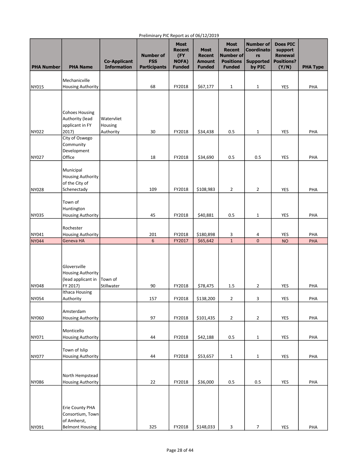| <b>PHA Number</b> | <b>PHA Name</b>                                                              | <b>Co-Applicant</b><br><b>Information</b> | <b>Number of</b><br><b>FSS</b><br><b>Participants</b> | <b>Most</b><br><b>Recent</b><br>(FY<br><b>NOFA)</b><br><b>Funded</b> | <b>Most</b><br><b>Recent</b><br><b>Amount</b><br><b>Funded</b> | <b>Most</b><br><b>Recent</b><br>Number of<br><b>Positions</b><br><b>Funded</b> | <b>Number of</b><br><b>Coordinato</b><br>rs<br><b>Supported</b><br>by PIC | <b>Does PIC</b><br>support<br><b>Renewal</b><br><b>Positions?</b><br>(Y/N) | <b>PHA Type</b> |
|-------------------|------------------------------------------------------------------------------|-------------------------------------------|-------------------------------------------------------|----------------------------------------------------------------------|----------------------------------------------------------------|--------------------------------------------------------------------------------|---------------------------------------------------------------------------|----------------------------------------------------------------------------|-----------------|
|                   | Mechanicville                                                                |                                           |                                                       |                                                                      |                                                                |                                                                                |                                                                           |                                                                            |                 |
| NY015             | <b>Housing Authority</b>                                                     |                                           | 68                                                    | FY2018                                                               | \$67,177                                                       | $\mathbf{1}$                                                                   | $\mathbf{1}$                                                              | <b>YES</b>                                                                 | PHA             |
|                   |                                                                              |                                           |                                                       |                                                                      |                                                                |                                                                                |                                                                           |                                                                            |                 |
|                   | <b>Cohoes Housing</b><br>Authority (lead<br>applicant in FY                  | Watervliet<br>Housing                     |                                                       |                                                                      |                                                                |                                                                                |                                                                           |                                                                            |                 |
| NY022             | 2017)                                                                        | Authority                                 | 30                                                    | FY2018                                                               | \$34,438                                                       | 0.5                                                                            | 1                                                                         | YES                                                                        | PHA             |
|                   | City of Oswego<br>Community<br>Development                                   |                                           |                                                       |                                                                      |                                                                |                                                                                |                                                                           |                                                                            |                 |
| NY027             | Office                                                                       |                                           | 18                                                    | FY2018                                                               | \$34,690                                                       | 0.5                                                                            | 0.5                                                                       | YES                                                                        | PHA             |
|                   | Municipal<br><b>Housing Authority</b><br>of the City of                      |                                           |                                                       |                                                                      |                                                                |                                                                                |                                                                           |                                                                            |                 |
| NY028             | Schenectady                                                                  |                                           | 109                                                   | FY2018                                                               | \$108,983                                                      | $\overline{2}$                                                                 | $\overline{2}$                                                            | YES                                                                        | PHA             |
|                   | Town of<br>Huntington                                                        |                                           |                                                       |                                                                      |                                                                |                                                                                |                                                                           |                                                                            |                 |
| <b>NY035</b>      | <b>Housing Authority</b>                                                     |                                           | 45                                                    | FY2018                                                               | \$40,881                                                       | 0.5                                                                            | 1                                                                         | <b>YES</b>                                                                 | PHA             |
| NY041             | Rochester<br><b>Housing Authority</b>                                        |                                           | 201                                                   | FY2018                                                               | \$180,898                                                      | 3                                                                              | 4                                                                         | <b>YES</b>                                                                 | PHA             |
| <b>NY044</b>      | Geneva HA                                                                    |                                           | 6                                                     | FY2017                                                               | \$65,642                                                       | $1\,$                                                                          | $\mathbf 0$                                                               | <b>NO</b>                                                                  | PHA             |
| <b>NY048</b>      | Gloversville<br><b>Housing Authority</b><br>(lead applicant in<br>FY 2017)   | Town of<br>Stillwater                     | 90                                                    | FY2018                                                               | \$78,475                                                       | 1.5                                                                            | 2                                                                         | YES                                                                        | PHA             |
|                   | Ithaca Housing                                                               |                                           |                                                       |                                                                      |                                                                |                                                                                |                                                                           |                                                                            |                 |
| NY054             | Authority                                                                    |                                           | 157                                                   | FY2018                                                               | \$138,200                                                      | $\overline{2}$                                                                 | 3                                                                         | <b>YES</b>                                                                 | PHA             |
| NY060             | Amsterdam<br><b>Housing Authority</b>                                        |                                           | 97                                                    | FY2018                                                               | \$101,435                                                      | $\overline{2}$                                                                 | 2                                                                         | <b>YES</b>                                                                 | PHA             |
|                   |                                                                              |                                           |                                                       |                                                                      |                                                                |                                                                                |                                                                           |                                                                            |                 |
| NY071             | Monticello<br><b>Housing Authority</b>                                       |                                           | 44                                                    | FY2018                                                               | \$42,188                                                       | 0.5                                                                            | $\mathbf 1$                                                               | YES                                                                        | PHA             |
|                   | Town of Islip                                                                |                                           |                                                       |                                                                      |                                                                |                                                                                |                                                                           |                                                                            |                 |
| NY077             | <b>Housing Authority</b>                                                     |                                           | 44                                                    | FY2018                                                               | \$53,657                                                       | $\mathbf{1}$                                                                   | 1                                                                         | YES                                                                        | PHA             |
| <b>NY086</b>      | North Hempstead<br><b>Housing Authority</b>                                  |                                           | 22                                                    | FY2018                                                               | \$36,000                                                       | 0.5                                                                            | 0.5                                                                       | YES                                                                        | PHA             |
| NY091             | Erie County PHA<br>Consortium, Town<br>of Amherst,<br><b>Belmont Housing</b> |                                           | 325                                                   | FY2018                                                               | \$148,033                                                      | 3                                                                              | 7                                                                         | YES                                                                        | PHA             |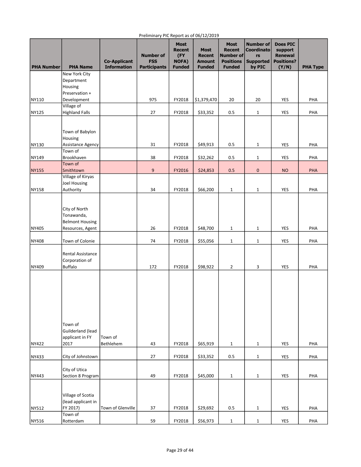| <b>PHA Number</b> | <b>PHA Name</b>                                                           | <b>Co-Applicant</b><br><b>Information</b> | <b>Number of</b><br><b>FSS</b><br><b>Participants</b> | <b>Most</b><br><b>Recent</b><br>(FY<br><b>NOFA)</b><br><b>Funded</b> | <b>Most</b><br><b>Recent</b><br><b>Amount</b><br><b>Funded</b> | <b>Most</b><br><b>Recent</b><br><b>Number of</b><br><b>Positions</b><br><b>Funded</b> | <b>Number of</b><br>Coordinato<br>rs<br><b>Supported</b><br>by PIC | <b>Does PIC</b><br>support<br><b>Renewal</b><br><b>Positions?</b><br>(Y/N) | <b>PHA Type</b> |
|-------------------|---------------------------------------------------------------------------|-------------------------------------------|-------------------------------------------------------|----------------------------------------------------------------------|----------------------------------------------------------------|---------------------------------------------------------------------------------------|--------------------------------------------------------------------|----------------------------------------------------------------------------|-----------------|
|                   | New York City                                                             |                                           |                                                       |                                                                      |                                                                |                                                                                       |                                                                    |                                                                            |                 |
|                   | Department                                                                |                                           |                                                       |                                                                      |                                                                |                                                                                       |                                                                    |                                                                            |                 |
|                   | Housing                                                                   |                                           |                                                       |                                                                      |                                                                |                                                                                       |                                                                    |                                                                            |                 |
|                   | Preservation +                                                            |                                           |                                                       |                                                                      |                                                                |                                                                                       |                                                                    |                                                                            |                 |
| NY110             | Development                                                               |                                           | 975                                                   | FY2018                                                               | \$1,379,470                                                    | 20                                                                                    | 20                                                                 | YES                                                                        | PHA             |
|                   | Village of                                                                |                                           |                                                       |                                                                      |                                                                |                                                                                       |                                                                    |                                                                            |                 |
| NY125             | <b>Highland Falls</b>                                                     |                                           | 27                                                    | FY2018                                                               | \$33,352                                                       | 0.5                                                                                   | $\mathbf{1}$                                                       | YES                                                                        | PHA             |
|                   | Town of Babylon<br>Housing                                                |                                           |                                                       |                                                                      |                                                                |                                                                                       |                                                                    |                                                                            |                 |
| NY130             | Assistance Agency                                                         |                                           | 31                                                    | FY2018                                                               | \$49,913                                                       | 0.5                                                                                   | $\mathbf{1}$                                                       | YES                                                                        | PHA             |
|                   | Town of                                                                   |                                           |                                                       |                                                                      |                                                                |                                                                                       |                                                                    |                                                                            |                 |
| NY149             | Brookhaven<br>Town of                                                     |                                           | 38                                                    | FY2018                                                               | \$32,262                                                       | 0.5                                                                                   | $\mathbf{1}$                                                       | YES                                                                        | PHA             |
| NY155             | Smithtown                                                                 |                                           | 9                                                     | FY2016                                                               | \$24,853                                                       | 0.5                                                                                   | $\pmb{0}$                                                          | <b>NO</b>                                                                  | PHA             |
|                   | Village of Kiryas                                                         |                                           |                                                       |                                                                      |                                                                |                                                                                       |                                                                    |                                                                            |                 |
|                   | <b>Joel Housing</b>                                                       |                                           |                                                       |                                                                      |                                                                |                                                                                       |                                                                    |                                                                            |                 |
| NY158             | Authority                                                                 |                                           | 34                                                    | FY2018                                                               | \$66,200                                                       | $\mathbf{1}$                                                                          | $\mathbf{1}$                                                       | YES                                                                        | PHA             |
| NY405             | City of North<br>Tonawanda,<br><b>Belmont Housing</b><br>Resources, Agent |                                           | 26                                                    | FY2018                                                               | \$48,700                                                       | 1                                                                                     | $\mathbf{1}$                                                       | YES                                                                        | PHA             |
|                   |                                                                           |                                           |                                                       |                                                                      |                                                                |                                                                                       |                                                                    |                                                                            |                 |
| NY408             | Town of Colonie                                                           |                                           | 74                                                    | FY2018                                                               | \$55,056                                                       | $\mathbf{1}$                                                                          | $\mathbf{1}$                                                       | YES                                                                        | PHA             |
| NY409             | Rental Assistance<br>Corporation of<br><b>Buffalo</b>                     |                                           | 172                                                   | FY2018                                                               | \$98,922                                                       | $\overline{2}$                                                                        | 3                                                                  | YES                                                                        | PHA             |
| NY422             | Town of<br>Guilderland (lead<br>applicant in FY<br>2017                   | Town of<br>Bethlehem                      | 43                                                    | FY2018                                                               | \$65,919                                                       | $\mathbf{1}$                                                                          | $\mathbf{1}$                                                       | YES                                                                        | PHA             |
|                   |                                                                           |                                           |                                                       |                                                                      |                                                                |                                                                                       |                                                                    |                                                                            |                 |
| NY433             | City of Johnstown                                                         |                                           | 27                                                    | FY2018                                                               | \$33,352                                                       | 0.5                                                                                   | $\mathbf{1}$                                                       | YES                                                                        | PHA             |
| NY443             | City of Utica<br>Section 8 Program                                        |                                           | 49                                                    | FY2018                                                               | \$45,000                                                       | $\mathbf{1}$                                                                          | $\mathbf{1}$                                                       | YES                                                                        | PHA             |
| NY512             | Village of Scotia<br>(lead applicant in<br>FY 2017)                       | Town of Glenville                         | 37                                                    | FY2018                                                               | \$29,692                                                       | 0.5                                                                                   | $\mathbf{1}$                                                       | YES                                                                        | PHA             |
| NY516             | Town of<br>Rotterdam                                                      |                                           | 59                                                    | FY2018                                                               | \$56,973                                                       | $\mathbf 1$                                                                           | $\mathbf{1}$                                                       | YES                                                                        | PHA             |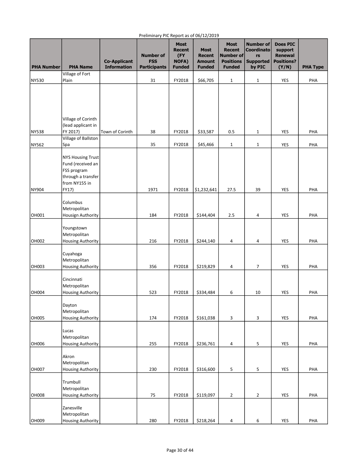| <b>PHA Number</b> | <b>PHA Name</b>                                                                                              | <b>Co-Applicant</b><br><b>Information</b> | <b>Number of</b><br><b>FSS</b><br><b>Participants</b> | <b>Most</b><br><b>Recent</b><br>(FY<br><b>NOFA)</b><br><b>Funded</b> | <b>Most</b><br><b>Recent</b><br><b>Amount</b><br><b>Funded</b> | <b>Most</b><br><b>Recent</b><br>Number of<br><b>Positions</b><br><b>Funded</b> | <b>Number of</b><br><b>Coordinato</b><br>rs<br><b>Supported</b><br>by PIC | <b>Does PIC</b><br>support<br><b>Renewal</b><br><b>Positions?</b> | <b>PHA Type</b> |
|-------------------|--------------------------------------------------------------------------------------------------------------|-------------------------------------------|-------------------------------------------------------|----------------------------------------------------------------------|----------------------------------------------------------------|--------------------------------------------------------------------------------|---------------------------------------------------------------------------|-------------------------------------------------------------------|-----------------|
|                   | Village of Fort                                                                                              |                                           |                                                       |                                                                      |                                                                |                                                                                |                                                                           | (Y/N)                                                             |                 |
| NY530             | Plain                                                                                                        |                                           | 31                                                    | FY2018                                                               | \$66,705                                                       | $\mathbf{1}$                                                                   | $\mathbf{1}$                                                              | <b>YES</b>                                                        | PHA             |
|                   | Village of Corinth                                                                                           |                                           |                                                       |                                                                      |                                                                |                                                                                |                                                                           |                                                                   |                 |
|                   | (lead applicant in                                                                                           |                                           |                                                       |                                                                      |                                                                |                                                                                |                                                                           |                                                                   |                 |
| NY538             | FY 2017)<br>Village of Ballston                                                                              | Town of Corinth                           | 38                                                    | FY2018                                                               | \$33,587                                                       | 0.5                                                                            | $\mathbf{1}$                                                              | YES                                                               | PHA             |
| NY562             | Spa                                                                                                          |                                           | 35                                                    | FY2018                                                               | \$45,466                                                       | $\mathbf 1$                                                                    | $1\,$                                                                     | <b>YES</b>                                                        | PHA             |
| NY904             | <b>NYS Housing Trust</b><br>Fund (received an<br>FSS program<br>through a transfer<br>from NY155 in<br>FY17) |                                           | 1971                                                  | FY2018                                                               | \$1,232,641                                                    | 27.5                                                                           | 39                                                                        | YES                                                               | PHA             |
|                   |                                                                                                              |                                           |                                                       |                                                                      |                                                                |                                                                                |                                                                           |                                                                   |                 |
| OH001             | Columbus<br>Metropolitan<br><b>Housign Authority</b>                                                         |                                           | 184                                                   | FY2018                                                               | \$144,404                                                      | 2.5                                                                            | 4                                                                         | YES                                                               | PHA             |
| OH002             | Youngstown<br>Metropolitan<br><b>Housing Authority</b>                                                       |                                           | 216                                                   | FY2018                                                               | \$244,140                                                      | 4                                                                              | 4                                                                         | YES                                                               | PHA             |
| OH003             | Cuyahoga<br>Metropolitan<br><b>Housing Authority</b>                                                         |                                           | 356                                                   | FY2018                                                               | \$219,829                                                      | 4                                                                              | 7                                                                         | YES                                                               | PHA             |
| <b>OH004</b>      | Cincinnati<br>Metropolitan<br><b>Housing Authority</b>                                                       |                                           | 523                                                   | FY2018                                                               | \$334,484                                                      | 6                                                                              | 10                                                                        | YES                                                               | PHA             |
| <b>OH005</b>      | Dayton<br>Metropolitan<br><b>Housing Authority</b>                                                           |                                           | 174                                                   | FY2018                                                               | \$161,038                                                      | 3                                                                              | 3                                                                         | YES                                                               | PHA             |
| <b>OH006</b>      | Lucas<br>Metropolitan<br><b>Housing Authority</b>                                                            |                                           | 255                                                   | FY2018                                                               | \$236,761                                                      | $\overline{4}$                                                                 | 5                                                                         | YES                                                               | PHA             |
| <b>OH007</b>      | Akron<br>Metropolitan<br><b>Housing Authority</b>                                                            |                                           | 230                                                   | FY2018                                                               | \$316,600                                                      | 5                                                                              | 5                                                                         | YES                                                               | PHA             |
| <b>OH008</b>      | Trumbull<br>Metropolitan<br><b>Housing Authority</b>                                                         |                                           | 75                                                    | FY2018                                                               | \$119,097                                                      | $\overline{2}$                                                                 | $\overline{2}$                                                            | <b>YES</b>                                                        | PHA             |
| ОН009             | Zanesville<br>Metropolitan<br><b>Housing Authority</b>                                                       |                                           | 280                                                   | FY2018                                                               | \$218,264                                                      | 4                                                                              | 6                                                                         | <b>YES</b>                                                        | PHA             |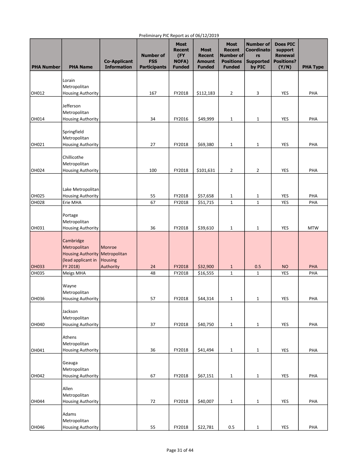| <b>PHA Number</b> | <b>PHA Name</b>                                                                                 | <b>Co-Applicant</b><br><b>Information</b> | <b>Number of</b><br><b>FSS</b><br><b>Participants</b> | <b>Most</b><br><b>Recent</b><br>(FY<br>NOFA)<br><b>Funded</b> | <b>Most</b><br><b>Recent</b><br><b>Amount</b><br><b>Funded</b> | <b>Most</b><br><b>Recent</b><br>Number of<br><b>Positions</b><br><b>Funded</b> | <b>Number of</b><br><b>Coordinato</b><br>rs<br><b>Supported</b><br>by PIC | <b>Does PIC</b><br>support<br><b>Renewal</b><br><b>Positions?</b><br>(Y/N) | <b>PHA Type</b>   |
|-------------------|-------------------------------------------------------------------------------------------------|-------------------------------------------|-------------------------------------------------------|---------------------------------------------------------------|----------------------------------------------------------------|--------------------------------------------------------------------------------|---------------------------------------------------------------------------|----------------------------------------------------------------------------|-------------------|
|                   | Lorain<br>Metropolitan                                                                          |                                           |                                                       |                                                               |                                                                |                                                                                |                                                                           |                                                                            |                   |
| OH012             | <b>Housing Authority</b>                                                                        |                                           | 167                                                   | FY2018                                                        | \$112,183                                                      | $\overline{2}$                                                                 | 3                                                                         | YES                                                                        | PHA               |
| OH014             | Jefferson<br>Metropolitan<br><b>Housing Authority</b>                                           |                                           | 34                                                    | FY2016                                                        | \$49,999                                                       | $\mathbf{1}$                                                                   | $\mathbf{1}$                                                              | YES                                                                        | PHA               |
| OH021             | Springfield<br>Metropolitan<br><b>Housing Authority</b>                                         |                                           | 27                                                    | FY2018                                                        | \$69,380                                                       | $\mathbf{1}$                                                                   | 1                                                                         | YES                                                                        | PHA               |
| OH024             | Chillicothe<br>Metropolitan<br><b>Housing Authority</b>                                         |                                           | 100                                                   | FY2018                                                        | \$101,631                                                      | $\overline{2}$                                                                 | 2                                                                         | YES                                                                        | PHA               |
|                   | Lake Metropolitan                                                                               |                                           |                                                       |                                                               |                                                                |                                                                                |                                                                           |                                                                            |                   |
| OH025             | <b>Housing Authority</b><br>Erie MHA                                                            |                                           | 55<br>67                                              | FY2018                                                        | \$57,658                                                       | 1<br>$1\,$                                                                     | 1<br>$\mathbf{1}$                                                         | <b>YES</b>                                                                 | PHA               |
| OH028<br>OH031    | Portage<br>Metropolitan<br><b>Housing Authority</b>                                             |                                           | 36                                                    | FY2018<br>FY2018                                              | \$51,715<br>\$39,610                                           | $\mathbf 1$                                                                    | 1                                                                         | YES<br>YES                                                                 | PHA<br><b>MTW</b> |
| <b>OH033</b>      | Cambridge<br>Metropolitan<br>Housing Authority   Metropolitan<br>(lead applicant in<br>FY 2018) | Monroe<br>Housing<br>Authority            | 24                                                    | FY2018                                                        | \$32,900                                                       | $1\,$                                                                          | 0.5                                                                       | <b>NO</b>                                                                  | <b>PHA</b>        |
| OH035             | Meigs MHA                                                                                       |                                           | 48                                                    | FY2018                                                        | \$16,555                                                       | $\mathbf{1}$                                                                   | $\mathbf{1}$                                                              | <b>YES</b>                                                                 | PHA               |
| OH036             | Wayne<br>Metropolitan<br><b>Housing Authority</b>                                               |                                           | 57                                                    | FY2018                                                        | \$44,314                                                       | $1\,$                                                                          | 1                                                                         | YES                                                                        | PHA               |
| OH040             | Jackson<br>Metropolitan<br><b>Housing Authority</b>                                             |                                           | 37                                                    | FY2018                                                        | \$40,750                                                       | $1\,$                                                                          | $\mathbf 1$                                                               | <b>YES</b>                                                                 | PHA               |
| OH041             | Athens<br>Metropolitan<br><b>Housing Authority</b>                                              |                                           | 36                                                    | FY2018                                                        | \$41,494                                                       | $1\,$                                                                          | $\mathbf{1}$                                                              | <b>YES</b>                                                                 | PHA               |
| OH042             | Geauga<br>Metropolitan<br><b>Housing Authority</b>                                              |                                           | 67                                                    | FY2018                                                        | \$67,151                                                       | $\mathbf 1$                                                                    | 1                                                                         | YES                                                                        | PHA               |
| <b>OH044</b>      | Allen<br>Metropolitan<br><b>Housing Authority</b>                                               |                                           | 72                                                    | FY2018                                                        | \$40,007                                                       | $1\,$                                                                          | $\mathbf 1$                                                               | YES                                                                        | PHA               |
| OH046             | Adams<br>Metropolitan<br><b>Housing Authority</b>                                               |                                           | 55                                                    | FY2018                                                        | \$22,781                                                       | 0.5                                                                            | $\mathbf 1$                                                               | YES                                                                        | PHA               |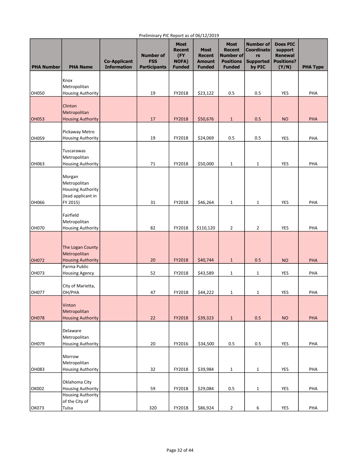| <b>PHA Number</b> | <b>PHA Name</b>                                                               | <b>Co-Applicant</b><br><b>Information</b> | <b>Number of</b><br><b>FSS</b><br><b>Participants</b> | <b>Most</b><br><b>Recent</b><br>(FY)<br><b>NOFA)</b><br><b>Funded</b> | <b>Most</b><br><b>Recent</b><br><b>Amount</b><br><b>Funded</b> | <b>Most</b><br><b>Recent</b><br>Number of<br><b>Positions</b><br><b>Funded</b> | <b>Number of</b><br><b>Coordinato</b><br>rs<br><b>Supported</b><br>by PIC | <b>Does PIC</b><br>support<br>Renewal<br><b>Positions?</b><br>(Y/N) | <b>PHA Type</b> |
|-------------------|-------------------------------------------------------------------------------|-------------------------------------------|-------------------------------------------------------|-----------------------------------------------------------------------|----------------------------------------------------------------|--------------------------------------------------------------------------------|---------------------------------------------------------------------------|---------------------------------------------------------------------|-----------------|
|                   | Knox<br>Metropolitan                                                          |                                           |                                                       |                                                                       |                                                                |                                                                                |                                                                           |                                                                     |                 |
| OH050             | <b>Housing Authority</b>                                                      |                                           | 19                                                    | FY2018                                                                | \$23,122                                                       | 0.5                                                                            | 0.5                                                                       | <b>YES</b>                                                          | PHA             |
|                   | Clinton<br>Metropolitan                                                       |                                           |                                                       |                                                                       |                                                                |                                                                                |                                                                           |                                                                     |                 |
| <b>OH053</b>      | <b>Housing Authority</b>                                                      |                                           | 17                                                    | FY2018                                                                | \$50,676                                                       | $\mathbf{1}$                                                                   | 0.5                                                                       | <b>NO</b>                                                           | PHA             |
| <b>OH059</b>      | Pickaway Metro<br><b>Housing Authority</b>                                    |                                           | 19                                                    | FY2018                                                                | \$24,069                                                       | 0.5                                                                            | 0.5                                                                       | YES                                                                 | PHA             |
| OH063             | Tuscarawas<br>Metropolitan<br><b>Housing Authority</b>                        |                                           | 71                                                    | FY2018                                                                | \$50,000                                                       | $\mathbf{1}$                                                                   | 1                                                                         | <b>YES</b>                                                          | PHA             |
| OH066             | Morgan<br>Metropolitan<br>Housing Authority<br>(lead applicant in<br>FY 2015) |                                           | 31                                                    | FY2018                                                                | \$46,264                                                       | $1\,$                                                                          | $\mathbf{1}$                                                              | YES                                                                 | PHA             |
|                   |                                                                               |                                           |                                                       |                                                                       |                                                                |                                                                                |                                                                           |                                                                     |                 |
| <b>OH070</b>      | Fairfield<br>Metropolitan<br><b>Housing Authority</b>                         |                                           | 82                                                    | FY2018                                                                | \$110,120                                                      | $\overline{2}$                                                                 | $\overline{2}$                                                            | YES                                                                 | PHA             |
|                   | The Logan County<br>Metropolitan                                              |                                           |                                                       |                                                                       |                                                                |                                                                                |                                                                           |                                                                     |                 |
| OH072             | <b>Housing Authority</b><br>Parma Public                                      |                                           | 20                                                    | FY2018                                                                | \$40,744                                                       | $\mathbf{1}$                                                                   | 0.5                                                                       | <b>NO</b>                                                           | PHA             |
| OH073             | <b>Housing Agency</b>                                                         |                                           | 52                                                    | FY2018                                                                | \$43,589                                                       | 1                                                                              | $\mathbf{1}$                                                              | <b>YES</b>                                                          | PHA             |
| <b>OH077</b>      | City of Marietta,<br>OH/PHA                                                   |                                           | 47                                                    | FY2018                                                                | \$44,222                                                       | 1                                                                              | 1                                                                         | YES                                                                 | PHA             |
| <b>OH078</b>      | Vinton<br>Metropolitan<br><b>Housing Authority</b>                            |                                           | 22                                                    | FY2018                                                                | \$39,323                                                       | $\mathbf 1$                                                                    | 0.5                                                                       | <b>NO</b>                                                           | PHA             |
| OH079             | Delaware<br>Metropolitan<br><b>Housing Authority</b>                          |                                           | 20                                                    | FY2016                                                                | \$34,500                                                       | 0.5                                                                            | 0.5                                                                       | <b>YES</b>                                                          | PHA             |
|                   |                                                                               |                                           |                                                       |                                                                       |                                                                |                                                                                |                                                                           |                                                                     |                 |
|                   | Morrow                                                                        |                                           |                                                       |                                                                       |                                                                |                                                                                |                                                                           |                                                                     |                 |
| <b>OH083</b>      | Metropolitan<br><b>Housing Authority</b>                                      |                                           | 32                                                    | FY2018                                                                | \$39,984                                                       | $\mathbf{1}$                                                                   | $\mathbf{1}$                                                              | <b>YES</b>                                                          | PHA             |
| OK002             | Oklahoma City<br><b>Housing Authority</b>                                     |                                           | 59                                                    | FY2018                                                                | \$29,084                                                       | 0.5                                                                            | $\mathbf{1}$                                                              | YES                                                                 | PHA             |
|                   | <b>Housing Authority</b><br>of the City of                                    |                                           |                                                       |                                                                       |                                                                |                                                                                |                                                                           |                                                                     |                 |
| OK073             | Tulsa                                                                         |                                           | 320                                                   | FY2018                                                                | \$86,924                                                       | $\overline{2}$                                                                 | 6                                                                         | YES                                                                 | PHA             |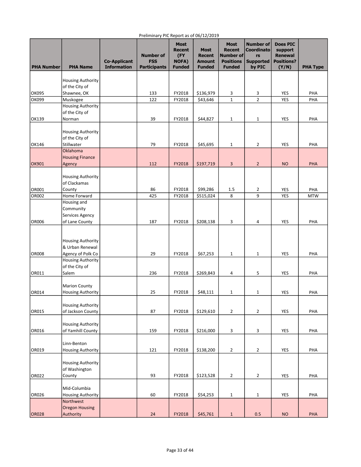| <b>PHA Number</b> | <b>PHA Name</b>                                                  | <b>Co-Applicant</b><br><b>Information</b> | 1.3.001<br><b>Number of</b><br><b>FSS</b><br><b>Participants</b> | <b>Most</b><br><b>Recent</b><br>(FY<br><b>NOFA)</b><br><b>Funded</b> | <b>Most</b><br><b>Recent</b><br><b>Amount</b><br><b>Funded</b> | <b>Most</b><br><b>Recent</b><br>Number of<br><b>Positions</b><br><b>Funded</b> | <b>Number of</b><br><b>Coordinato</b><br>rs<br><b>Supported</b><br>by PIC | <b>Does PIC</b><br>support<br><b>Renewal</b><br><b>Positions?</b><br>(Y/N) | <b>PHA Type</b>   |
|-------------------|------------------------------------------------------------------|-------------------------------------------|------------------------------------------------------------------|----------------------------------------------------------------------|----------------------------------------------------------------|--------------------------------------------------------------------------------|---------------------------------------------------------------------------|----------------------------------------------------------------------------|-------------------|
|                   | <b>Housing Authority</b><br>of the City of                       |                                           |                                                                  |                                                                      |                                                                |                                                                                |                                                                           |                                                                            |                   |
| <b>OK095</b>      | Shawnee, OK                                                      |                                           | 133                                                              | FY2018                                                               | \$136,979                                                      | 3                                                                              | 3                                                                         | YES                                                                        | PHA               |
| ОК099             | Muskogee                                                         |                                           | 122                                                              | FY2018                                                               | \$43,646                                                       | $\mathbf 1$                                                                    | $\overline{2}$                                                            | <b>YES</b>                                                                 | PHA               |
|                   | <b>Housing Authority</b><br>of the City of                       |                                           |                                                                  |                                                                      |                                                                |                                                                                |                                                                           |                                                                            |                   |
| OK139             | Norman                                                           |                                           | 39                                                               | FY2018                                                               | \$44,827                                                       | $1\,$                                                                          | $\mathbf{1}$                                                              | YES                                                                        | PHA               |
|                   | <b>Housing Authority</b><br>of the City of                       |                                           |                                                                  |                                                                      |                                                                |                                                                                |                                                                           |                                                                            |                   |
| OK146             | Stillwater                                                       |                                           | 79                                                               | FY2018                                                               | \$45,695                                                       | $\mathbf{1}$                                                                   | 2                                                                         | YES                                                                        | PHA               |
| <b>OK901</b>      | Oklahoma<br><b>Housing Finance</b><br>Agency                     |                                           | 112                                                              | FY2018                                                               | \$197,719                                                      | 3                                                                              | $\overline{2}$                                                            | <b>NO</b>                                                                  | PHA               |
|                   | <b>Housing Authority</b><br>of Clackamas                         |                                           |                                                                  |                                                                      |                                                                |                                                                                |                                                                           |                                                                            |                   |
| OR001<br>OR002    | County<br>Home Forward                                           |                                           | 86<br>425                                                        | FY2018<br>FY2018                                                     | \$99,286<br>\$515,024                                          | $1.5$<br>8                                                                     | 2<br>9                                                                    | <b>YES</b><br>YES                                                          | PHA<br><b>MTW</b> |
|                   | Housing and<br>Community<br>Services Agency                      |                                           |                                                                  |                                                                      |                                                                |                                                                                |                                                                           |                                                                            |                   |
| <b>OR006</b>      | of Lane County                                                   |                                           | 187                                                              | FY2018                                                               | \$208,138                                                      | 3                                                                              | 4                                                                         | YES                                                                        | PHA               |
| <b>OR008</b>      | <b>Housing Authority</b><br>& Urban Renewal<br>Agency of Polk Co |                                           | 29                                                               | FY2018                                                               | \$67,253                                                       | $\mathbf{1}$                                                                   | $\mathbf{1}$                                                              | YES                                                                        | PHA               |
|                   | <b>Housing Authority</b>                                         |                                           |                                                                  |                                                                      |                                                                |                                                                                |                                                                           |                                                                            |                   |
|                   | of the City of                                                   |                                           |                                                                  |                                                                      |                                                                |                                                                                |                                                                           |                                                                            |                   |
| OR011             | Salem                                                            |                                           | 236                                                              | FY2018                                                               | \$269,843                                                      | 4                                                                              | 5                                                                         | YES                                                                        | PHA               |
| OR014             | <b>Marion County</b><br><b>Housing Authority</b>                 |                                           | 25                                                               | FY2018                                                               | \$48,111                                                       | $\mathbf{1}$                                                                   | 1                                                                         | <b>YES</b>                                                                 | PHA               |
| OR015             | <b>Housing Authority</b><br>of Jackson County                    |                                           | 87                                                               | FY2018                                                               | \$129,610                                                      | $\overline{2}$                                                                 | $\overline{2}$                                                            | <b>YES</b>                                                                 | PHA               |
| OR016             | <b>Housing Authority</b><br>of Yamhill County                    |                                           | 159                                                              | FY2018                                                               | \$216,000                                                      | 3                                                                              | 3                                                                         | YES                                                                        | PHA               |
| OR019             | Linn-Benton<br><b>Housing Authority</b>                          |                                           | 121                                                              | FY2018                                                               | \$138,200                                                      | $\overline{2}$                                                                 | 2                                                                         | YES                                                                        | PHA               |
|                   | <b>Housing Authority</b>                                         |                                           |                                                                  |                                                                      |                                                                |                                                                                |                                                                           |                                                                            |                   |
| OR022             | of Washington<br>County                                          |                                           | 93                                                               | FY2018                                                               | \$123,528                                                      | $\overline{2}$                                                                 | 2                                                                         | YES                                                                        | PHA               |
|                   | Mid-Columbia                                                     |                                           |                                                                  |                                                                      |                                                                |                                                                                |                                                                           |                                                                            |                   |
| <b>OR026</b>      | <b>Housing Authority</b><br>Northwest                            |                                           | 60                                                               | FY2018                                                               | \$54,253                                                       | $\mathbf{1}$                                                                   | $\mathbf 1$                                                               | YES                                                                        | PHA               |
| <b>OR028</b>      | <b>Oregon Housing</b><br>Authority                               |                                           | 24                                                               | FY2018                                                               | \$45,761                                                       | $1\,$                                                                          | 0.5                                                                       | <b>NO</b>                                                                  | PHA               |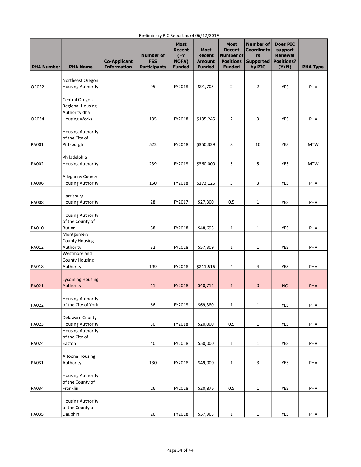|                   |                                              | <b>Co-Applicant</b> | <b>Number of</b><br><b>FSS</b> | <b>Most</b><br><b>Recent</b><br>(FY<br><b>NOFA)</b> | <b>Most</b><br><b>Recent</b><br><b>Amount</b> | <b>Most</b><br><b>Recent</b><br>Number of<br><b>Positions</b> | <b>Number of</b><br><b>Coordinato</b><br>rs<br><b>Supported</b> | <b>Does PIC</b><br>support<br><b>Renewal</b><br><b>Positions?</b> |                 |
|-------------------|----------------------------------------------|---------------------|--------------------------------|-----------------------------------------------------|-----------------------------------------------|---------------------------------------------------------------|-----------------------------------------------------------------|-------------------------------------------------------------------|-----------------|
| <b>PHA Number</b> | <b>PHA Name</b>                              | <b>Information</b>  | <b>Participants</b>            | <b>Funded</b>                                       | <b>Funded</b>                                 | <b>Funded</b>                                                 | by PIC                                                          | (Y/N)                                                             | <b>PHA Type</b> |
|                   | Northeast Oregon                             |                     |                                |                                                     |                                               |                                                               |                                                                 |                                                                   |                 |
| OR032             | <b>Housing Authority</b>                     |                     | 95                             | FY2018                                              | \$91,705                                      | $\overline{2}$                                                | $\overline{2}$                                                  | <b>YES</b>                                                        | PHA             |
|                   |                                              |                     |                                |                                                     |                                               |                                                               |                                                                 |                                                                   |                 |
|                   | Central Oregon                               |                     |                                |                                                     |                                               |                                                               |                                                                 |                                                                   |                 |
|                   | <b>Regional Housing</b>                      |                     |                                |                                                     |                                               |                                                               |                                                                 |                                                                   |                 |
| OR034             | Authority dba                                |                     | 135                            | FY2018                                              | \$135,245                                     | $\overline{2}$                                                | 3                                                               | YES                                                               | PHA             |
|                   | <b>Housing Works</b>                         |                     |                                |                                                     |                                               |                                                               |                                                                 |                                                                   |                 |
|                   | <b>Housing Authority</b>                     |                     |                                |                                                     |                                               |                                                               |                                                                 |                                                                   |                 |
|                   | of the City of                               |                     |                                |                                                     |                                               |                                                               |                                                                 |                                                                   |                 |
| PA001             | Pittsburgh                                   |                     | 522                            | FY2018                                              | \$350,339                                     | 8                                                             | 10                                                              | YES                                                               | <b>MTW</b>      |
|                   |                                              |                     |                                |                                                     |                                               |                                                               |                                                                 |                                                                   |                 |
|                   | Philadelphia                                 |                     |                                |                                                     |                                               |                                                               |                                                                 |                                                                   |                 |
| PA002             | <b>Housing Authority</b>                     |                     | 239                            | FY2018                                              | \$360,000                                     | 5                                                             | 5                                                               | <b>YES</b>                                                        | <b>MTW</b>      |
|                   |                                              |                     |                                |                                                     |                                               |                                                               |                                                                 |                                                                   |                 |
| <b>PA006</b>      | Allegheny County<br><b>Housing Authority</b> |                     | 150                            | FY2018                                              | \$173,126                                     | 3                                                             | 3                                                               | <b>YES</b>                                                        | PHA             |
|                   |                                              |                     |                                |                                                     |                                               |                                                               |                                                                 |                                                                   |                 |
|                   | Harrisburg                                   |                     |                                |                                                     |                                               |                                                               |                                                                 |                                                                   |                 |
| <b>PA008</b>      | <b>Housing Authority</b>                     |                     | 28                             | FY2017                                              | \$27,300                                      | 0.5                                                           | $\mathbf{1}$                                                    | <b>YES</b>                                                        | PHA             |
|                   |                                              |                     |                                |                                                     |                                               |                                                               |                                                                 |                                                                   |                 |
|                   | <b>Housing Authority</b>                     |                     |                                |                                                     |                                               |                                                               |                                                                 |                                                                   |                 |
|                   | of the County of                             |                     |                                |                                                     |                                               |                                                               |                                                                 |                                                                   |                 |
| PA010             | <b>Butler</b>                                |                     | 38                             | FY2018                                              | \$48,693                                      | $\mathbf{1}$                                                  | 1                                                               | <b>YES</b>                                                        | PHA             |
|                   | Montgomery<br><b>County Housing</b>          |                     |                                |                                                     |                                               |                                                               |                                                                 |                                                                   |                 |
| PA012             | Authority                                    |                     | 32                             | FY2018                                              | \$57,309                                      | $\mathbf{1}$                                                  | 1                                                               | YES                                                               | PHA             |
|                   | Westmoreland                                 |                     |                                |                                                     |                                               |                                                               |                                                                 |                                                                   |                 |
|                   | <b>County Housing</b>                        |                     |                                |                                                     |                                               |                                                               |                                                                 |                                                                   |                 |
| PA018             | Authority                                    |                     | 199                            | FY2018                                              | \$211,516                                     | 4                                                             | 4                                                               | YES                                                               | PHA             |
|                   |                                              |                     |                                |                                                     |                                               |                                                               |                                                                 |                                                                   |                 |
|                   | <b>Lycoming Housing</b>                      |                     |                                |                                                     |                                               |                                                               |                                                                 |                                                                   |                 |
| PA021             | Authority                                    |                     | 11                             | FY2018                                              | \$40,711                                      | $\mathbf{1}$                                                  | $\bf 0$                                                         | <b>NO</b>                                                         | PHA             |
|                   | <b>Housing Authority</b>                     |                     |                                |                                                     |                                               |                                                               |                                                                 |                                                                   |                 |
| PA022             | of the City of York                          |                     | 66                             | FY2018                                              | \$69,380                                      | $\mathbf{1}$                                                  | $\mathbf{1}$                                                    | YES                                                               | PHA             |
|                   |                                              |                     |                                |                                                     |                                               |                                                               |                                                                 |                                                                   |                 |
|                   | Delaware County                              |                     |                                |                                                     |                                               |                                                               |                                                                 |                                                                   |                 |
| PA023             | <b>Housing Authority</b>                     |                     | 36                             | FY2018                                              | \$20,000                                      | 0.5                                                           | $\mathbf{1}$                                                    | <b>YES</b>                                                        | PHA             |
|                   | <b>Housing Authority</b>                     |                     |                                |                                                     |                                               |                                                               |                                                                 |                                                                   |                 |
|                   | of the City of                               |                     |                                |                                                     |                                               |                                                               |                                                                 |                                                                   |                 |
| PA024             | Easton                                       |                     | 40                             | FY2018                                              | \$50,000                                      | $\mathbf{1}$                                                  | $\mathbf{1}$                                                    | YES                                                               | PHA             |
|                   | Altoona Housing                              |                     |                                |                                                     |                                               |                                                               |                                                                 |                                                                   |                 |
| PA031             | Authority                                    |                     | 130                            | FY2018                                              | \$49,000                                      | $\mathbf{1}$                                                  | 3                                                               | YES                                                               | PHA             |
|                   |                                              |                     |                                |                                                     |                                               |                                                               |                                                                 |                                                                   |                 |
|                   | Housing Authority                            |                     |                                |                                                     |                                               |                                                               |                                                                 |                                                                   |                 |
|                   | of the County of                             |                     |                                |                                                     |                                               |                                                               |                                                                 |                                                                   |                 |
| PA034             | Franklin                                     |                     | 26                             | FY2018                                              | \$20,876                                      | 0.5                                                           | $\mathbf 1$                                                     | <b>YES</b>                                                        | PHA             |
|                   |                                              |                     |                                |                                                     |                                               |                                                               |                                                                 |                                                                   |                 |
|                   | <b>Housing Authority</b><br>of the County of |                     |                                |                                                     |                                               |                                                               |                                                                 |                                                                   |                 |
| PA035             | Dauphin                                      |                     | $26\,$                         | FY2018                                              | \$57,963                                      | $\mathbf{1}$                                                  | $\mathbf 1$                                                     | YES                                                               | PHA             |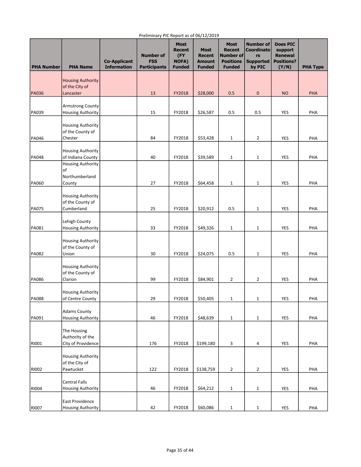| <b>PHA Number</b> | <b>PHA Name</b>                            | <b>Co-Applicant</b><br><b>Information</b> | <b>Number of</b><br><b>FSS</b><br><b>Participants</b> | <b>Most</b><br>Recent<br>(FY<br><b>NOFA)</b><br><b>Funded</b> | <b>Most</b><br><b>Recent</b><br><b>Amount</b><br><b>Funded</b> | <b>Most</b><br><b>Recent</b><br>Number of<br><b>Positions</b><br><b>Funded</b> | <b>Number of</b><br><b>Coordinato</b><br>rs<br><b>Supported</b><br>by PIC | <b>Does PIC</b><br>support<br><b>Renewal</b><br><b>Positions?</b><br>(Y/N) | <b>PHA Type</b> |
|-------------------|--------------------------------------------|-------------------------------------------|-------------------------------------------------------|---------------------------------------------------------------|----------------------------------------------------------------|--------------------------------------------------------------------------------|---------------------------------------------------------------------------|----------------------------------------------------------------------------|-----------------|
|                   | <b>Housing Authority</b><br>of the City of |                                           |                                                       |                                                               |                                                                |                                                                                |                                                                           |                                                                            |                 |
| <b>PA036</b>      | Lancaster                                  |                                           | 13                                                    | FY2018                                                        | \$28,000                                                       | 0.5                                                                            | 0                                                                         | <b>NO</b>                                                                  | PHA             |
|                   |                                            |                                           |                                                       |                                                               |                                                                |                                                                                |                                                                           |                                                                            |                 |
|                   | Armstrong County                           |                                           |                                                       |                                                               |                                                                |                                                                                |                                                                           |                                                                            |                 |
| PA039             | <b>Housing Authority</b>                   |                                           | 15                                                    | FY2018                                                        | \$26,587                                                       | 0.5                                                                            | 0.5                                                                       | <b>YES</b>                                                                 | PHA             |
|                   | Housing Authority<br>of the County of      |                                           |                                                       |                                                               |                                                                |                                                                                |                                                                           |                                                                            |                 |
| PA046             | Chester                                    |                                           | 84                                                    | FY2018                                                        | \$53,428                                                       | $\mathbf{1}$                                                                   | 2                                                                         | YES                                                                        | PHA             |
|                   |                                            |                                           |                                                       |                                                               |                                                                |                                                                                |                                                                           |                                                                            |                 |
| <b>PA048</b>      | Housing Authority<br>of Indiana County     |                                           | 40                                                    | FY2018                                                        | \$39,589                                                       | $\mathbf{1}$                                                                   | 1                                                                         | YES                                                                        | PHA             |
|                   | <b>Housing Authority</b>                   |                                           |                                                       |                                                               |                                                                |                                                                                |                                                                           |                                                                            |                 |
|                   | of                                         |                                           |                                                       |                                                               |                                                                |                                                                                |                                                                           |                                                                            |                 |
|                   | Northumberland                             |                                           |                                                       |                                                               |                                                                |                                                                                |                                                                           |                                                                            |                 |
| PA060             | County                                     |                                           | 27                                                    | FY2018                                                        | \$64,458                                                       | $1\,$                                                                          | $\mathbf{1}$                                                              | <b>YES</b>                                                                 | PHA             |
|                   | <b>Housing Authority</b>                   |                                           |                                                       |                                                               |                                                                |                                                                                |                                                                           |                                                                            |                 |
|                   | of the County of                           |                                           |                                                       |                                                               |                                                                |                                                                                |                                                                           |                                                                            |                 |
| <b>PA075</b>      | Cumberland                                 |                                           | 25                                                    | FY2018                                                        | \$20,912                                                       | 0.5                                                                            | 1                                                                         | YES                                                                        | PHA             |
|                   | Lehigh County                              |                                           |                                                       |                                                               |                                                                |                                                                                |                                                                           |                                                                            |                 |
| PA081             | <b>Housing Authority</b>                   |                                           | 33                                                    | FY2018                                                        | \$49,326                                                       | $\mathbf{1}$                                                                   | 1                                                                         | <b>YES</b>                                                                 | PHA             |
|                   |                                            |                                           |                                                       |                                                               |                                                                |                                                                                |                                                                           |                                                                            |                 |
|                   | <b>Housing Authority</b>                   |                                           |                                                       |                                                               |                                                                |                                                                                |                                                                           |                                                                            |                 |
| <b>PA082</b>      | of the County of<br>Union                  |                                           | 30                                                    | FY2018                                                        | \$24,075                                                       | 0.5                                                                            | 1                                                                         | YES                                                                        | PHA             |
|                   |                                            |                                           |                                                       |                                                               |                                                                |                                                                                |                                                                           |                                                                            |                 |
|                   | <b>Housing Authority</b>                   |                                           |                                                       |                                                               |                                                                |                                                                                |                                                                           |                                                                            |                 |
|                   | of the County of                           |                                           |                                                       |                                                               |                                                                |                                                                                |                                                                           |                                                                            |                 |
| <b>PA086</b>      | Clarion                                    |                                           | 99                                                    | FY2018                                                        | \$84,901                                                       | $\overline{2}$                                                                 | 2                                                                         | <b>YES</b>                                                                 | PHA             |
|                   | <b>Housing Authority</b>                   |                                           |                                                       |                                                               |                                                                |                                                                                |                                                                           |                                                                            |                 |
| PA088             | of Centre County                           |                                           | 29                                                    | FY2018                                                        | \$50,405                                                       | $\mathbf{1}$                                                                   | 1                                                                         | YES                                                                        | PHA             |
|                   |                                            |                                           |                                                       |                                                               |                                                                |                                                                                |                                                                           |                                                                            |                 |
|                   | <b>Adams County</b>                        |                                           |                                                       | FY2018                                                        |                                                                |                                                                                |                                                                           |                                                                            | PHA             |
| PA091             | <b>Housing Authority</b>                   |                                           | 46                                                    |                                                               | \$48,639                                                       | $\mathbf{1}$                                                                   | 1                                                                         | YES                                                                        |                 |
|                   | The Housing                                |                                           |                                                       |                                                               |                                                                |                                                                                |                                                                           |                                                                            |                 |
|                   | Authority of the                           |                                           |                                                       |                                                               |                                                                |                                                                                |                                                                           |                                                                            |                 |
| RI001             | City of Providence                         |                                           | 176                                                   | FY2018                                                        | \$199,180                                                      | 3                                                                              | 4                                                                         | YES                                                                        | PHA             |
|                   | <b>Housing Authority</b>                   |                                           |                                                       |                                                               |                                                                |                                                                                |                                                                           |                                                                            |                 |
|                   | of the City of                             |                                           |                                                       |                                                               |                                                                |                                                                                |                                                                           |                                                                            |                 |
| RI002             | Pawtucket                                  |                                           | 122                                                   | FY2018                                                        | \$138,759                                                      | $\overline{2}$                                                                 | 2                                                                         | YES                                                                        | PHA             |
|                   |                                            |                                           |                                                       |                                                               |                                                                |                                                                                |                                                                           |                                                                            |                 |
|                   | <b>Central Falls</b>                       |                                           |                                                       |                                                               |                                                                |                                                                                |                                                                           |                                                                            |                 |
| <b>RI004</b>      | <b>Housing Authority</b>                   |                                           | 46                                                    | FY2018                                                        | \$64,212                                                       | $\mathbf{1}$                                                                   | 1                                                                         | YES                                                                        | PHA             |
|                   | East Providence                            |                                           |                                                       |                                                               |                                                                |                                                                                |                                                                           |                                                                            |                 |
| RI007             | Housing Authority                          |                                           | 42                                                    | FY2018                                                        | \$60,086                                                       | $\mathbf{1}$                                                                   | $\mathbf{1}$                                                              | YES                                                                        | PHA             |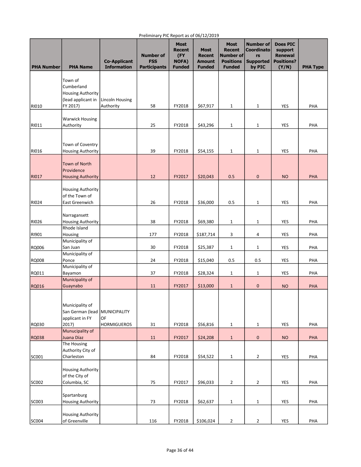| <b>PHA Number</b> | <b>PHA Name</b>                           | <b>Co-Applicant</b><br><b>Information</b> | <b>Number of</b><br><b>FSS</b><br><b>Participants</b> | <b>Most</b><br>Recent<br>(FY<br><b>NOFA)</b><br><b>Funded</b> | <b>Most</b><br><b>Recent</b><br><b>Amount</b><br><b>Funded</b> | <b>Most</b><br><b>Recent</b><br>Number of<br><b>Positions</b><br><b>Funded</b> | <b>Number of</b><br><b>Coordinato</b><br>rs<br><b>Supported</b><br>by PIC | <b>Does PIC</b><br>support<br><b>Renewal</b><br><b>Positions?</b><br>(Y/N) | <b>PHA Type</b> |
|-------------------|-------------------------------------------|-------------------------------------------|-------------------------------------------------------|---------------------------------------------------------------|----------------------------------------------------------------|--------------------------------------------------------------------------------|---------------------------------------------------------------------------|----------------------------------------------------------------------------|-----------------|
|                   |                                           |                                           |                                                       |                                                               |                                                                |                                                                                |                                                                           |                                                                            |                 |
|                   | Town of<br>Cumberland                     |                                           |                                                       |                                                               |                                                                |                                                                                |                                                                           |                                                                            |                 |
|                   | <b>Housing Authority</b>                  |                                           |                                                       |                                                               |                                                                |                                                                                |                                                                           |                                                                            |                 |
|                   | (lead applicant in                        | <b>Lincoln Housing</b>                    |                                                       |                                                               |                                                                |                                                                                |                                                                           |                                                                            |                 |
| <b>RI010</b>      | FY 2017)                                  | Authority                                 | 58                                                    | FY2018                                                        | \$67,917                                                       | $1\,$                                                                          | $\mathbf{1}$                                                              | YES                                                                        | PHA             |
|                   | <b>Warwick Housing</b>                    |                                           |                                                       |                                                               |                                                                |                                                                                |                                                                           |                                                                            |                 |
| RI011             | Authority                                 |                                           | 25                                                    | FY2018                                                        | \$43,296                                                       | $\mathbf{1}$                                                                   | $\mathbf{1}$                                                              | YES                                                                        | PHA             |
|                   |                                           |                                           |                                                       |                                                               |                                                                |                                                                                |                                                                           |                                                                            |                 |
|                   |                                           |                                           |                                                       |                                                               |                                                                |                                                                                |                                                                           |                                                                            |                 |
|                   | Town of Coventry                          |                                           |                                                       |                                                               | \$54,155                                                       |                                                                                |                                                                           |                                                                            |                 |
| <b>RI016</b>      | <b>Housing Authority</b>                  |                                           | 39                                                    | FY2018                                                        |                                                                | 1                                                                              | $\mathbf{1}$                                                              | YES                                                                        | PHA             |
|                   | <b>Town of North</b>                      |                                           |                                                       |                                                               |                                                                |                                                                                |                                                                           |                                                                            |                 |
|                   | Providence                                |                                           |                                                       |                                                               |                                                                |                                                                                |                                                                           |                                                                            |                 |
| RI017             | <b>Housing Authority</b>                  |                                           | 12                                                    | FY2017                                                        | \$20,043                                                       | 0.5                                                                            | $\mathbf 0$                                                               | <b>NO</b>                                                                  | PHA             |
|                   | <b>Housing Authority</b>                  |                                           |                                                       |                                                               |                                                                |                                                                                |                                                                           |                                                                            |                 |
|                   | of the Town of                            |                                           |                                                       |                                                               |                                                                |                                                                                |                                                                           |                                                                            |                 |
| <b>RI024</b>      | East Greenwich                            |                                           | 26                                                    | FY2018                                                        | \$36,000                                                       | 0.5                                                                            | $\mathbf{1}$                                                              | YES                                                                        | PHA             |
|                   |                                           |                                           |                                                       |                                                               |                                                                |                                                                                |                                                                           |                                                                            |                 |
| <b>RI026</b>      | Narragansett<br><b>Housing Authority</b>  |                                           | 38                                                    | FY2018                                                        | \$69,380                                                       | 1                                                                              | $\mathbf{1}$                                                              | <b>YES</b>                                                                 | PHA             |
|                   | Rhode Island                              |                                           |                                                       |                                                               |                                                                |                                                                                |                                                                           |                                                                            |                 |
| RI901             | Housing                                   |                                           | 177                                                   | FY2018                                                        | \$187,714                                                      | 3                                                                              | 4                                                                         | YES                                                                        | PHA             |
|                   | Municipality of                           |                                           |                                                       |                                                               |                                                                |                                                                                |                                                                           |                                                                            |                 |
| <b>RQ006</b>      | San Juan<br>Municipality of               |                                           | 30                                                    | FY2018                                                        | \$25,387                                                       | 1                                                                              | 1                                                                         | <b>YES</b>                                                                 | PHA             |
| RQ008             | Ponce                                     |                                           | 24                                                    | FY2018                                                        | \$15,040                                                       | 0.5                                                                            | 0.5                                                                       | YES                                                                        | PHA             |
|                   | Municipality of                           |                                           |                                                       |                                                               |                                                                |                                                                                |                                                                           |                                                                            |                 |
| RQ011             | Bayamon                                   |                                           | 37                                                    | FY2018                                                        | \$28,324                                                       | $\mathbf{1}$                                                                   | $\mathbf{1}$                                                              | YES                                                                        | PHA             |
| <b>RQ016</b>      | Municipality of<br>Guaynabo               |                                           | 11                                                    | FY2017                                                        | \$13,000                                                       | $\mathbf{1}$                                                                   | $\pmb{0}$                                                                 | <b>NO</b>                                                                  | PHA             |
|                   |                                           |                                           |                                                       |                                                               |                                                                |                                                                                |                                                                           |                                                                            |                 |
|                   |                                           |                                           |                                                       |                                                               |                                                                |                                                                                |                                                                           |                                                                            |                 |
|                   | Municipality of                           |                                           |                                                       |                                                               |                                                                |                                                                                |                                                                           |                                                                            |                 |
|                   | San German (lead<br>applicant in FY       | MUNICIPALITY<br>OF                        |                                                       |                                                               |                                                                |                                                                                |                                                                           |                                                                            |                 |
| RQ030             | 2017)                                     | <b>HORMIGUEROS</b>                        | 31                                                    | FY2018                                                        | \$56,816                                                       | $\mathbf{1}$                                                                   | $\mathbf{1}$                                                              | <b>YES</b>                                                                 | PHA             |
|                   | Munucipality of                           |                                           |                                                       |                                                               |                                                                |                                                                                |                                                                           |                                                                            |                 |
| RQ038             | Juana Díaz                                |                                           | 11                                                    | FY2017                                                        | \$24,208                                                       | $\mathbf{1}$                                                                   | $\pmb{0}$                                                                 | <b>NO</b>                                                                  | PHA             |
|                   | The Housing<br>Authority City of          |                                           |                                                       |                                                               |                                                                |                                                                                |                                                                           |                                                                            |                 |
| SC001             | Charleston                                |                                           | 84                                                    | FY2018                                                        | \$54,522                                                       | $\mathbf{1}$                                                                   | $\overline{2}$                                                            | YES                                                                        | PHA             |
|                   |                                           |                                           |                                                       |                                                               |                                                                |                                                                                |                                                                           |                                                                            |                 |
|                   | <b>Housing Authority</b>                  |                                           |                                                       |                                                               |                                                                |                                                                                |                                                                           |                                                                            |                 |
|                   | of the City of                            |                                           |                                                       |                                                               |                                                                |                                                                                |                                                                           |                                                                            |                 |
| SC002             | Columbia, SC                              |                                           | 75                                                    | FY2017                                                        | \$96,033                                                       | $\overline{2}$                                                                 | $\overline{2}$                                                            | YES                                                                        | PHA             |
|                   | Spartanburg                               |                                           |                                                       |                                                               |                                                                |                                                                                |                                                                           |                                                                            |                 |
| SCO03             | <b>Housing Authority</b>                  |                                           | 73                                                    | FY2018                                                        | \$62,637                                                       | $1\,$                                                                          | $\mathbf{1}$                                                              | <b>YES</b>                                                                 | PHA             |
|                   |                                           |                                           |                                                       |                                                               |                                                                |                                                                                |                                                                           |                                                                            |                 |
| SC004             | <b>Housing Authority</b><br>of Greenville |                                           | 116                                                   | FY2018                                                        | \$106,024                                                      | $\mathbf 2$                                                                    | $\mathbf{2}$                                                              | YES                                                                        | PHA             |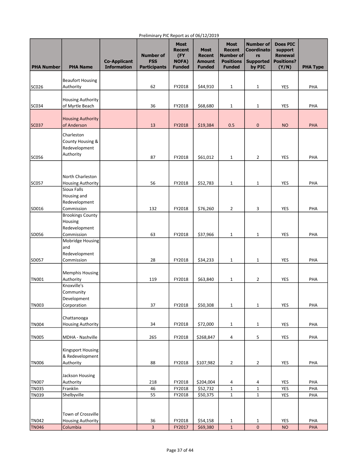| <b>PHA Number</b>     | <b>PHA Name</b>                             | <b>Co-Applicant</b><br><b>Information</b> | <b>Number of</b><br><b>FSS</b><br><b>Participants</b> | <b>Most</b><br><b>Recent</b><br>(FY<br>NOFA)<br><b>Funded</b> | <b>Most</b><br><b>Recent</b><br><b>Amount</b><br><b>Funded</b> | <b>Most</b><br><b>Recent</b><br>Number of<br><b>Positions</b><br><b>Funded</b> | <b>Number of</b><br><b>Coordinato</b><br>rs<br><b>Supported</b><br>by PIC | <b>Does PIC</b><br>support<br><b>Renewal</b><br><b>Positions?</b><br>(Y/N) | <b>PHA Type</b> |
|-----------------------|---------------------------------------------|-------------------------------------------|-------------------------------------------------------|---------------------------------------------------------------|----------------------------------------------------------------|--------------------------------------------------------------------------------|---------------------------------------------------------------------------|----------------------------------------------------------------------------|-----------------|
|                       | <b>Beaufort Housing</b>                     |                                           |                                                       |                                                               |                                                                |                                                                                |                                                                           |                                                                            |                 |
| SC026                 | Authority                                   |                                           | 62                                                    | FY2018                                                        | \$44,910                                                       | $\mathbf{1}$                                                                   | $\mathbf 1$                                                               | <b>YES</b>                                                                 | PHA             |
|                       |                                             |                                           |                                                       |                                                               |                                                                |                                                                                |                                                                           |                                                                            |                 |
| SC034                 | <b>Housing Authority</b><br>of Myrtle Beach |                                           | 36                                                    | FY2018                                                        | \$68,680                                                       | $\mathbf 1$                                                                    | 1                                                                         | YES                                                                        | PHA             |
|                       |                                             |                                           |                                                       |                                                               |                                                                |                                                                                |                                                                           |                                                                            |                 |
| SC037                 | <b>Housing Authority</b><br>of Anderson     |                                           | 13                                                    | FY2018                                                        | \$19,384                                                       | 0.5                                                                            | 0                                                                         | <b>NO</b>                                                                  | PHA             |
|                       |                                             |                                           |                                                       |                                                               |                                                                |                                                                                |                                                                           |                                                                            |                 |
|                       | Charleston<br>County Housing &              |                                           |                                                       |                                                               |                                                                |                                                                                |                                                                           |                                                                            |                 |
|                       | Redevelopment                               |                                           |                                                       |                                                               |                                                                |                                                                                |                                                                           |                                                                            |                 |
| SC056                 | Authority                                   |                                           | 87                                                    | FY2018                                                        | \$61,012                                                       | $\mathbf{1}$                                                                   | $\overline{2}$                                                            | <b>YES</b>                                                                 | PHA             |
|                       |                                             |                                           |                                                       |                                                               |                                                                |                                                                                |                                                                           |                                                                            |                 |
|                       | North Charleston                            |                                           |                                                       |                                                               |                                                                |                                                                                |                                                                           |                                                                            |                 |
| SC057                 | <b>Housing Authority</b>                    |                                           | 56                                                    | FY2018                                                        | \$52,783                                                       | $1\,$                                                                          | 1                                                                         | YES                                                                        | PHA             |
|                       | Sioux Falls                                 |                                           |                                                       |                                                               |                                                                |                                                                                |                                                                           |                                                                            |                 |
|                       | Housing and                                 |                                           |                                                       |                                                               |                                                                |                                                                                |                                                                           |                                                                            |                 |
| SD016                 | Redevelopment<br>Commission                 |                                           | 132                                                   | FY2018                                                        | \$76,260                                                       | $\overline{2}$                                                                 | 3                                                                         | YES                                                                        | PHA             |
|                       | <b>Brookings County</b>                     |                                           |                                                       |                                                               |                                                                |                                                                                |                                                                           |                                                                            |                 |
|                       | Housing                                     |                                           |                                                       |                                                               |                                                                |                                                                                |                                                                           |                                                                            |                 |
| SD056                 | Redevelopment<br>Commission                 |                                           | 63                                                    | FY2018                                                        | \$37,966                                                       | $\mathbf{1}$                                                                   | 1                                                                         | YES                                                                        | PHA             |
|                       | Mobridge Housing                            |                                           |                                                       |                                                               |                                                                |                                                                                |                                                                           |                                                                            |                 |
|                       | and                                         |                                           |                                                       |                                                               |                                                                |                                                                                |                                                                           |                                                                            |                 |
| SD057                 | Redevelopment<br>Commission                 |                                           | 28                                                    | FY2018                                                        | \$34,233                                                       | $\mathbf{1}$                                                                   | 1                                                                         | <b>YES</b>                                                                 | PHA             |
|                       |                                             |                                           |                                                       |                                                               |                                                                |                                                                                |                                                                           |                                                                            |                 |
|                       | <b>Memphis Housing</b>                      |                                           |                                                       |                                                               |                                                                |                                                                                |                                                                           |                                                                            |                 |
| <b>TN001</b>          | Authority                                   |                                           | 119                                                   | FY2018                                                        | \$63,840                                                       | $\mathbf{1}$                                                                   | 2                                                                         | YES                                                                        | PHA             |
|                       | Knoxville's<br>Community                    |                                           |                                                       |                                                               |                                                                |                                                                                |                                                                           |                                                                            |                 |
|                       | Development                                 |                                           |                                                       |                                                               |                                                                |                                                                                |                                                                           |                                                                            |                 |
| <b>TN003</b>          | Corporation                                 |                                           | 37                                                    | FY2018                                                        | \$50,308                                                       | $\mathbf{1}$                                                                   | $\mathbf 1$                                                               | YES                                                                        | PHA             |
|                       | Chattanooga                                 |                                           |                                                       |                                                               |                                                                |                                                                                |                                                                           |                                                                            |                 |
| <b>TN004</b>          | <b>Housing Authority</b>                    |                                           | 34                                                    | FY2018                                                        | \$72,000                                                       | $\mathbf{1}$                                                                   | $\mathbf 1$                                                               | YES                                                                        | PHA             |
|                       |                                             |                                           |                                                       |                                                               |                                                                |                                                                                |                                                                           |                                                                            |                 |
| <b>TN005</b>          | MDHA - Nashville                            |                                           | 265                                                   | FY2018                                                        | \$268,847                                                      | 4                                                                              | 5                                                                         | YES                                                                        | PHA             |
|                       | Kingsport Housing                           |                                           |                                                       |                                                               |                                                                |                                                                                |                                                                           |                                                                            |                 |
|                       | & Redevelopment                             |                                           |                                                       |                                                               |                                                                |                                                                                |                                                                           |                                                                            |                 |
| <b>TN006</b>          | Authority                                   |                                           | 88                                                    | FY2018                                                        | \$107,982                                                      | $\overline{2}$                                                                 | 2                                                                         | YES                                                                        | PHA             |
|                       | Jackson Housing                             |                                           |                                                       |                                                               |                                                                |                                                                                |                                                                           |                                                                            |                 |
| <b>TN007</b>          | Authority                                   |                                           | 218                                                   | FY2018                                                        | \$204,004                                                      | 4                                                                              | 4                                                                         | YES                                                                        | PHA             |
| <b>TN035</b>          | Franklin                                    |                                           | 46                                                    | FY2018                                                        | \$52,732                                                       | $1\,$                                                                          | $\mathbf{1}$                                                              | YES                                                                        | PHA             |
| <b>TN039</b>          | Shelbyville                                 |                                           | 55                                                    | FY2018                                                        | \$50,375                                                       | $\mathbf 1$                                                                    | $\mathbf 1$                                                               | YES                                                                        | PHA             |
|                       |                                             |                                           |                                                       |                                                               |                                                                |                                                                                |                                                                           |                                                                            |                 |
|                       | Town of Crossville                          |                                           |                                                       |                                                               |                                                                |                                                                                |                                                                           |                                                                            |                 |
| TN042<br><b>TN046</b> | <b>Housing Authority</b><br>Columbia        |                                           | 36<br>$\overline{3}$                                  | FY2018<br>FY2017                                              | \$54,158<br>\$69,380                                           | 1<br>$1\,$                                                                     | 1<br>$\mathbf 0$                                                          | <b>YES</b><br><b>NO</b>                                                    | PHA<br>PHA      |
|                       |                                             |                                           |                                                       |                                                               |                                                                |                                                                                |                                                                           |                                                                            |                 |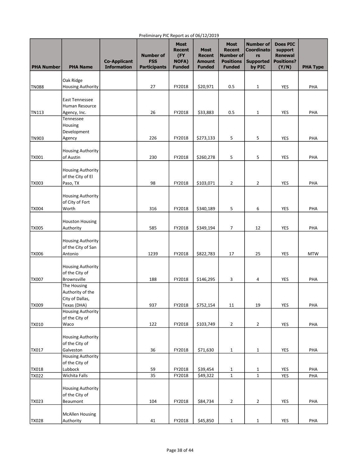| <b>PHA Number</b> | <b>PHA Name</b>                         | <b>Co-Applicant</b><br><b>Information</b> | <b>Number of</b><br><b>FSS</b><br><b>Participants</b> | <b>Most</b><br>Recent<br>(FY<br><b>NOFA)</b><br><b>Funded</b> | <b>Most</b><br><b>Recent</b><br><b>Amount</b><br><b>Funded</b> | <b>Most</b><br><b>Recent</b><br>Number of<br><b>Positions</b><br><b>Funded</b> | <b>Number of</b><br><b>Coordinato</b><br>rs<br><b>Supported</b><br>by PIC | <b>Does PIC</b><br>support<br><b>Renewal</b><br><b>Positions?</b><br>(Y/N) | <b>PHA Type</b> |
|-------------------|-----------------------------------------|-------------------------------------------|-------------------------------------------------------|---------------------------------------------------------------|----------------------------------------------------------------|--------------------------------------------------------------------------------|---------------------------------------------------------------------------|----------------------------------------------------------------------------|-----------------|
|                   |                                         |                                           |                                                       |                                                               |                                                                |                                                                                |                                                                           |                                                                            |                 |
| <b>TN088</b>      | Oak Ridge<br><b>Housing Authority</b>   |                                           | 27                                                    | FY2018                                                        | \$20,971                                                       | 0.5                                                                            | 1                                                                         | <b>YES</b>                                                                 | PHA             |
|                   |                                         |                                           |                                                       |                                                               |                                                                |                                                                                |                                                                           |                                                                            |                 |
|                   | <b>East Tennessee</b>                   |                                           |                                                       |                                                               |                                                                |                                                                                |                                                                           |                                                                            |                 |
| TN113             | Human Resource<br>Agency, Inc.          |                                           | 26                                                    | FY2018                                                        | \$33,883                                                       | 0.5                                                                            | 1                                                                         | YES                                                                        | PHA             |
|                   | Tennessee                               |                                           |                                                       |                                                               |                                                                |                                                                                |                                                                           |                                                                            |                 |
|                   | Housing                                 |                                           |                                                       |                                                               |                                                                |                                                                                |                                                                           |                                                                            |                 |
| TN903             | Development<br>Agency                   |                                           | 226                                                   | FY2018                                                        | \$273,133                                                      | 5                                                                              | 5                                                                         | YES                                                                        | PHA             |
|                   |                                         |                                           |                                                       |                                                               |                                                                |                                                                                |                                                                           |                                                                            |                 |
|                   | <b>Housing Authority</b>                |                                           |                                                       |                                                               |                                                                |                                                                                |                                                                           |                                                                            |                 |
| <b>TX001</b>      | of Austin                               |                                           | 230                                                   | FY2018                                                        | \$260,278                                                      | 5                                                                              | 5                                                                         | <b>YES</b>                                                                 | PHA             |
|                   | <b>Housing Authority</b>                |                                           |                                                       |                                                               |                                                                |                                                                                |                                                                           |                                                                            |                 |
|                   | of the City of El                       |                                           | 98                                                    |                                                               |                                                                |                                                                                |                                                                           |                                                                            |                 |
| <b>TX003</b>      | Paso, TX                                |                                           |                                                       | FY2018                                                        | \$103,071                                                      | 2                                                                              | 2                                                                         | <b>YES</b>                                                                 | PHA             |
|                   | <b>Housing Authority</b>                |                                           |                                                       |                                                               |                                                                |                                                                                |                                                                           |                                                                            |                 |
|                   | of City of Fort<br>Worth                |                                           | 316                                                   |                                                               | \$340,189                                                      |                                                                                |                                                                           |                                                                            |                 |
| <b>TX004</b>      |                                         |                                           |                                                       | FY2018                                                        |                                                                | 5                                                                              | 6                                                                         | YES                                                                        | PHA             |
|                   | <b>Houston Housing</b>                  |                                           |                                                       |                                                               |                                                                |                                                                                |                                                                           |                                                                            |                 |
| <b>TX005</b>      | Authority                               |                                           | 585                                                   | FY2018                                                        | \$349,194                                                      | 7                                                                              | 12                                                                        | <b>YES</b>                                                                 | PHA             |
|                   | <b>Housing Authority</b>                |                                           |                                                       |                                                               |                                                                |                                                                                |                                                                           |                                                                            |                 |
|                   | of the City of San                      |                                           |                                                       |                                                               |                                                                |                                                                                |                                                                           |                                                                            |                 |
| <b>TX006</b>      | Antonio                                 |                                           | 1239                                                  | FY2018                                                        | \$822,783                                                      | 17                                                                             | 25                                                                        | <b>YES</b>                                                                 | <b>MTW</b>      |
|                   | <b>Housing Authority</b>                |                                           |                                                       |                                                               |                                                                |                                                                                |                                                                           |                                                                            |                 |
|                   | of the City of                          |                                           |                                                       |                                                               |                                                                |                                                                                |                                                                           |                                                                            |                 |
| <b>TX007</b>      | <b>Brownsville</b>                      |                                           | 188                                                   | FY2018                                                        | \$146,295                                                      | 3                                                                              | 4                                                                         | <b>YES</b>                                                                 | PHA             |
|                   | The Housing<br>Authority of the         |                                           |                                                       |                                                               |                                                                |                                                                                |                                                                           |                                                                            |                 |
|                   | City of Dallas,                         |                                           |                                                       |                                                               |                                                                |                                                                                |                                                                           |                                                                            |                 |
| TX009             | Texas (DHA)<br><b>Housing Authority</b> |                                           | 937                                                   | FY2018                                                        | \$752,154                                                      | 11                                                                             | 19                                                                        | YES                                                                        | PHA             |
|                   | of the City of                          |                                           |                                                       |                                                               |                                                                |                                                                                |                                                                           |                                                                            |                 |
| TX010             | Waco                                    |                                           | 122                                                   | FY2018                                                        | \$103,749                                                      | $\overline{2}$                                                                 | $\overline{2}$                                                            | YES                                                                        | PHA             |
|                   | <b>Housing Authority</b>                |                                           |                                                       |                                                               |                                                                |                                                                                |                                                                           |                                                                            |                 |
|                   | of the City of                          |                                           |                                                       |                                                               |                                                                |                                                                                |                                                                           |                                                                            |                 |
| TX017             | Galveston                               |                                           | 36                                                    | FY2018                                                        | \$71,630                                                       | $\mathbf{1}$                                                                   | $\mathbf 1$                                                               | YES                                                                        | PHA             |
|                   | <b>Housing Authority</b>                |                                           |                                                       |                                                               |                                                                |                                                                                |                                                                           |                                                                            |                 |
| TX018             | of the City of<br>Lubbock               |                                           | 59                                                    | FY2018                                                        | \$39,454                                                       | $\mathbf{1}$                                                                   | 1                                                                         | YES                                                                        | PHA             |
| TX022             | Wichita Falls                           |                                           | 35                                                    | FY2018                                                        | \$49,322                                                       | $\mathbf 1$                                                                    | $\mathbf{1}$                                                              | YES                                                                        | PHA             |
|                   |                                         |                                           |                                                       |                                                               |                                                                |                                                                                |                                                                           |                                                                            |                 |
|                   | Housing Authority<br>of the City of     |                                           |                                                       |                                                               |                                                                |                                                                                |                                                                           |                                                                            |                 |
| TX023             | Beaumont                                |                                           | 104                                                   | FY2018                                                        | \$84,734                                                       | $\overline{2}$                                                                 | $\overline{2}$                                                            | YES                                                                        | PHA             |
|                   |                                         |                                           |                                                       |                                                               |                                                                |                                                                                |                                                                           |                                                                            |                 |
| TX028             | <b>McAllen Housing</b><br>Authority     |                                           | 41                                                    | FY2018                                                        | \$45,850                                                       | $\mathbf 1$                                                                    | $\mathbf{1}$                                                              | YES                                                                        | PHA             |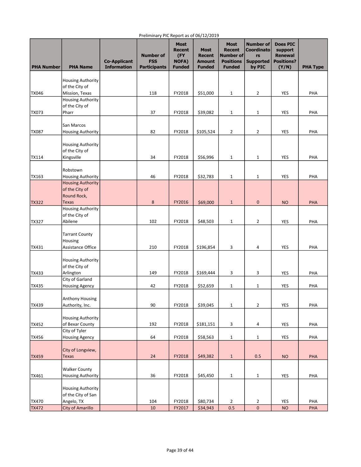| <b>PHA Number</b> | <b>PHA Name</b>                                         | <b>Co-Applicant</b><br><b>Information</b> | <b>Number of</b><br><b>FSS</b><br><b>Participants</b> | <b>Most</b><br>Recent<br>(FY<br><b>NOFA)</b><br><b>Funded</b> | <b>Most</b><br><b>Recent</b><br><b>Amount</b><br><b>Funded</b> | <b>Most</b><br><b>Recent</b><br>Number of<br><b>Positions</b><br><b>Funded</b> | <b>Number of</b><br><b>Coordinato</b><br>rs<br><b>Supported</b><br>by PIC | <b>Does PIC</b><br>support<br><b>Renewal</b><br><b>Positions?</b><br>(Y/N) | <b>PHA Type</b> |
|-------------------|---------------------------------------------------------|-------------------------------------------|-------------------------------------------------------|---------------------------------------------------------------|----------------------------------------------------------------|--------------------------------------------------------------------------------|---------------------------------------------------------------------------|----------------------------------------------------------------------------|-----------------|
|                   | <b>Housing Authority</b>                                |                                           |                                                       |                                                               |                                                                |                                                                                |                                                                           |                                                                            |                 |
|                   | of the City of                                          |                                           |                                                       |                                                               |                                                                |                                                                                |                                                                           |                                                                            |                 |
| <b>TX046</b>      | Mission, Texas                                          |                                           | 118                                                   | FY2018                                                        | \$51,000                                                       | $\mathbf{1}$                                                                   | 2                                                                         | <b>YES</b>                                                                 | PHA             |
|                   | <b>Housing Authority</b><br>of the City of              |                                           |                                                       |                                                               |                                                                |                                                                                |                                                                           |                                                                            |                 |
| <b>TX073</b>      | Pharr                                                   |                                           | 37                                                    | FY2018                                                        | \$39,082                                                       | $\mathbf{1}$                                                                   | 1                                                                         | YES                                                                        | PHA             |
|                   |                                                         |                                           |                                                       |                                                               |                                                                |                                                                                |                                                                           |                                                                            |                 |
|                   | San Marcos                                              |                                           |                                                       |                                                               |                                                                |                                                                                |                                                                           |                                                                            |                 |
| <b>TX087</b>      | <b>Housing Authority</b>                                |                                           | 82                                                    | FY2018                                                        | \$105,524                                                      | $\overline{2}$                                                                 | $\overline{2}$                                                            | YES                                                                        | PHA             |
|                   | <b>Housing Authority</b>                                |                                           |                                                       |                                                               |                                                                |                                                                                |                                                                           |                                                                            |                 |
|                   | of the City of                                          |                                           |                                                       |                                                               |                                                                |                                                                                |                                                                           |                                                                            |                 |
| <b>TX114</b>      | Kingsville                                              |                                           | 34                                                    | FY2018                                                        | \$56,996                                                       | $\mathbf{1}$                                                                   | 1                                                                         | YES                                                                        | PHA             |
|                   |                                                         |                                           |                                                       |                                                               |                                                                |                                                                                |                                                                           |                                                                            |                 |
| <b>TX163</b>      | Robstown<br><b>Housing Authority</b>                    |                                           | 46                                                    | FY2018                                                        | \$32,783                                                       | $\mathbf{1}$                                                                   | $\mathbf{1}$                                                              | <b>YES</b>                                                                 | PHA             |
|                   | <b>Housing Authority</b>                                |                                           |                                                       |                                                               |                                                                |                                                                                |                                                                           |                                                                            |                 |
|                   | of the City of                                          |                                           |                                                       |                                                               |                                                                |                                                                                |                                                                           |                                                                            |                 |
|                   | Round Rock,                                             |                                           |                                                       |                                                               |                                                                |                                                                                |                                                                           |                                                                            |                 |
| <b>TX322</b>      | <b>Texas</b>                                            |                                           | 8                                                     | FY2016                                                        | \$69,000                                                       | $\mathbf{1}$                                                                   | 0                                                                         | <b>NO</b>                                                                  | <b>PHA</b>      |
|                   | <b>Housing Authority</b><br>of the City of              |                                           |                                                       |                                                               |                                                                |                                                                                |                                                                           |                                                                            |                 |
| <b>TX327</b>      | Abilene                                                 |                                           | 102                                                   | FY2018                                                        | \$48,503                                                       | $\mathbf{1}$                                                                   | $\overline{2}$                                                            | <b>YES</b>                                                                 | PHA             |
|                   | <b>Tarrant County</b><br>Housing                        |                                           |                                                       |                                                               |                                                                |                                                                                |                                                                           |                                                                            |                 |
| <b>TX431</b>      | Assistance Office                                       |                                           | 210                                                   | FY2018                                                        | \$196,854                                                      | 3                                                                              | 4                                                                         | <b>YES</b>                                                                 | PHA             |
| <b>TX433</b>      | <b>Housing Authority</b><br>of the City of<br>Arlington |                                           | 149                                                   | FY2018                                                        | \$169,444                                                      | 3                                                                              | 3                                                                         | <b>YES</b>                                                                 | PHA             |
|                   | City of Garland                                         |                                           |                                                       |                                                               |                                                                |                                                                                |                                                                           |                                                                            |                 |
| <b>TX435</b>      | <b>Housing Agency</b>                                   |                                           | 42                                                    | FY2018                                                        | \$52,659                                                       | $\mathbf{1}$                                                                   | 1                                                                         | YES                                                                        | PHA             |
|                   |                                                         |                                           |                                                       |                                                               |                                                                |                                                                                |                                                                           |                                                                            |                 |
| TX439             | Anthony Housing<br>Authority, Inc.                      |                                           | 90                                                    | FY2018                                                        | \$39,045                                                       | $\mathbf{1}$                                                                   | $\overline{2}$                                                            | YES                                                                        | PHA             |
|                   |                                                         |                                           |                                                       |                                                               |                                                                |                                                                                |                                                                           |                                                                            |                 |
|                   | Housing Authority                                       |                                           |                                                       |                                                               |                                                                |                                                                                |                                                                           |                                                                            |                 |
| <b>TX452</b>      | of Bexar County                                         |                                           | 192                                                   | FY2018                                                        | \$181,151                                                      | 3                                                                              | 4                                                                         | YES                                                                        | PHA             |
|                   | City of Tyler                                           |                                           |                                                       |                                                               |                                                                |                                                                                |                                                                           |                                                                            |                 |
| <b>TX456</b>      | <b>Housing Agency</b>                                   |                                           | 64                                                    | FY2018                                                        | \$58,563                                                       | $\mathbf{1}$                                                                   | $\mathbf 1$                                                               | YES                                                                        | PHA             |
|                   | City of Longview,                                       |                                           |                                                       |                                                               |                                                                |                                                                                |                                                                           |                                                                            |                 |
| <b>TX459</b>      | <b>Texas</b>                                            |                                           | 24                                                    | FY2018                                                        | \$49,382                                                       | $\mathbf 1$                                                                    | 0.5                                                                       | <b>NO</b>                                                                  | PHA             |
|                   |                                                         |                                           |                                                       |                                                               |                                                                |                                                                                |                                                                           |                                                                            |                 |
|                   | <b>Walker County</b>                                    |                                           |                                                       |                                                               |                                                                |                                                                                |                                                                           |                                                                            |                 |
| TX461             | <b>Housing Authority</b>                                |                                           | 36                                                    | FY2018                                                        | \$45,450                                                       | $\mathbf{1}$                                                                   | $\mathbf 1$                                                               | YES                                                                        | PHA             |
|                   | Housing Authority<br>of the City of San                 |                                           |                                                       |                                                               |                                                                |                                                                                |                                                                           |                                                                            |                 |
| TX470             | Angelo, TX                                              |                                           | 104                                                   | FY2018                                                        | \$80,734                                                       | $\overline{2}$                                                                 | 2                                                                         | YES                                                                        | PHA             |
| <b>TX472</b>      | City of Amarillo                                        |                                           | 10                                                    | FY2017                                                        | \$34,943                                                       | 0.5                                                                            | $\overline{\mathbf{0}}$                                                   | <b>NO</b>                                                                  | PHA             |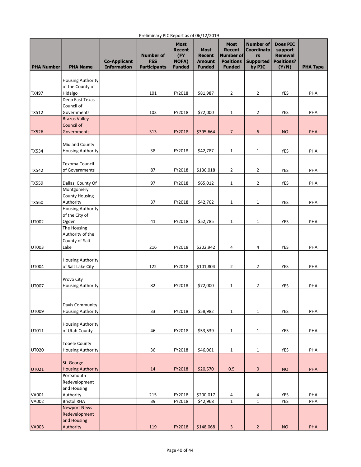| <b>PHA Number</b> | <b>PHA Name</b>                               | <b>Co-Applicant</b><br><b>Information</b> | <b>Number of</b><br><b>FSS</b><br><b>Participants</b> | <b>Most</b><br><b>Recent</b><br>(FY<br><b>NOFA)</b><br><b>Funded</b> | <b>Most</b><br><b>Recent</b><br><b>Amount</b><br><b>Funded</b> | <b>Most</b><br><b>Recent</b><br>Number of<br><b>Positions</b><br><b>Funded</b> | <b>Number of</b><br><b>Coordinato</b><br>rs<br><b>Supported</b><br>by PIC | <b>Does PIC</b><br>support<br><b>Renewal</b><br><b>Positions?</b><br>(Y/N) | <b>PHA Type</b> |
|-------------------|-----------------------------------------------|-------------------------------------------|-------------------------------------------------------|----------------------------------------------------------------------|----------------------------------------------------------------|--------------------------------------------------------------------------------|---------------------------------------------------------------------------|----------------------------------------------------------------------------|-----------------|
|                   | <b>Housing Authority</b>                      |                                           |                                                       |                                                                      |                                                                |                                                                                |                                                                           |                                                                            |                 |
|                   | of the County of                              |                                           |                                                       |                                                                      |                                                                |                                                                                |                                                                           |                                                                            |                 |
| TX497             | Hidalgo                                       |                                           | 101                                                   | FY2018                                                               | \$81,987                                                       | $\overline{2}$                                                                 | 2                                                                         | YES                                                                        | PHA             |
|                   | Deep East Texas                               |                                           |                                                       |                                                                      |                                                                |                                                                                |                                                                           |                                                                            |                 |
|                   | Council of                                    |                                           |                                                       |                                                                      |                                                                |                                                                                |                                                                           |                                                                            |                 |
| <b>TX512</b>      | Governments                                   |                                           | 103                                                   | FY2018                                                               | \$72,000                                                       | $1\,$                                                                          | $\overline{2}$                                                            | YES                                                                        | PHA             |
|                   | <b>Brazos Valley</b>                          |                                           |                                                       |                                                                      |                                                                |                                                                                |                                                                           |                                                                            |                 |
| <b>TX526</b>      | Council of<br><b>Governments</b>              |                                           | 313                                                   |                                                                      | \$395,664                                                      | $\overline{7}$                                                                 | 6                                                                         | <b>NO</b>                                                                  | PHA             |
|                   |                                               |                                           |                                                       | FY2018                                                               |                                                                |                                                                                |                                                                           |                                                                            |                 |
|                   | <b>Midland County</b>                         |                                           |                                                       |                                                                      |                                                                |                                                                                |                                                                           |                                                                            |                 |
| <b>TX534</b>      | <b>Housing Authority</b>                      |                                           | 38                                                    | FY2018                                                               | \$42,787                                                       | $\mathbf{1}$                                                                   | $\mathbf{1}$                                                              | <b>YES</b>                                                                 | PHA             |
|                   |                                               |                                           |                                                       |                                                                      |                                                                |                                                                                |                                                                           |                                                                            |                 |
|                   | Texoma Council                                |                                           |                                                       |                                                                      |                                                                |                                                                                |                                                                           |                                                                            |                 |
| <b>TX542</b>      | of Governments                                |                                           | 87                                                    | FY2018                                                               | \$136,018                                                      | $\overline{2}$                                                                 | 2                                                                         | YES                                                                        | PHA             |
|                   |                                               |                                           |                                                       |                                                                      |                                                                |                                                                                |                                                                           |                                                                            |                 |
| <b>TX559</b>      | Dallas, County Of                             |                                           | 97                                                    | FY2018                                                               | \$65,012                                                       | 1                                                                              | $\overline{2}$                                                            | YES                                                                        | PHA             |
|                   | Montgomery                                    |                                           |                                                       |                                                                      |                                                                |                                                                                |                                                                           |                                                                            |                 |
| <b>TX560</b>      | <b>County Housing</b><br>Authority            |                                           | 37                                                    | FY2018                                                               | \$42,762                                                       | 1                                                                              | $\mathbf{1}$                                                              | YES                                                                        | PHA             |
|                   | <b>Housing Authority</b>                      |                                           |                                                       |                                                                      |                                                                |                                                                                |                                                                           |                                                                            |                 |
|                   | of the City of                                |                                           |                                                       |                                                                      |                                                                |                                                                                |                                                                           |                                                                            |                 |
| <b>UT002</b>      | Ogden                                         |                                           | 41                                                    | FY2018                                                               | \$52,785                                                       | $\mathbf 1$                                                                    | 1                                                                         | YES                                                                        | PHA             |
|                   | The Housing                                   |                                           |                                                       |                                                                      |                                                                |                                                                                |                                                                           |                                                                            |                 |
|                   | Authority of the                              |                                           |                                                       |                                                                      |                                                                |                                                                                |                                                                           |                                                                            |                 |
|                   | County of Salt                                |                                           |                                                       |                                                                      |                                                                |                                                                                |                                                                           |                                                                            |                 |
| UT003             | Lake                                          |                                           | 216                                                   | FY2018                                                               | \$202,942                                                      | 4                                                                              | 4                                                                         | YES                                                                        | PHA             |
|                   |                                               |                                           |                                                       |                                                                      |                                                                |                                                                                |                                                                           |                                                                            |                 |
| UT004             | <b>Housing Authority</b><br>of Salt Lake City |                                           | 122                                                   | FY2018                                                               | \$101,804                                                      | $\overline{2}$                                                                 | 2                                                                         | YES                                                                        | PHA             |
|                   |                                               |                                           |                                                       |                                                                      |                                                                |                                                                                |                                                                           |                                                                            |                 |
|                   | Provo City                                    |                                           |                                                       |                                                                      |                                                                |                                                                                |                                                                           |                                                                            |                 |
| <b>UT007</b>      | <b>Housing Authority</b>                      |                                           | 82                                                    | FY2018                                                               | \$72,000                                                       | $\mathbf{1}$                                                                   | $\overline{2}$                                                            | YES                                                                        | PHA             |
|                   |                                               |                                           |                                                       |                                                                      |                                                                |                                                                                |                                                                           |                                                                            |                 |
|                   |                                               |                                           |                                                       |                                                                      |                                                                |                                                                                |                                                                           |                                                                            |                 |
|                   | Davis Community                               |                                           |                                                       |                                                                      |                                                                |                                                                                |                                                                           |                                                                            |                 |
| UT009             | <b>Housing Authority</b>                      |                                           | 33                                                    | FY2018                                                               | \$58,982                                                       | $1\,$                                                                          | $\mathbf{1}$                                                              | <b>YES</b>                                                                 | PHA             |
|                   |                                               |                                           |                                                       |                                                                      |                                                                |                                                                                |                                                                           |                                                                            |                 |
| UT011             | Housing Authority<br>of Utah County           |                                           | 46                                                    | FY2018                                                               | \$53,539                                                       |                                                                                |                                                                           | YES                                                                        | PHA             |
|                   |                                               |                                           |                                                       |                                                                      |                                                                | $\mathbf{1}$                                                                   | $\mathbf 1$                                                               |                                                                            |                 |
|                   | <b>Tooele County</b>                          |                                           |                                                       |                                                                      |                                                                |                                                                                |                                                                           |                                                                            |                 |
| UT020             | <b>Housing Authority</b>                      |                                           | 36                                                    | FY2018                                                               | \$46,061                                                       | $\mathbf{1}$                                                                   | $\mathbf 1$                                                               | YES                                                                        | PHA             |
|                   |                                               |                                           |                                                       |                                                                      |                                                                |                                                                                |                                                                           |                                                                            |                 |
|                   | St. George                                    |                                           |                                                       |                                                                      |                                                                |                                                                                |                                                                           |                                                                            |                 |
| UT021             | <b>Housing Authority</b>                      |                                           | $14\,$                                                | FY2018                                                               | \$20,570                                                       | 0.5                                                                            | 0                                                                         | <b>NO</b>                                                                  | PHA             |
|                   | Portsmouth                                    |                                           |                                                       |                                                                      |                                                                |                                                                                |                                                                           |                                                                            |                 |
|                   | Redevelopment                                 |                                           |                                                       |                                                                      |                                                                |                                                                                |                                                                           |                                                                            |                 |
| VA001             | and Housing                                   |                                           | 215                                                   | FY2018                                                               | \$200,017                                                      |                                                                                |                                                                           | YES                                                                        | PHA             |
| <b>VA002</b>      | Authority<br><b>Bristol RHA</b>               |                                           | 39                                                    | FY2018                                                               | \$42,968                                                       | 4<br>$\mathbf 1$                                                               | 4<br>$\mathbf{1}$                                                         | YES                                                                        | PHA             |
|                   | <b>Newport News</b>                           |                                           |                                                       |                                                                      |                                                                |                                                                                |                                                                           |                                                                            |                 |
|                   | Redevelopment                                 |                                           |                                                       |                                                                      |                                                                |                                                                                |                                                                           |                                                                            |                 |
|                   | and Housing                                   |                                           |                                                       |                                                                      |                                                                |                                                                                |                                                                           |                                                                            |                 |
| <b>VA003</b>      | Authority                                     |                                           | 119                                                   | FY2018                                                               | \$148,068                                                      | $\overline{3}$                                                                 | $\overline{2}$                                                            | NO                                                                         | PHA             |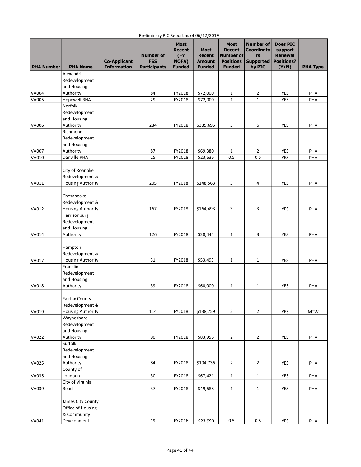| <b>PHA Number</b> | <b>PHA Name</b>            | <b>Co-Applicant</b><br><b>Information</b> | <b>Number of</b><br><b>FSS</b><br><b>Participants</b> | <b>Most</b><br><b>Recent</b><br>(FY<br><b>NOFA)</b><br><b>Funded</b> | <b>Most</b><br><b>Recent</b><br>Amount<br><b>Funded</b> | <b>Most</b><br><b>Recent</b><br>Number of<br><b>Positions</b><br><b>Funded</b> | <b>Number of</b><br><b>Coordinato</b><br>rs<br><b>Supported</b><br>by PIC | <b>Does PIC</b><br>support<br><b>Renewal</b><br><b>Positions?</b><br>(Y/N) | <b>PHA Type</b> |
|-------------------|----------------------------|-------------------------------------------|-------------------------------------------------------|----------------------------------------------------------------------|---------------------------------------------------------|--------------------------------------------------------------------------------|---------------------------------------------------------------------------|----------------------------------------------------------------------------|-----------------|
|                   | Alexandria                 |                                           |                                                       |                                                                      |                                                         |                                                                                |                                                                           |                                                                            |                 |
|                   | Redevelopment              |                                           |                                                       |                                                                      |                                                         |                                                                                |                                                                           |                                                                            |                 |
|                   | and Housing                |                                           |                                                       |                                                                      |                                                         |                                                                                |                                                                           |                                                                            |                 |
| VA004             | Authority                  |                                           | 84                                                    | FY2018                                                               | \$72,000                                                | 1                                                                              | 2                                                                         | YES                                                                        | PHA             |
| <b>VA005</b>      | <b>Hopewell RHA</b>        |                                           | 29                                                    | FY2018                                                               | \$72,000                                                | $\mathbf{1}$                                                                   | $\mathbf{1}$                                                              | YES                                                                        | PHA             |
|                   | Norfolk                    |                                           |                                                       |                                                                      |                                                         |                                                                                |                                                                           |                                                                            |                 |
|                   | Redevelopment              |                                           |                                                       |                                                                      |                                                         |                                                                                |                                                                           |                                                                            |                 |
|                   | and Housing                |                                           |                                                       |                                                                      |                                                         |                                                                                |                                                                           |                                                                            |                 |
| <b>VA006</b>      | Authority<br>Richmond      |                                           | 284                                                   | FY2018                                                               | \$335,695                                               | 5                                                                              | 6                                                                         | YES                                                                        | PHA             |
|                   | Redevelopment              |                                           |                                                       |                                                                      |                                                         |                                                                                |                                                                           |                                                                            |                 |
|                   | and Housing                |                                           |                                                       |                                                                      |                                                         |                                                                                |                                                                           |                                                                            |                 |
| VA007             | Authority                  |                                           | 87                                                    | FY2018                                                               | \$69,380                                                | 1                                                                              | $\overline{2}$                                                            | YES                                                                        | PHA             |
| VA010             | Danville RHA               |                                           | 15                                                    | FY2018                                                               | \$23,636                                                | 0.5                                                                            | 0.5                                                                       | <b>YES</b>                                                                 | PHA             |
|                   |                            |                                           |                                                       |                                                                      |                                                         |                                                                                |                                                                           |                                                                            |                 |
|                   | City of Roanoke            |                                           |                                                       |                                                                      |                                                         |                                                                                |                                                                           |                                                                            |                 |
|                   | Redevelopment &            |                                           |                                                       |                                                                      |                                                         |                                                                                |                                                                           |                                                                            |                 |
| VA011             | <b>Housing Authority</b>   |                                           | 205                                                   | FY2018                                                               | \$148,563                                               | 3                                                                              | 4                                                                         | YES                                                                        | PHA             |
|                   |                            |                                           |                                                       |                                                                      |                                                         |                                                                                |                                                                           |                                                                            |                 |
|                   | Chesapeake                 |                                           |                                                       |                                                                      |                                                         |                                                                                |                                                                           |                                                                            |                 |
|                   | Redevelopment &            |                                           |                                                       |                                                                      |                                                         |                                                                                |                                                                           |                                                                            |                 |
| <b>VA012</b>      | <b>Housing Authority</b>   |                                           | 167                                                   | FY2018                                                               | \$164,493                                               | 3                                                                              | 3                                                                         | YES                                                                        | PHA             |
|                   | Harrisonburg               |                                           |                                                       |                                                                      |                                                         |                                                                                |                                                                           |                                                                            |                 |
|                   | Redevelopment              |                                           |                                                       |                                                                      |                                                         |                                                                                |                                                                           |                                                                            |                 |
|                   | and Housing                |                                           |                                                       |                                                                      |                                                         |                                                                                |                                                                           |                                                                            |                 |
| VA014             | Authority                  |                                           | 126                                                   | FY2018                                                               | \$28,444                                                | $\mathbf{1}$                                                                   | 3                                                                         | <b>YES</b>                                                                 | PHA             |
|                   |                            |                                           |                                                       |                                                                      |                                                         |                                                                                |                                                                           |                                                                            |                 |
|                   | Hampton<br>Redevelopment & |                                           |                                                       |                                                                      |                                                         |                                                                                |                                                                           |                                                                            |                 |
| VA017             | <b>Housing Authority</b>   |                                           | 51                                                    | FY2018                                                               | \$53,493                                                | $\mathbf{1}$                                                                   | 1                                                                         | YES                                                                        | PHA             |
|                   | Franklin                   |                                           |                                                       |                                                                      |                                                         |                                                                                |                                                                           |                                                                            |                 |
|                   | Redevelopment              |                                           |                                                       |                                                                      |                                                         |                                                                                |                                                                           |                                                                            |                 |
|                   | and Housing                |                                           |                                                       |                                                                      |                                                         |                                                                                |                                                                           |                                                                            |                 |
| <b>VA018</b>      | Authority                  |                                           | 39                                                    | FY2018                                                               | \$60,000                                                | 1                                                                              | 1                                                                         | YES                                                                        | PHA             |
|                   |                            |                                           |                                                       |                                                                      |                                                         |                                                                                |                                                                           |                                                                            |                 |
|                   | <b>Fairfax County</b>      |                                           |                                                       |                                                                      |                                                         |                                                                                |                                                                           |                                                                            |                 |
|                   | Redevelopment &            |                                           |                                                       |                                                                      |                                                         |                                                                                |                                                                           |                                                                            |                 |
| VA019             | <b>Housing Authority</b>   |                                           | 114                                                   | FY2018                                                               | \$138,759                                               | $\overline{2}$                                                                 | $\overline{2}$                                                            | <b>YES</b>                                                                 | <b>MTW</b>      |
|                   | Waynesboro                 |                                           |                                                       |                                                                      |                                                         |                                                                                |                                                                           |                                                                            |                 |
|                   | Redevelopment              |                                           |                                                       |                                                                      |                                                         |                                                                                |                                                                           |                                                                            |                 |
|                   | and Housing                |                                           |                                                       |                                                                      |                                                         |                                                                                |                                                                           |                                                                            |                 |
| VA022             | Authority                  |                                           | 80                                                    | FY2018                                                               | \$83,956                                                | $\overline{2}$                                                                 | $\overline{2}$                                                            | <b>YES</b>                                                                 | PHA             |
|                   | Suffolk                    |                                           |                                                       |                                                                      |                                                         |                                                                                |                                                                           |                                                                            |                 |
|                   | Redevelopment              |                                           |                                                       |                                                                      |                                                         |                                                                                |                                                                           |                                                                            |                 |
| <b>VA025</b>      | and Housing<br>Authority   |                                           | 84                                                    | FY2018                                                               | \$104,736                                               | $\overline{2}$                                                                 | $\overline{2}$                                                            | <b>YES</b>                                                                 | PHA             |
|                   | County of                  |                                           |                                                       |                                                                      |                                                         |                                                                                |                                                                           |                                                                            |                 |
| <b>VA035</b>      | Loudoun                    |                                           | 30                                                    | FY2018                                                               | \$67,421                                                | $\mathbf{1}$                                                                   | $\mathbf{1}$                                                              | YES                                                                        | PHA             |
|                   | City of Virginia           |                                           |                                                       |                                                                      |                                                         |                                                                                |                                                                           |                                                                            |                 |
| <b>VA039</b>      | Beach                      |                                           | 37                                                    | FY2018                                                               | \$49,688                                                | $\mathbf{1}$                                                                   | $\mathbf 1$                                                               | YES                                                                        | PHA             |
|                   |                            |                                           |                                                       |                                                                      |                                                         |                                                                                |                                                                           |                                                                            |                 |
|                   | James City County          |                                           |                                                       |                                                                      |                                                         |                                                                                |                                                                           |                                                                            |                 |
|                   | Office of Housing          |                                           |                                                       |                                                                      |                                                         |                                                                                |                                                                           |                                                                            |                 |
|                   | & Community                |                                           |                                                       |                                                                      |                                                         |                                                                                |                                                                           |                                                                            |                 |
| VA041             | Development                |                                           | 19                                                    | FY2016                                                               | \$23,990                                                | 0.5                                                                            | 0.5                                                                       | YES                                                                        | PHA             |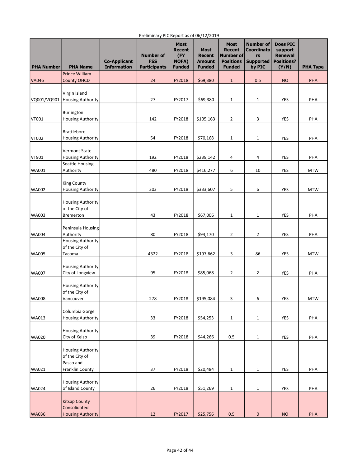| <b>PHA Number</b> | <b>PHA Name</b>                                         | <b>Co-Applicant</b><br><b>Information</b> | <b>Number of</b><br><b>FSS</b><br><b>Participants</b> | <b>Most</b><br>Recent<br>(FY<br><b>NOFA)</b><br><b>Funded</b> | <b>Most</b><br><b>Recent</b><br><b>Amount</b><br><b>Funded</b> | <b>Most</b><br><b>Recent</b><br><b>Number of</b><br><b>Positions</b><br><b>Funded</b> | <b>Number of</b><br><b>Coordinato</b><br>rs<br><b>Supported</b><br>by PIC | <b>Does PIC</b><br>support<br><b>Renewal</b><br><b>Positions?</b><br>(Y/N) | <b>PHA Type</b> |
|-------------------|---------------------------------------------------------|-------------------------------------------|-------------------------------------------------------|---------------------------------------------------------------|----------------------------------------------------------------|---------------------------------------------------------------------------------------|---------------------------------------------------------------------------|----------------------------------------------------------------------------|-----------------|
|                   | <b>Prince William</b>                                   |                                           |                                                       |                                                               |                                                                |                                                                                       |                                                                           |                                                                            |                 |
| <b>VA046</b>      | <b>County OHCD</b>                                      |                                           | 24                                                    | FY2018                                                        | \$69,380                                                       | $\mathbf{1}$                                                                          | 0.5                                                                       | <b>NO</b>                                                                  | <b>PHA</b>      |
| VQ001/VQ901       | Virgin Island<br><b>Housing Authority</b>               |                                           | 27                                                    | FY2017                                                        | \$69,380                                                       | $\mathbf{1}$                                                                          | $\mathbf{1}$                                                              | YES                                                                        | PHA             |
| VT001             | Burlington<br>Housing Authority                         |                                           | 142                                                   | FY2018                                                        | \$105,163                                                      | $\overline{2}$                                                                        | 3                                                                         | YES                                                                        | PHA             |
| VT002             | <b>Brattleboro</b><br><b>Housing Authority</b>          |                                           | 54                                                    | FY2018                                                        | \$70,168                                                       | 1                                                                                     | $\mathbf{1}$                                                              | <b>YES</b>                                                                 | PHA             |
| VT901             | Vermont State<br>Housing Authority                      |                                           | 192                                                   | FY2018                                                        | \$239,142                                                      | 4                                                                                     | 4                                                                         | YES                                                                        | PHA             |
|                   | Seattle Housing                                         |                                           |                                                       |                                                               |                                                                |                                                                                       |                                                                           |                                                                            |                 |
| <b>WA001</b>      | Authority                                               |                                           | 480                                                   | FY2018                                                        | \$416,277                                                      | 6                                                                                     | 10                                                                        | YES                                                                        | <b>MTW</b>      |
| <b>WA002</b>      | <b>King County</b><br><b>Housing Authority</b>          |                                           | 303                                                   | FY2018                                                        | \$333,607                                                      | 5                                                                                     | 6                                                                         | YES                                                                        | <b>MTW</b>      |
|                   | <b>Housing Authority</b><br>of the City of              |                                           |                                                       |                                                               |                                                                |                                                                                       |                                                                           |                                                                            |                 |
| <b>WA003</b>      | <b>Bremerton</b>                                        |                                           | 43                                                    | FY2018                                                        | \$67,006                                                       | $\mathbf 1$                                                                           | 1                                                                         | YES                                                                        | PHA             |
| <b>WA004</b>      | Peninsula Housing<br>Authority                          |                                           | 80                                                    | FY2018                                                        | \$94,170                                                       | $\overline{2}$                                                                        | 2                                                                         | <b>YES</b>                                                                 | PHA             |
| WA005             | <b>Housing Authority</b><br>of the City of<br>Tacoma    |                                           | 4322                                                  | FY2018                                                        | \$197,662                                                      | 3                                                                                     | 86                                                                        | YES                                                                        | <b>MTW</b>      |
| <b>WA007</b>      | <b>Housing Authority</b><br>City of Longview            |                                           | 95                                                    | FY2018                                                        | \$85,068                                                       | $\overline{2}$                                                                        | $\overline{2}$                                                            | YES                                                                        | PHA             |
|                   | Housing Authority<br>of the City of                     |                                           |                                                       |                                                               |                                                                |                                                                                       |                                                                           |                                                                            |                 |
| WA008             | Vancouver                                               |                                           | 278                                                   | FY2018                                                        | \$195,084                                                      | 3                                                                                     | 6                                                                         | YES                                                                        | <b>MTW</b>      |
| <b>WA013</b>      | Columbia Gorge<br><b>Housing Authority</b>              |                                           | 33                                                    | FY2018                                                        | \$54,253                                                       | 1                                                                                     | $\mathbf{1}$                                                              | YES                                                                        | PHA             |
| WA020             | Housing Authority<br>City of Kelso                      |                                           | 39                                                    | FY2018                                                        | \$44,266                                                       | 0.5                                                                                   | $\mathbf{1}$                                                              | <b>YES</b>                                                                 | PHA             |
|                   | <b>Housing Authority</b><br>of the City of<br>Pasco and |                                           |                                                       |                                                               |                                                                |                                                                                       |                                                                           |                                                                            |                 |
| <b>WA021</b>      | Franklin County                                         |                                           | 37                                                    | FY2018                                                        | \$20,484                                                       | $\mathbf{1}$                                                                          | $\mathbf{1}$                                                              | <b>YES</b>                                                                 | PHA             |
| <b>WA024</b>      | Housing Authority<br>of Island County                   |                                           | 26                                                    | FY2018                                                        | \$51,269                                                       | 1                                                                                     | $\mathbf{1}$                                                              | <b>YES</b>                                                                 | PHA             |
|                   | Kitsap County<br>Consolidated                           |                                           |                                                       |                                                               |                                                                |                                                                                       |                                                                           |                                                                            |                 |
| <b>WA036</b>      | <b>Housing Authority</b>                                |                                           | 12                                                    | FY2017                                                        | \$25,756                                                       | 0.5                                                                                   | $\pmb{0}$                                                                 | <b>NO</b>                                                                  | PHA             |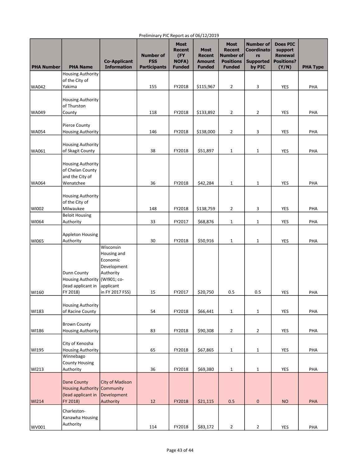| <b>PHA Number</b> | <b>PHA Name</b>                                                           | <b>Co-Applicant</b><br><b>Information</b>                                                                       | <b>Number of</b><br><b>FSS</b><br><b>Participants</b> | <b>Most</b><br><b>Recent</b><br>(FY<br><b>NOFA)</b><br><b>Funded</b> | <b>Most</b><br><b>Recent</b><br><b>Amount</b><br><b>Funded</b> | <b>Most</b><br><b>Recent</b><br>Number of<br><b>Positions</b><br><b>Funded</b> | <b>Number of</b><br><b>Coordinato</b><br>rs<br><b>Supported</b><br>by PIC | <b>Does PIC</b><br>support<br><b>Renewal</b><br><b>Positions?</b><br>(Y/N) | <b>PHA Type</b> |
|-------------------|---------------------------------------------------------------------------|-----------------------------------------------------------------------------------------------------------------|-------------------------------------------------------|----------------------------------------------------------------------|----------------------------------------------------------------|--------------------------------------------------------------------------------|---------------------------------------------------------------------------|----------------------------------------------------------------------------|-----------------|
|                   | <b>Housing Authority</b>                                                  |                                                                                                                 |                                                       |                                                                      |                                                                |                                                                                |                                                                           |                                                                            |                 |
| WA042             | of the City of<br>Yakima                                                  |                                                                                                                 | 155                                                   | FY2018                                                               | \$115,967                                                      | $\overline{2}$                                                                 | 3                                                                         | YES                                                                        | PHA             |
|                   | <b>Housing Authority</b><br>of Thurston                                   |                                                                                                                 |                                                       |                                                                      |                                                                |                                                                                |                                                                           |                                                                            |                 |
| WA049             | County                                                                    |                                                                                                                 | 118                                                   | FY2018                                                               | \$133,892                                                      | $\overline{2}$                                                                 | 2                                                                         | YES                                                                        | PHA             |
|                   | <b>Pierce County</b>                                                      |                                                                                                                 |                                                       |                                                                      |                                                                |                                                                                |                                                                           |                                                                            |                 |
| <b>WA054</b>      | <b>Housing Authority</b>                                                  |                                                                                                                 | 146                                                   | FY2018                                                               | \$138,000                                                      | 2                                                                              | 3                                                                         | <b>YES</b>                                                                 | PHA             |
| <b>WA061</b>      | <b>Housing Authority</b><br>of Skagit County                              |                                                                                                                 | 38                                                    | FY2018                                                               | \$51,897                                                       | $\mathbf{1}$                                                                   | 1                                                                         | YES                                                                        | PHA             |
|                   | <b>Housing Authority</b><br>of Chelan County<br>and the City of           |                                                                                                                 |                                                       |                                                                      |                                                                |                                                                                |                                                                           |                                                                            |                 |
| WA064             | Wenatchee                                                                 |                                                                                                                 | 36                                                    | FY2018                                                               | \$42,284                                                       | $\mathbf 1$                                                                    | 1                                                                         | YES                                                                        | PHA             |
|                   | <b>Housing Authority</b><br>of the City of                                |                                                                                                                 |                                                       |                                                                      |                                                                |                                                                                |                                                                           |                                                                            |                 |
| WI002             | Milwaukee<br><b>Beloit Housing</b>                                        |                                                                                                                 | 148                                                   | FY2018                                                               | \$138,759                                                      | $\overline{2}$                                                                 | 3                                                                         | YES                                                                        | PHA             |
| WI064             | Authority                                                                 |                                                                                                                 | 33                                                    | FY2017                                                               | \$68,876                                                       | 1                                                                              | 1                                                                         | YES                                                                        | PHA             |
| WI065             | <b>Appleton Housing</b><br>Authority                                      |                                                                                                                 | 30                                                    | FY2018                                                               | \$50,916                                                       | $\mathbf 1$                                                                    | 1                                                                         | YES                                                                        | PHA             |
| WI160             | Dunn County<br><b>Housing Authority</b><br>(lead applicant in<br>FY 2018) | Wisconsin<br>Housing and<br>Economic<br>Development<br>Authority<br>(WI901; co-<br>applicant<br>in FY 2017 FSS) | 15                                                    | FY2017                                                               | \$20,750                                                       | 0.5                                                                            | 0.5                                                                       | YES                                                                        | PHA             |
|                   |                                                                           |                                                                                                                 |                                                       |                                                                      |                                                                |                                                                                |                                                                           |                                                                            |                 |
| WI183             | <b>Housing Authority</b><br>of Racine County                              |                                                                                                                 | 54                                                    | FY2018                                                               | \$66,441                                                       | $\mathbf 1$                                                                    | $\mathbf{1}$                                                              | YES                                                                        | PHA             |
| WI186             | <b>Brown County</b><br><b>Housing Authority</b>                           |                                                                                                                 | 83                                                    | FY2018                                                               | \$90,308                                                       | $\overline{2}$                                                                 | 2                                                                         | YES                                                                        | PHA             |
| WI195             | City of Kenosha<br><b>Housing Authority</b>                               |                                                                                                                 | 65                                                    | FY2018                                                               | \$67,865                                                       | $\mathbf{1}$                                                                   | 1                                                                         | YES                                                                        | PHA             |
|                   | Winnebago<br><b>County Housing</b>                                        |                                                                                                                 |                                                       |                                                                      |                                                                |                                                                                |                                                                           |                                                                            |                 |
| WI213             | Authority                                                                 |                                                                                                                 | 36                                                    | FY2018                                                               | \$69,380                                                       | $1\,$                                                                          | 1                                                                         | YES                                                                        | PHA             |
| <b>WI214</b>      | Dane County<br><b>Housing Authority</b><br>(lead applicant in<br>FY 2018) | <b>City of Madison</b><br>Community<br>Development<br>Authority                                                 | 12                                                    | FY2018                                                               | \$21,115                                                       | 0.5                                                                            | $\pmb{0}$                                                                 | <b>NO</b>                                                                  | PHA             |
|                   |                                                                           |                                                                                                                 |                                                       |                                                                      |                                                                |                                                                                |                                                                           |                                                                            |                 |
| WV001             | Charleston-<br>Kanawha Housing<br>Authority                               |                                                                                                                 | 114                                                   | FY2018                                                               | \$83,172                                                       | $\mathbf 2$                                                                    | $\overline{2}$                                                            | YES                                                                        | PHA             |